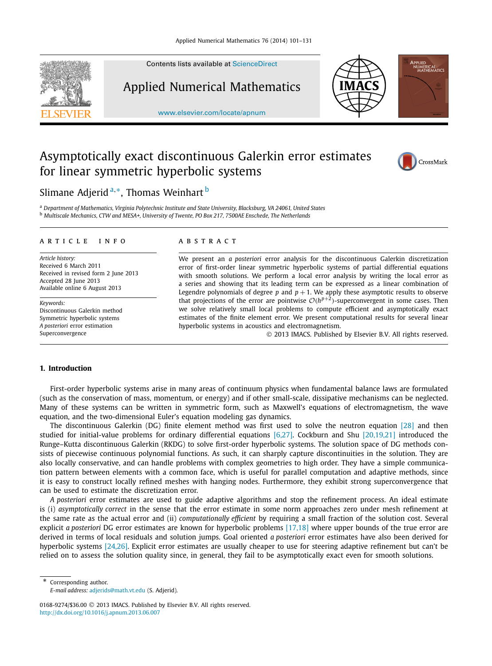

Contents lists available at [ScienceDirect](http://www.ScienceDirect.com/)

Applied Numerical Mathematics

[www.elsevier.com/locate/apnum](http://www.elsevier.com/locate/apnum)



# Asymptotically exact discontinuous Galerkin error estimates for linear symmetric hyperbolic systems



Applied<br>NUMERICAL<br>MATHEMATICS

# Slimane Adjerid <sup>a</sup>*,*∗, Thomas Weinhart <sup>b</sup>

<sup>a</sup> *Department of Mathematics, Virginia Polytechnic Institute and State University, Blacksburg, VA 24061, United States* <sup>b</sup> *Multiscale Mechanics, CTW and MESA+, University of Twente, PO Box 217, 7500AE Enschede, The Netherlands*

#### article info abstract

*Article history:* Received 6 March 2011 Received in revised form 2 June 2013 Accepted 28 June 2013 Available online 6 August 2013

*Keywords:* Discontinuous Galerkin method Symmetric hyperbolic systems *A posteriori* error estimation Superconvergence

We present an *a posteriori* error analysis for the discontinuous Galerkin discretization error of first-order linear symmetric hyperbolic systems of partial differential equations with smooth solutions. We perform a local error analysis by writing the local error as a series and showing that its leading term can be expressed as a linear combination of Legendre polynomials of degree  $p$  and  $p + 1$ . We apply these asymptotic results to observe that projections of the error are pointwise  $O(h^{p+2})$ -superconvergent in some cases. Then we solve relatively small local problems to compute efficient and asymptotically exact estimates of the finite element error. We present computational results for several linear hyperbolic systems in acoustics and electromagnetism.

© 2013 IMACS. Published by Elsevier B.V. All rights reserved.

### **1. Introduction**

First-order hyperbolic systems arise in many areas of continuum physics when fundamental balance laws are formulated (such as the conservation of mass, momentum, or energy) and if other small-scale, dissipative mechanisms can be neglected. Many of these systems can be written in symmetric form, such as Maxwell's equations of electromagnetism, the wave equation, and the two-dimensional Euler's equation modeling gas dynamics.

The discontinuous Galerkin (DG) finite element method was first used to solve the neutron equation [\[28\]](#page-30-0) and then studied for initial-value problems for ordinary differential equations [\[6,27\].](#page-29-0) Cockburn and Shu [\[20,19,21\]](#page-30-0) introduced the Runge–Kutta discontinuous Galerkin (RKDG) to solve first-order hyperbolic systems. The solution space of DG methods consists of piecewise continuous polynomial functions. As such, it can sharply capture discontinuities in the solution. They are also locally conservative, and can handle problems with complex geometries to high order. They have a simple communication pattern between elements with a common face, which is useful for parallel computation and adaptive methods, since it is easy to construct locally refined meshes with hanging nodes. Furthermore, they exhibit strong superconvergence that can be used to estimate the discretization error.

*A posteriori* error estimates are used to guide adaptive algorithms and stop the refinement process. An ideal estimate is (i) *asymptotically correct* in the sense that the error estimate in some norm approaches zero under mesh refinement at the same rate as the actual error and (ii) *computationally efficient* by requiring a small fraction of the solution cost. Several explicit *a posteriori* DG error estimates are known for hyperbolic problems [\[17,18\]](#page-29-0) where upper bounds of the true error are derived in terms of local residuals and solution jumps. Goal oriented *a posteriori* error estimates have also been derived for hyperbolic systems [\[24,26\].](#page-30-0) Explicit error estimates are usually cheaper to use for steering adaptive refinement but can't be relied on to assess the solution quality since, in general, they fail to be asymptotically exact even for smooth solutions.

Corresponding author. *E-mail address:* [adjerids@math.vt.edu](mailto:adjerids@math.vt.edu) (S. Adjerid).

<sup>0168-9274/\$36.00</sup> © 2013 IMACS. Published by Elsevier B.V. All rights reserved. <http://dx.doi.org/10.1016/j.apnum.2013.06.007>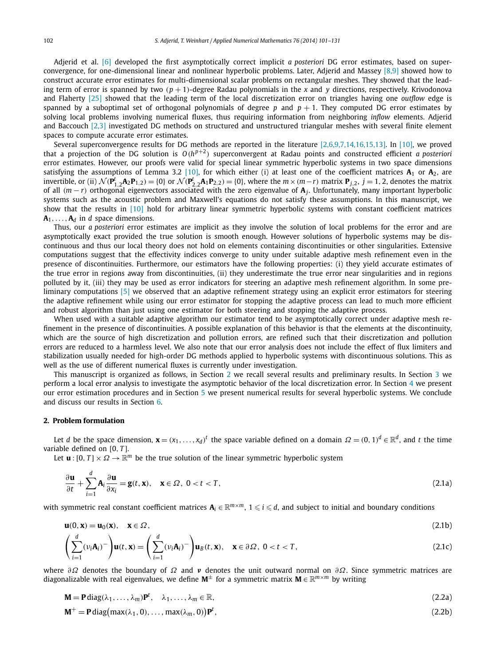<span id="page-1-0"></span>Adjerid et al. [\[6\]](#page-29-0) developed the first asymptotically correct implicit *a posteriori* DG error estimates, based on superconvergence, for one-dimensional linear and nonlinear hyperbolic problems. Later, Adjerid and Massey [\[8,9\]](#page-29-0) showed how to construct accurate error estimates for multi-dimensional scalar problems on rectangular meshes. They showed that the leading term of error is spanned by two  $(p + 1)$ -degree Radau polynomials in the *x* and *y* directions, respectively. Krivodonova and Flaherty [\[25\]](#page-30-0) showed that the leading term of the local discretization error on triangles having one *outflow* edge is spanned by a suboptimal set of orthogonal polynomials of degree  $p$  and  $p + 1$ . They computed DG error estimates by solving local problems involving numerical fluxes, thus requiring information from neighboring *inflow* elements. Adjerid and Baccouch [\[2,3\]](#page-29-0) investigated DG methods on structured and unstructured triangular meshes with several finite element spaces to compute accurate error estimates.

Several superconvergence results for DG methods are reported in the literature [\[2,6,9,7,14,16,15,13\].](#page-29-0) In [\[10\],](#page-29-0) we proved that a projection of the DG solution is *O(hp*+<sup>2</sup>*)* superconvergent at Radau points and constructed efficient *a posteriori* error estimates. However, our proofs were valid for special linear symmetric hyperbolic systems in two space dimensions satisfying the assumptions of Lemma 3.2 [\[10\],](#page-29-0) for which either (i) at least one of the coefficient matrices  $A_1$  or  $A_2$ , are invertible, or (ii)  $\mathcal{N}(\mathbf{P}_{1,2}^t \mathbf{A}_2 \mathbf{P}_{1,2}) = \{0\}$  or  $\mathcal{N}(\mathbf{P}_{2,2}^t \mathbf{A}_1 \mathbf{P}_{2,2}) = \{0\}$ , where the  $m \times (m-r)$  matrix  $\mathbf{P}_{j,2}$ ,  $j = 1, 2$ , denotes the matrix of all *(m* − *r)* orthogonal eigenvectors associated with the zero eigenvalue of **A***j*. Unfortunately, many important hyperbolic systems such as the acoustic problem and Maxwell's equations do not satisfy these assumptions. In this manuscript, we show that the results in [\[10\]](#page-29-0) hold for arbitrary linear symmetric hyperbolic systems with constant coefficient matrices  $A_1, \ldots, A_d$  in *d* space dimensions.

Thus, our *a posteriori* error estimates are implicit as they involve the solution of local problems for the error and are asymptotically exact provided the true solution is smooth enough. However solutions of hyperbolic systems may be discontinuous and thus our local theory does not hold on elements containing discontinuities or other singularities. Extensive computations suggest that the effectivity indices converge to unity under suitable adaptive mesh refinement even in the presence of discontinuities. Furthermore, our estimators have the following properties: (i) they yield accurate estimates of the true error in regions away from discontinuities, (ii) they underestimate the true error near singularities and in regions polluted by it, (iii) they may be used as error indicators for steering an adaptive mesh refinement algorithm. In some preliminary computations [\[5\]](#page-29-0) we observed that an adaptive refinement strategy using an explicit error estimators for steering the adaptive refinement while using our error estimator for stopping the adaptive process can lead to much more efficient and robust algorithm than just using one estimator for both steering and stopping the adaptive process.

When used with a suitable adaptive algorithm our estimator tend to be asymptotically correct under adaptive mesh refinement in the presence of discontinuities. A possible explanation of this behavior is that the elements at the discontinuity, which are the source of high discretization and pollution errors, are refined such that their discretization and pollution errors are reduced to a harmless level. We also note that our error analysis does not include the effect of flux limiters and stabilization usually needed for high-order DG methods applied to hyperbolic systems with discontinuous solutions. This as well as the use of different numerical fluxes is currently under investigation.

This manuscript is organized as follows, in Section 2 we recall several results and preliminary results. In Section [3](#page-4-0) we perform a local error analysis to investigate the asymptotic behavior of the local discretization error. In Section [4](#page-14-0) we present our error estimation procedures and in Section [5](#page-21-0) we present numerical results for several hyperbolic systems. We conclude and discuss our results in Section [6.](#page-28-0)

#### **2. Problem formulation**

Let d be the space dimension,  $\mathbf{x}=(x_1,\ldots,x_d)^t$  the space variable defined on a domain  $\Omega=(0,1)^d\in\mathbb{R}^d$ , and t the time variable defined on [0*, T* ].

Let  $\mathbf{u}$  :  $[0, T] \times \Omega \to \mathbb{R}^m$  be the true solution of the linear symmetric hyperbolic system

$$
\frac{\partial \mathbf{u}}{\partial t} + \sum_{i=1}^{d} \mathbf{A}_i \frac{\partial \mathbf{u}}{\partial x_i} = \mathbf{g}(t, \mathbf{x}), \quad \mathbf{x} \in \Omega, \ 0 < t < T,\tag{2.1a}
$$

with symmetric real constant coefficient matrices  $A_i\in\mathbb{R}^{m\times m}$ ,  $1\leqslant i\leqslant d$ , and subject to initial and boundary conditions

$$
\mathbf{u}(0,\mathbf{x}) = \mathbf{u}_0(\mathbf{x}), \quad \mathbf{x} \in \Omega, \tag{2.1b}
$$

$$
\left(\sum_{i=1}^d (\nu_i \mathbf{A}_i)^{-}\right) \mathbf{u}(t, \mathbf{x}) = \left(\sum_{i=1}^d (\nu_i \mathbf{A}_i)^{-}\right) \mathbf{u}_B(t, \mathbf{x}), \quad \mathbf{x} \in \partial \Omega, \ 0 < t < T,\tag{2.1c}
$$

where *∂Ω* denotes the boundary of *Ω* and *ν* denotes the unit outward normal on *∂Ω*. Since symmetric matrices are diagonalizable with real eigenvalues, we define  $M^{\pm}$  for a symmetric matrix  $M \in \mathbb{R}^{m \times m}$  by writing

$$
\mathbf{M} = \mathbf{P} \operatorname{diag}(\lambda_1, \dots, \lambda_m) \mathbf{P}^t, \quad \lambda_1, \dots, \lambda_m \in \mathbb{R}, \tag{2.2a}
$$

$$
\mathbf{M}^{+} = \mathbf{P} \operatorname{diag}(\max(\lambda_1, 0), \dots, \max(\lambda_m, 0)) \mathbf{P}^{t}, \tag{2.2b}
$$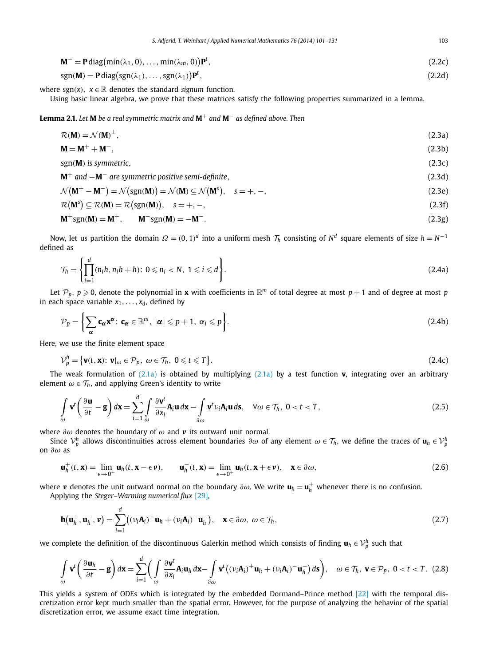<span id="page-2-0"></span>
$$
\mathbf{M}^{-} = \mathbf{P} \operatorname{diag}(\min(\lambda_1, 0), \dots, \min(\lambda_m, 0)) \mathbf{P}^{t},
$$
\n(2.2c)

$$
sgn(\mathbf{M}) = \mathbf{P} \text{diag}(\text{sgn}(\lambda_1), \dots, \text{sgn}(\lambda_1)) \mathbf{P}^t,
$$
\n(2.2d)

where sgn(*x*),  $x \in \mathbb{R}$  denotes the standard *signum* function.

Using basic linear algebra, we prove that these matrices satisfy the following properties summarized in a lemma.

**Lemma 2.1.** *Let* **M** *be a real symmetric matrix and* **M**<sup>+</sup> *and* **M**<sup>−</sup> *as defined above. Then*

$$
\mathcal{R}(\mathbf{M}) = \mathcal{N}(\mathbf{M})^{\perp},\tag{2.3a}
$$

$$
\mathbf{M} = \mathbf{M}^+ + \mathbf{M}^-, \tag{2.3b}
$$

sgn*(***M***) is symmetric,* (2.3c)

$$
M^{+} \text{ and } -M^{-} \text{ are symmetric positive semi-definite}, \qquad (2.3d)
$$

$$
\mathcal{N}(\mathbf{M}^+ - \mathbf{M}^-) = \mathcal{N}(\text{sgn}(\mathbf{M})) = \mathcal{N}(\mathbf{M}) \subseteq \mathcal{N}(\mathbf{M}^s), \quad s = +, -,
$$
\n(2.3e)

$$
\mathcal{R}\left(\mathbf{M}^{s}\right) \subseteq \mathcal{R}\left(\mathbf{M}\right) = \mathcal{R}\left(\text{sgn}(\mathbf{M})\right), \quad s = +, -, \tag{2.3f}
$$

$$
\mathbf{M}^+ sgn(\mathbf{M}) = \mathbf{M}^+, \qquad \mathbf{M}^- sgn(\mathbf{M}) = -\mathbf{M}^-.
$$
 (2.3g)

Now, let us partition the domain  $\Omega = (0, 1)^d$  into a uniform mesh  $\mathcal{T}_h$  consisting of  $N^d$  square elements of size  $h = N^{-1}$ defined as

$$
\mathcal{T}_h = \left\{ \prod_{i=1}^d (n_i h, n_i h + h) \colon 0 \leqslant n_i < N, \ 1 \leqslant i \leqslant d \right\}.
$$
\n(2.4a)

Let  $\mathcal{P}_p$ ,  $p \ge 0$ , denote the polynomial in **x** with coefficients in  $\mathbb{R}^m$  of total degree at most  $p + 1$  and of degree at most  $p$ in each space variable  $x_1, \ldots, x_d$ , defined by

$$
\mathcal{P}_p = \left\{ \sum_{\alpha} \mathbf{c}_{\alpha} \mathbf{x}^{\alpha} : \mathbf{c}_{\alpha} \in \mathbb{R}^m, \ |\alpha| \leqslant p+1, \ \alpha_i \leqslant p \right\}.
$$
\n(2.4b)

Here, we use the finite element space

$$
\mathcal{V}_p^h = \{ \mathbf{v}(t, \mathbf{x}) : \mathbf{v}|_{\omega} \in \mathcal{P}_p, \ \omega \in \mathcal{T}_h, \ 0 \leq t \leq T \}. \tag{2.4c}
$$

The weak formulation of  $(2.1a)$  is obtained by multiplying  $(2.1a)$  by a test function **v**, integrating over an arbitrary element  $\omega \in \mathcal{T}_h$ , and applying Green's identity to write

$$
\int_{\omega} \mathbf{v}^{t} \left( \frac{\partial \mathbf{u}}{\partial t} - \mathbf{g} \right) d\mathbf{x} = \sum_{i=1}^{d} \int_{\omega} \frac{\partial \mathbf{v}^{t}}{\partial x_{i}} \mathbf{A}_{i} \mathbf{u} d\mathbf{x} - \int_{\partial \omega} \mathbf{v}^{t} v_{i} \mathbf{A}_{i} \mathbf{u} d\mathbf{s}, \quad \forall \omega \in \mathcal{T}_{h}, \ 0 < t < T,
$$
\n(2.5)

where *∂ω* denotes the boundary of *ω* and *ν* its outward unit normal.

Since  $\mathcal{V}_p^h$  allows discontinuities across element boundaries  $\partial\omega$  of any element  $\omega\in\mathcal{T}_h$ , we define the traces of  $\mathbf{u}_h\in\mathcal{V}_p^h$ on *∂ω* as

$$
\mathbf{u}_h^+(t, \mathbf{x}) = \lim_{\epsilon \to 0^+} \mathbf{u}_h(t, \mathbf{x} - \epsilon \mathbf{v}), \qquad \mathbf{u}_h^-(t, \mathbf{x}) = \lim_{\epsilon \to 0^+} \mathbf{u}_h(t, \mathbf{x} + \epsilon \mathbf{v}), \quad \mathbf{x} \in \partial \omega,
$$
\n(2.6)

where *v* denotes the unit outward normal on the boundary  $\partial\omega$ . We write  $\mathbf{u}_h = \mathbf{u}_h^+$  whenever there is no confusion.

Applying the *Steger–Warming numerical flux* [\[29\],](#page-30-0)

*d*

$$
\mathbf{h}(\mathbf{u}_h^+, \mathbf{u}_h^-, \mathbf{v}) = \sum_{i=1}^u ((\nu_i \mathbf{A}_i)^+ \mathbf{u}_h + (\nu_i \mathbf{A}_i)^- \mathbf{u}_h^-), \quad \mathbf{x} \in \partial \omega, \ \omega \in \mathcal{T}_h,
$$
\n(2.7)

we complete the definition of the discontinuous Galerkin method which consists of finding  $\mathbf{u}_h \in \mathcal{V}^h_p$  such that

$$
\int_{\omega} \mathbf{v}^{t} \left( \frac{\partial \mathbf{u}_{h}}{\partial t} - \mathbf{g} \right) d\mathbf{x} = \sum_{i=1}^{d} \left( \int_{\omega} \frac{\partial \mathbf{v}^{t}}{\partial x_{i}} \mathbf{A}_{i} \mathbf{u}_{h} d\mathbf{x} - \int_{\partial \omega} \mathbf{v}^{t} \left( (\nu_{i} \mathbf{A}_{i})^{+} \mathbf{u}_{h} + (\nu_{i} \mathbf{A}_{i})^{-} \mathbf{u}_{h}^{-} \right) d\mathbf{s} \right), \quad \omega \in \mathcal{T}_{h}, \ \mathbf{v} \in \mathcal{P}_{p}, \ 0 < t < T. \tag{2.8}
$$

This yields a system of ODEs which is integrated by the embedded Dormand–Prince method [\[22\]](#page-30-0) with the temporal discretization error kept much smaller than the spatial error. However, for the purpose of analyzing the behavior of the spatial discretization error, we assume exact time integration.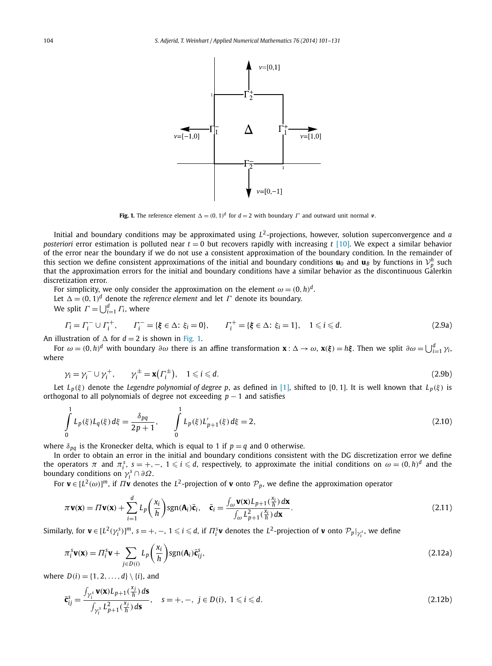<span id="page-3-0"></span>

**Fig. 1.** The reference element  $\Delta = (0, 1)^d$  for  $d = 2$  with boundary  $\Gamma$  and outward unit normal  $\nu$ .

Initial and boundary conditions may be approximated using *L*2-projections, however, solution superconvergence and *a posteriori* error estimation is polluted near *t* = 0 but recovers rapidly with increasing *t* [\[10\].](#page-29-0) We expect a similar behavior of the error near the boundary if we do not use a consistent approximation of the boundary condition. In the remainder of this section we define consistent approximations of the initial and boundary conditions  $\mathbf{u}_0$  and  $\mathbf{u}_B$  by functions in  $\mathcal{V}_p^h$  such that the approximation errors for the initial and boundary conditions have a similar behavior as the discontinuous Galerkin discretization error.

For simplicity, we only consider the approximation on the element  $\omega = (0,h)^d$ .

Let  $\Delta = (0, 1)^d$  denote the *reference element* and let *Γ* denote its boundary.

We split  $\Gamma = \bigcup_{i=1}^d \Gamma_i$ , where

$$
\Gamma_i = \Gamma_i^- \cup \Gamma_i^+, \qquad \Gamma_i^- = \{ \xi \in \Delta \colon \xi_i = 0 \}, \qquad \Gamma_i^+ = \{ \xi \in \Delta \colon \xi_i = 1 \}, \quad 1 \leq i \leq d. \tag{2.9a}
$$

An illustration of  $\triangle$  for  $d = 2$  is shown in Fig. 1.

For  $\omega=(0,h)^d$  with boundary  $\partial\omega$  there is an affine transformation  $\mathbf{x}:\Delta\to\omega$ ,  $\mathbf{x}(\xi)=h\xi$ . Then we split  $\partial\omega=\bigcup_{i=1}^d\gamma_i$ where

$$
\gamma_i = \gamma_i^- \cup \gamma_i^+, \qquad \gamma_i^{\pm} = \mathbf{x}(\Gamma_i^{\pm}), \quad 1 \leq i \leq d. \tag{2.9b}
$$

Let  $L_p(\xi)$  denote the *Legendre polynomial of degree p*, as defined in [\[1\],](#page-29-0) shifted to [0, 1]. It is well known that  $L_p(\xi)$  is orthogonal to all polynomials of degree not exceeding *p* − 1 and satisfies

$$
\int_{0}^{1} L_{p}(\xi) L_{q}(\xi) d\xi = \frac{\delta_{pq}}{2p + 1}, \qquad \int_{0}^{1} L_{p}(\xi) L'_{p+1}(\xi) d\xi = 2, \tag{2.10}
$$

where  $\delta_{pq}$  is the Kronecker delta, which is equal to 1 if  $p = q$  and 0 otherwise.

In order to obtain an error in the initial and boundary conditions consistent with the DG discretization error we define the operators  $\pi$  and  $\pi_i^s$ ,  $s = +, -, 1 \leq i \leq d$ , respectively, to approximate the initial conditions on  $\omega = (0, h)^d$  and the boundary conditions on  $\gamma_i^s \cap \partial \Omega$ .

For  $\mathbf{v} \in [L^2(\omega)]^m$ , if  $\Pi \mathbf{v}$  denotes the  $L^2$ -projection of  $\mathbf{v}$  onto  $\mathcal{P}_p$ , we define the approximation operator

$$
\pi \mathbf{v}(\mathbf{x}) = \Pi \mathbf{v}(\mathbf{x}) + \sum_{i=1}^{d} L_p \left(\frac{x_i}{h}\right) \text{sgn}(\mathbf{A}_i) \bar{\mathbf{c}}_i, \quad \bar{\mathbf{c}}_i = \frac{\int_{\omega} \mathbf{v}(\mathbf{x}) L_{p+1}(\frac{x_i}{h}) d\mathbf{x}}{\int_{\omega} L_{p+1}^2(\frac{x_i}{h}) d\mathbf{x}}.
$$
\n(2.11)

Similarly, for  $\mathbf{v}\in [L^2(\gamma_i^s)]^m$ ,  $s=+,-,$   $1\leqslant i\leqslant d,$  if  $\Pi_i^s\mathbf{v}$  denotes the  $L^2$ -projection of  $\mathbf{v}$  onto  $\mathcal{P}_p|_{\gamma_i^s},$  we define

$$
\pi_i^s \mathbf{v}(\mathbf{x}) = \Pi_i^s \mathbf{v} + \sum_{j \in D(i)} L_p \left( \frac{x_i}{h} \right) \text{sgn}(\mathbf{A}_i) \bar{\mathbf{c}}_{ij}^s,
$$
\n(2.12a)

where  $D(i) = \{1, 2, ..., d\} \setminus \{i\}$ , and

$$
\bar{\mathbf{c}}_{ij}^s = \frac{\int_{\gamma_i^s} \mathbf{v}(\mathbf{x}) L_{p+1}(\frac{x_j}{h}) d\mathbf{s}}{\int_{\gamma_i^s} L_{p+1}^2(\frac{x_j}{h}) d\mathbf{s}}, \quad s = +, -, \ j \in D(i), \ 1 \leqslant i \leqslant d. \tag{2.12b}
$$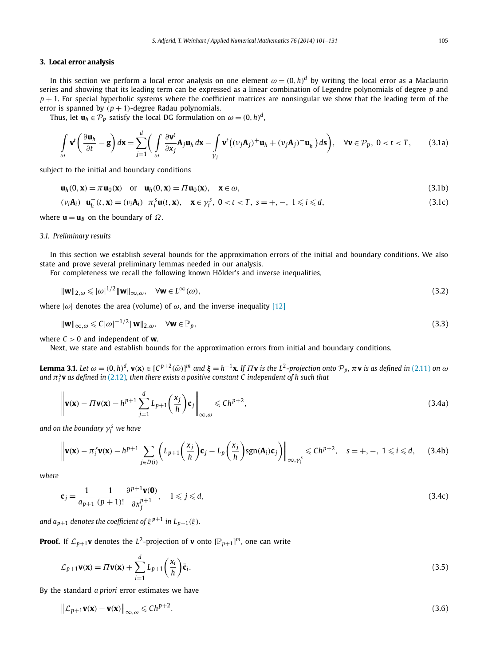#### <span id="page-4-0"></span>**3. Local error analysis**

In this section we perform a local error analysis on one element  $\omega=(0,h)^d$  by writing the local error as a Maclaurin series and showing that its leading term can be expressed as a linear combination of Legendre polynomials of degree *p* and  $p + 1$ . For special hyperbolic systems where the coefficient matrices are nonsingular we show that the leading term of the error is spanned by  $(p + 1)$ -degree Radau polynomials.

Thus, let  $\mathbf{u}_h \in \mathcal{P}_p$  satisfy the local DG formulation on  $\omega = (0, h)^d$ ,

$$
\int_{\omega} \mathbf{v}^{t} \left( \frac{\partial \mathbf{u}_{h}}{\partial t} - \mathbf{g} \right) d\mathbf{x} = \sum_{j=1}^{d} \left( \int_{\omega} \frac{\partial \mathbf{v}^{t}}{\partial x_{j}} \mathbf{A}_{j} \mathbf{u}_{h} d\mathbf{x} - \int_{\gamma_{j}} \mathbf{v}^{t} \left( (\nu_{j} \mathbf{A}_{j})^{+} \mathbf{u}_{h} + (\nu_{j} \mathbf{A}_{j})^{-} \mathbf{u}_{h}^{-} \right) d\mathbf{s} \right), \quad \forall \mathbf{v} \in \mathcal{P}_{p}, \ 0 < t < T,\tag{3.1a}
$$

subject to the initial and boundary conditions

$$
\mathbf{u}_h(0,\mathbf{x}) = \pi \mathbf{u}_0(\mathbf{x}) \quad \text{or} \quad \mathbf{u}_h(0,\mathbf{x}) = \Pi \mathbf{u}_0(\mathbf{x}), \quad \mathbf{x} \in \omega,
$$
\n(3.1b)

$$
(\nu_i \mathbf{A}_i)^{-} \mathbf{u}_h^{-} (t, \mathbf{x}) = (\nu_i \mathbf{A}_i)^{-} \pi_i^{s} \mathbf{u}(t, \mathbf{x}), \quad \mathbf{x} \in \gamma_i^{s}, \ 0 < t < T, \ s = +, -, \ 1 \leq i \leq d,\tag{3.1c}
$$

where  $\mathbf{u} = \mathbf{u}_B$  on the boundary of  $\Omega$ .

### *3.1. Preliminary results*

In this section we establish several bounds for the approximation errors of the initial and boundary conditions. We also state and prove several preliminary lemmas needed in our analysis.

For completeness we recall the following known Hölder's and inverse inequalities,

$$
\|\mathbf{w}\|_{2,\omega} \leqslant |\omega|^{1/2} \|\mathbf{w}\|_{\infty,\omega}, \quad \forall \mathbf{w} \in L^{\infty}(\omega), \tag{3.2}
$$

where  $|\omega|$  denotes the area (volume) of  $\omega$ , and the inverse inequality [\[12\]](#page-29-0)

$$
\|\mathbf{w}\|_{\infty,\omega} \leqslant C|\omega|^{-1/2} \|\mathbf{w}\|_{2,\omega}, \quad \forall \mathbf{w} \in \mathbb{P}_p,
$$
\n(3.3)

where  $C > 0$  and independent of **w**.

Next, we state and establish bounds for the approximation errors from initial and boundary conditions.

**Lemma 3.1.** Let  $\omega = (0, h)^d$ ,  $\mathbf{v}(\mathbf{x}) \in [C^{p+2}(\bar{\omega})]^m$  and  $\xi = h^{-1}\mathbf{x}$ . If  $\Pi\mathbf{v}$  is the  $L^2$ -projection onto  $\mathcal{P}_p$ ,  $\pi\mathbf{v}$  is as defined in [\(2.11\)](#page-3-0) on  $\omega$ *and π<sup>s</sup> <sup>i</sup>* **v** *as defined in* [\(2.12\)](#page-3-0)*, then there exists a positive constant C independent of h such that*

$$
\left\|\mathbf{v}(\mathbf{x}) - \Pi \mathbf{v}(\mathbf{x}) - h^{p+1} \sum_{j=1}^{d} L_{p+1} \left(\frac{x_j}{h}\right) \mathbf{c}_j \right\|_{\infty, \omega} \leqslant Ch^{p+2}, \tag{3.4a}
$$

and on the boundary  $\gamma^\text{s}_i$  we have

$$
\left\| \mathbf{v}(\mathbf{x}) - \pi_i^s \mathbf{v}(\mathbf{x}) - h^{p+1} \sum_{j \in D(i)} \left( L_{p+1} \left( \frac{x_j}{h} \right) \mathbf{c}_j - L_p \left( \frac{x_j}{h} \right) \text{sgn}(\mathbf{A}_i) \mathbf{c}_j \right) \right\|_{\infty, \gamma_i^s} \leqslant Ch^{p+2}, \quad s = +, -, 1 \leqslant i \leqslant d,
$$
 (3.4b)

*where*

$$
\mathbf{c}_{j} = \frac{1}{a_{p+1}} \frac{1}{(p+1)!} \frac{\partial^{p+1} \mathbf{v}(\mathbf{0})}{\partial x_{j}^{p+1}}, \quad 1 \leqslant j \leqslant d,
$$
\n(3.4c)

*and*  $a_{p+1}$  *denotes the coefficient of*  $\xi^{p+1}$  *in*  $L_{p+1}(\xi)$ *.* 

**Proof.** If  $\mathcal{L}_{p+1}$ **v** denotes the  $L^2$ -projection of **v** onto  $[\mathbb{P}_{p+1}]^m$ , one can write

$$
\mathcal{L}_{p+1}\mathbf{v}(\mathbf{x}) = \Pi \mathbf{v}(\mathbf{x}) + \sum_{i=1}^{d} L_{p+1}\left(\frac{x_i}{h}\right)\bar{\mathbf{c}}_i.
$$
\n(3.5)

By the standard *a priori* error estimates we have

$$
\|\mathcal{L}_{p+1}\mathbf{v}(\mathbf{x}) - \mathbf{v}(\mathbf{x})\|_{\infty,\omega} \leq C h^{p+2}.\tag{3.6}
$$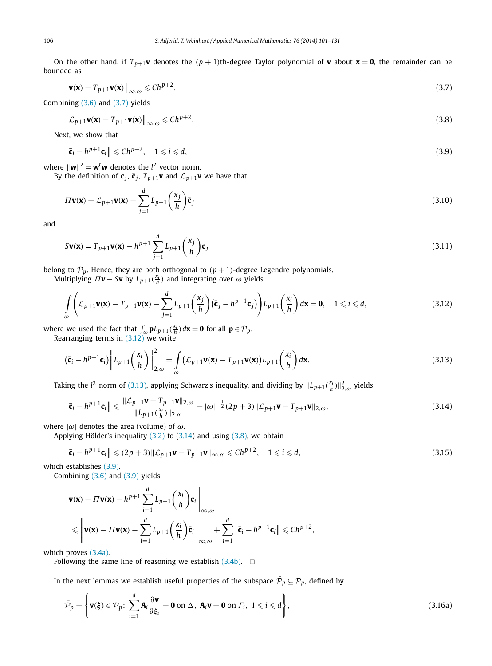<span id="page-5-0"></span>On the other hand, if  $T_{p+1}$ **v** denotes the  $(p + 1)$ th-degree Taylor polynomial of **v** about  $\mathbf{x} = \mathbf{0}$ , the remainder can be bounded as

$$
\|\mathbf{v}(\mathbf{x}) - T_{p+1}\mathbf{v}(\mathbf{x})\|_{\infty,\omega} \leq C h^{p+2}.
$$
\n(3.7)

Combining [\(3.6\)](#page-4-0) and (3.7) yields

$$
\|\mathcal{L}_{p+1}\mathbf{v}(\mathbf{x}) - T_{p+1}\mathbf{v}(\mathbf{x})\|_{\infty,\omega} \leq C h^{p+2}.
$$
\n(3.8)

Next, we show that

$$
\|\bar{\mathbf{c}}_i - h^{p+1}\mathbf{c}_i\| \leqslant Ch^{p+2}, \quad 1 \leqslant i \leqslant d,\tag{3.9}
$$

where  $\|\mathbf{w}\|^2 = \mathbf{w}^t \mathbf{w}$  denotes the  $l^2$  vector norm.

By the definition of  $\mathbf{c}_j$ ,  $\bar{\mathbf{c}}_j$ ,  $T_{p+1}\mathbf{v}$  and  $\mathcal{L}_{p+1}\mathbf{v}$  we have that

$$
\Pi \mathbf{v}(\mathbf{x}) = \mathcal{L}_{p+1} \mathbf{v}(\mathbf{x}) - \sum_{j=1}^{d} L_{p+1} \left(\frac{x_j}{h}\right) \bar{\mathbf{c}}_j
$$
\n(3.10)

and

$$
S\mathbf{v}(\mathbf{x}) = T_{p+1}\mathbf{v}(\mathbf{x}) - h^{p+1} \sum_{j=1}^{d} L_{p+1}\left(\frac{x_j}{h}\right) \mathbf{c}_j
$$
\n(3.11)

belong to  $\mathcal{P}_p$ . Hence, they are both orthogonal to  $(p + 1)$ -degree Legendre polynomials.

Multiplying  $\Pi$ **v** − *S***v** by  $L_{p+1}(\frac{x_i}{h})$  and integrating over  $\omega$  yields

$$
\int_{\omega} \left( \mathcal{L}_{p+1} \mathbf{v}(\mathbf{x}) - T_{p+1} \mathbf{v}(\mathbf{x}) - \sum_{j=1}^{d} L_{p+1} \left( \frac{x_j}{h} \right) (\bar{\mathbf{c}}_j - h^{p+1} \mathbf{c}_j) \right) L_{p+1} \left( \frac{x_i}{h} \right) d\mathbf{x} = \mathbf{0}, \quad 1 \leqslant i \leqslant d,
$$
\n(3.12)

where we used the fact that  $\int_{\omega} \mathbf{p} L_{p+1}(\frac{x_i}{h}) d\mathbf{x} = \mathbf{0}$  for all  $\mathbf{p} \in \mathcal{P}_p$ .

Rearranging terms in  $(3.12)$  we write

$$
\left(\bar{\mathbf{c}}_{i}-h^{p+1}\mathbf{c}_{i}\right)\left\|L_{p+1}\left(\frac{x_{i}}{h}\right)\right\|_{2,\omega}^{2}=\int_{\omega}\left(\mathcal{L}_{p+1}\mathbf{v}(\mathbf{x})-T_{p+1}\mathbf{v}(\mathbf{x})\right)L_{p+1}\left(\frac{x_{i}}{h}\right)d\mathbf{x}.\tag{3.13}
$$

Taking the  $l^2$  norm of (3.13), applying Schwarz's inequality, and dividing by  $\|L_{p+1}(\frac{x_i}{h})\|_{2,\omega}^2$  yields

$$
\left\|\bar{\mathbf{c}}_{i}-h^{p+1}\mathbf{c}_{i}\right\| \leqslant \frac{\|\mathcal{L}_{p+1}\mathbf{v}-T_{p+1}\mathbf{v}\|_{2,\omega}}{\|L_{p+1}(\frac{\chi_{i}}{h})\|_{2,\omega}}=|\omega|^{-\frac{1}{2}}(2p+3)\|\mathcal{L}_{p+1}\mathbf{v}-T_{p+1}\mathbf{v}\|_{2,\omega},\tag{3.14}
$$

where |*ω*| denotes the area (volume) of *ω*.

Applying Hölder's inequality [\(3.2\)](#page-4-0) to (3.14) and using (3.8), we obtain

$$
\|\bar{\mathbf{c}}_i - h^{p+1}\mathbf{c}_i\| \leqslant (2p+3)\|\mathcal{L}_{p+1}\mathbf{v} - T_{p+1}\mathbf{v}\|_{\infty,\omega} \leqslant Ch^{p+2}, \quad 1 \leqslant i \leqslant d,
$$
\n(3.15)

which establishes (3.9).

Combining [\(3.6\)](#page-4-0) and (3.9) yields

$$
\begin{aligned}\n\left\|\mathbf{v}(\mathbf{x}) - \Pi \mathbf{v}(\mathbf{x}) - h^{p+1} \sum_{i=1}^d L_{p+1} \left(\frac{x_i}{h}\right) \mathbf{c}_i \right\|_{\infty, \omega} \\
\leqslant \left\|\mathbf{v}(\mathbf{x}) - \Pi \mathbf{v}(\mathbf{x}) - \sum_{i=1}^d L_{p+1} \left(\frac{x_i}{h}\right) \bar{\mathbf{c}}_i \right\|_{\infty, \omega} + \sum_{i=1}^d \left\|\bar{\mathbf{c}}_i - h^{p+1} \mathbf{c}_i\right\| \leqslant Ch^{p+2},\n\end{aligned}
$$

which proves [\(3.4a\).](#page-4-0)

Following the same line of reasoning we establish  $(3.4b)$ .  $\Box$ 

In the next lemmas we establish useful properties of the subspace  $\bar{\mathcal{P}}_p \subseteq \mathcal{P}_p$ , defined by

$$
\bar{\mathcal{P}}_p = \left\{ \mathbf{v}(\xi) \in \mathcal{P}_p \colon \sum_{i=1}^d \mathbf{A}_i \frac{\partial \mathbf{v}}{\partial \xi_i} = \mathbf{0} \text{ on } \Delta, \ \mathbf{A}_i \mathbf{v} = \mathbf{0} \text{ on } \Gamma_i, \ 1 \leqslant i \leqslant d \right\},\tag{3.16a}
$$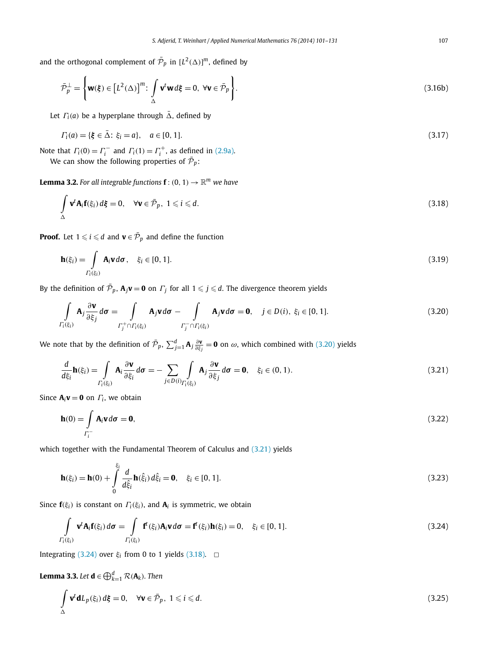<span id="page-6-0"></span>and the orthogonal complement of  $\bar{\mathcal{P}}_p$  in  $[L^2(\Delta)]^m$ , defined by

$$
\bar{\mathcal{P}}_p^{\perp} = \left\{ \mathbf{w}(\xi) \in \left[L^2(\Delta)\right]^m : \int\limits_{\Delta} \mathbf{v}^t \mathbf{w} d\xi = 0, \ \forall \mathbf{v} \in \bar{\mathcal{P}}_p \right\}.
$$
\n(3.16b)

Let  $\Gamma_i(a)$  be a hyperplane through  $\overline{\Delta}$ , defined by

$$
\Gamma_i(a) = \{ \xi \in \bar{\Delta} : \xi_i = a \}, \quad a \in [0, 1]. \tag{3.17}
$$

Note that  $\Gamma_i(0) = \Gamma_i^-$  and  $\Gamma_i(1) = \Gamma_i^+$ , as defined in [\(2.9a\).](#page-3-0) We can show the following properties of  $\bar{\mathcal{P}}_p$ :

**Lemma 3.2.** For all integrable functions  $\mathbf{f} : (0, 1) \to \mathbb{R}^m$  we have

$$
\int_{\Delta} \mathbf{v}^t \mathbf{A}_i \mathbf{f}(\xi_i) d\xi = 0, \quad \forall \mathbf{v} \in \bar{\mathcal{P}}_p, \ 1 \leqslant i \leqslant d. \tag{3.18}
$$

**Proof.** Let  $1 \leq i \leq d$  and  $\mathbf{v} \in \bar{\mathcal{P}}_p$  and define the function

$$
\mathbf{h}(\xi_i) = \int\limits_{\Gamma_i(\xi_i)} \mathbf{A}_i \mathbf{v} \, d\sigma, \quad \xi_i \in [0, 1]. \tag{3.19}
$$

By the definition of  $\bar{\mathcal{P}}_p$ ,  $\mathbf{A}_j \mathbf{v} = \mathbf{0}$  on  $\Gamma_j$  for all  $1 \leqslant j \leqslant d$ . The divergence theorem yields

$$
\int_{\Gamma_i(\xi_i)} \mathbf{A}_j \frac{\partial \mathbf{v}}{\partial \xi_j} d\sigma = \int_{\Gamma_j^+ \cap \Gamma_i(\xi_i)} \mathbf{A}_j \mathbf{v} d\sigma - \int_{\Gamma_j^- \cap \Gamma_i(\xi_i)} \mathbf{A}_j \mathbf{v} d\sigma = \mathbf{0}, \quad j \in D(i), \ \xi_i \in [0, 1].
$$
\n(3.20)

We note that by the definition of  $\bar{\cal P}_p$ ,  $\sum_{j=1}^d {\bf A}_j \frac{\partial {\bf v}}{\partial \xi_j} = {\bf 0}$  on  $\omega$ , which combined with (3.20) yields

$$
\frac{d}{d\xi_i} \mathbf{h}(\xi_i) = \int\limits_{\Gamma_i(\xi_i)} \mathbf{A}_i \frac{\partial \mathbf{v}}{\partial \xi_i} d\sigma = - \sum_{j \in D(i)} \int\limits_{\Gamma_i(\xi_i)} \mathbf{A}_j \frac{\partial \mathbf{v}}{\partial \xi_j} d\sigma = \mathbf{0}, \quad \xi_i \in (0, 1).
$$
\n(3.21)

Since  $A_i$ **v** = **0** on  $\Gamma_i$ , we obtain

$$
\mathbf{h}(0) = \int\limits_{\Gamma_i^-} \mathbf{A}_i \mathbf{v} \, d\sigma = \mathbf{0},\tag{3.22}
$$

which together with the Fundamental Theorem of Calculus and (3.21) yields

$$
\mathbf{h}(\xi_i) = \mathbf{h}(0) + \int_0^{\xi_i} \frac{d}{d\hat{\xi}_i} \mathbf{h}(\hat{\xi}_i) d\hat{\xi}_i = \mathbf{0}, \quad \xi_i \in [0, 1].
$$
\n(3.23)

Since  $f(\xi_i)$  is constant on  $\Gamma_i(\xi_i)$ , and  $A_i$  is symmetric, we obtain

$$
\int_{\Gamma_i(\xi_i)} \mathbf{v}^t \mathbf{A}_i \mathbf{f}(\xi_i) d\sigma = \int_{\Gamma_i(\xi_i)} \mathbf{f}^t(\xi_i) \mathbf{A}_i \mathbf{v} d\sigma = \mathbf{f}^t(\xi_i) \mathbf{h}(\xi_i) = 0, \quad \xi_i \in [0, 1].
$$
\n(3.24)

Integrating  $(3.24)$  over  $\xi_i$  from 0 to 1 yields  $(3.18)$ .  $\Box$ 

**Lemma 3.3.** Let  $\mathbf{d} \in \bigoplus_{k=1}^{d} \mathcal{R}(\mathbf{A}_k)$ . Then

$$
\int_{\Delta} \mathbf{v}^t \mathbf{d} L_p(\xi_i) d\xi = 0, \quad \forall \mathbf{v} \in \bar{\mathcal{P}}_p, \ 1 \leqslant i \leqslant d. \tag{3.25}
$$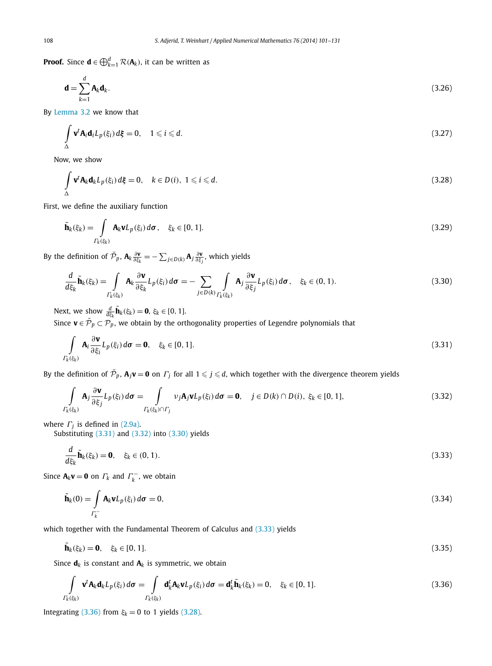**Proof.** Since **d**  $\in \bigoplus_{k=1}^{d} \mathcal{R}(A_k)$ , it can be written as

$$
\mathbf{d} = \sum_{k=1}^{d} \mathbf{A}_k \mathbf{d}_k. \tag{3.26}
$$

By [Lemma 3.2](#page-6-0) we know that

$$
\int_{\Delta} \mathbf{v}^t \mathbf{A}_i \mathbf{d}_i L_p(\xi_i) d\xi = 0, \quad 1 \leqslant i \leqslant d. \tag{3.27}
$$

Now, we show

$$
\int_{\Delta} \mathbf{v}^t \mathbf{A}_k \mathbf{d}_k L_p(\xi_i) d\xi = 0, \quad k \in D(i), \ 1 \leqslant i \leqslant d. \tag{3.28}
$$

First, we define the auxiliary function

$$
\tilde{\mathbf{h}}_k(\xi_k) = \int\limits_{\Gamma_k(\xi_k)} \mathbf{A}_k \mathbf{v} L_p(\xi_i) d\sigma, \quad \xi_k \in [0, 1].
$$
\n(3.29)

By the definition of  $\bar{\cal P}_p$ ,  ${\bf A}_k \frac{\partial {\bf v}}{\partial \xi_k} = -\sum_{j\in D(k)} {\bf A}_j \frac{\partial {\bf v}}{\partial \xi_j}$ , which yields

$$
\frac{d}{d\xi_k} \tilde{\mathbf{h}}_k(\xi_k) = \int\limits_{\Gamma_k(\xi_k)} \mathbf{A}_k \frac{\partial \mathbf{v}}{\partial \xi_k} L_p(\xi_i) d\sigma = -\sum_{j \in D(k)} \int\limits_{\Gamma_k(\xi_k)} \mathbf{A}_j \frac{\partial \mathbf{v}}{\partial \xi_j} L_p(\xi_i) d\sigma, \quad \xi_k \in (0, 1).
$$
\n(3.30)

Next, we show  $\frac{d}{d\xi_k} \tilde{\mathbf{h}}_k(\xi_k) = \mathbf{0}, \xi_k \in [0, 1].$ 

Since  $\mathbf{v} \in \bar{\mathcal{P}}_p \subset \hat{\mathcal{P}_p}$ , we obtain by the orthogonality properties of Legendre polynomials that

$$
\int_{\Gamma_k(\xi_k)} \mathbf{A}_i \frac{\partial \mathbf{v}}{\partial \xi_i} L_p(\xi_i) d\sigma = \mathbf{0}, \quad \xi_k \in [0, 1].
$$
\n(3.31)

By the definition of  $\bar{\cal P}_p$ ,  ${\bf A}_j{\bf v} = {\bf 0}$  on  $\varGamma_j$  for all  $1 \leqslant j \leqslant d$ , which together with the divergence theorem yields

$$
\int_{\Gamma_k(\xi_k)} \mathbf{A}_j \frac{\partial \mathbf{v}}{\partial \xi_j} L_p(\xi_i) d\sigma = \int_{\Gamma_k(\xi_k) \cap \Gamma_j} v_j \mathbf{A}_j \mathbf{v} L_p(\xi_i) d\sigma = \mathbf{0}, \quad j \in D(k) \cap D(i), \ \xi_k \in [0, 1],
$$
\n(3.32)

where  $\Gamma_j$  is defined in [\(2.9a\).](#page-3-0)

Substituting (3.31) and (3.32) into (3.30) yields

$$
\frac{d}{d\xi_k}\tilde{\mathbf{h}}_k(\xi_k) = \mathbf{0}, \quad \xi_k \in (0, 1). \tag{3.33}
$$

Since  $\mathbf{A}_k \mathbf{v} = \mathbf{0}$  on  $\Gamma_k$  and  $\Gamma_k^-$ , we obtain

$$
\tilde{\mathbf{h}}_k(0) = \int\limits_{\Gamma_k^-} \mathbf{A}_k \mathbf{v} L_p(\xi_i) d\sigma = 0, \tag{3.34}
$$

which together with the Fundamental Theorem of Calculus and (3.33) yields

$$
\tilde{\mathbf{h}}_k(\xi_k) = \mathbf{0}, \quad \xi_k \in [0, 1]. \tag{3.35}
$$

Since  $\mathbf{d}_k$  is constant and  $\mathbf{A}_k$  is symmetric, we obtain

$$
\int_{\Gamma_k(\xi_k)} \mathbf{v}^t \mathbf{A}_k \mathbf{d}_k L_p(\xi_i) d\sigma = \int_{\Gamma_k(\xi_k)} \mathbf{d}_k^t \mathbf{A}_k \mathbf{v} L_p(\xi_i) d\sigma = \mathbf{d}_k^t \tilde{\mathbf{h}}_k(\xi_k) = 0, \quad \xi_k \in [0, 1].
$$
\n(3.36)

Integrating (3.36) from  $\xi_k = 0$  to 1 yields (3.28).

<span id="page-7-0"></span>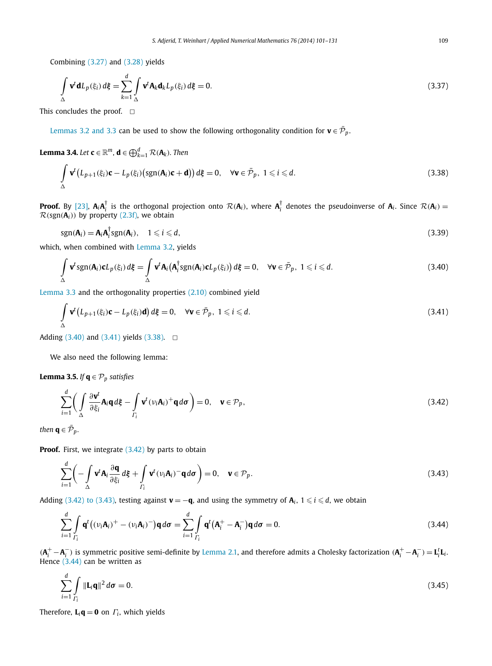<span id="page-8-0"></span>Combining [\(3.27\)](#page-7-0) and [\(3.28\)](#page-7-0) yields

$$
\int_{\Delta} \mathbf{v}^t \mathbf{d} L_p(\xi_i) d\xi = \sum_{k=1}^d \int_{\Delta} \mathbf{v}^t \mathbf{A}_k \mathbf{d}_k L_p(\xi_i) d\xi = 0.
$$
\n(3.37)

This concludes the proof.  $\Box$ 

[Lemmas 3.2 and 3.3](#page-6-0) can be used to show the following orthogonality condition for **v**  $\in \bar{\mathcal{P}}_p$ .

**Lemma 3.4.** Let  $\mathbf{c} \in \mathbb{R}^m$ ,  $\mathbf{d} \in \bigoplus_{k=1}^d \mathcal{R}(\mathbf{A}_k)$ . Then

$$
\int_{\Delta} \mathbf{v}^{t} \big( L_{p+1}(\xi_{i}) \mathbf{c} - L_{p}(\xi_{i}) \big( sgn(\mathbf{A}_{i}) \mathbf{c} + \mathbf{d} \big) \big) d\xi = 0, \quad \forall \mathbf{v} \in \bar{\mathcal{P}}_{p}, \ 1 \leqslant i \leqslant d. \tag{3.38}
$$

**Proof.** By [\[23\],](#page-30-0)  $A_i A_i^{\dagger}$  is the orthogonal projection onto  $\mathcal{R}(A_i)$ , where  $A_i^{\dagger}$  denotes the pseudoinverse of  $A_i$ . Since  $\mathcal{R}(A_i)$  =  $\mathcal{R}(\text{sgn}(\mathbf{A}_i))$  by property [\(2.3f\),](#page-2-0) we obtain

$$
sgn(\mathbf{A}_i) = \mathbf{A}_i \mathbf{A}_i^{\dagger} sgn(\mathbf{A}_i), \quad 1 \leqslant i \leqslant d,
$$
\n(3.39)

which, when combined with [Lemma 3.2,](#page-6-0) yields

$$
\int_{\Delta} \mathbf{v}^{t} sgn(\mathbf{A}_{i}) c L_{p}(\xi_{i}) d\xi = \int_{\Delta} \mathbf{v}^{t} \mathbf{A}_{i} (\mathbf{A}_{i}^{\dagger} sgn(\mathbf{A}_{i}) c L_{p}(\xi_{i})) d\xi = 0, \quad \forall \mathbf{v} \in \bar{\mathcal{P}}_{p}, \ 1 \leq i \leq d. \tag{3.40}
$$

[Lemma 3.3](#page-6-0) and the orthogonality properties [\(2.10\)](#page-3-0) combined yield

$$
\int_{\Delta} \mathbf{v}^t \big( L_{p+1}(\xi_i) \mathbf{c} - L_p(\xi_i) \mathbf{d} \big) d\xi = 0, \quad \forall \mathbf{v} \in \bar{\mathcal{P}}_p, \ 1 \leqslant i \leqslant d. \tag{3.41}
$$

Adding  $(3.40)$  and  $(3.41)$  yields  $(3.38)$ .  $\Box$ 

We also need the following lemma:

**Lemma 3.5.** *If*  $\mathbf{q} \in \mathcal{P}_p$  *satisfies* 

$$
\sum_{i=1}^{d} \left( \int_{\Delta} \frac{\partial \mathbf{v}^t}{\partial \xi_i} \mathbf{A}_i \mathbf{q} d\xi - \int_{\Gamma_i} \mathbf{v}^t (\nu_i \mathbf{A}_i)^+ \mathbf{q} d\sigma \right) = 0, \quad \mathbf{v} \in \mathcal{P}_p,
$$
\n(3.42)

*then*  $\mathbf{q} \in \bar{\mathcal{P}}_p$ *.* 

**Proof.** First, we integrate (3.42) by parts to obtain

$$
\sum_{i=1}^{d} \left( -\int_{\Delta} \mathbf{v}^{t} \mathbf{A}_{i} \frac{\partial \mathbf{q}}{\partial \xi_{i}} d\xi + \int_{\Gamma_{i}} \mathbf{v}^{t} (\nu_{i} \mathbf{A}_{i})^{-} \mathbf{q} d\sigma \right) = 0, \quad \mathbf{v} \in \mathcal{P}_{p}.
$$
\n(3.43)

Adding (3.42) to (3.43), testing against  $\mathbf{v} = -\mathbf{q}$ , and using the symmetry of  $\mathbf{A}_i$ ,  $1 \leq i \leq d$ , we obtain

$$
\sum_{i=1}^{d} \int_{\Gamma_i} \mathbf{q}^t \big( (\nu_i \mathbf{A}_i)^+ - (\nu_i \mathbf{A}_i)^- \big) \mathbf{q} \, d\sigma = \sum_{i=1}^{d} \int_{\Gamma_i} \mathbf{q}^t \big( \mathbf{A}_i^+ - \mathbf{A}_i^- \big) \mathbf{q} \, d\sigma = 0. \tag{3.44}
$$

 $(A_i^+ - A_i^-)$  is symmetric positive semi-definite by [Lemma 2.1,](#page-2-0) and therefore admits a Cholesky factorization  $(A_i^+ - A_i^-) = L_i^t L_i$ . Hence (3.44) can be written as

$$
\sum_{i=1}^{d} \int\limits_{\Gamma_i} \|\mathbf{L}_i \mathbf{q}\|^2 d\sigma = 0. \tag{3.45}
$$

Therefore,  $\mathbf{L}_i \mathbf{q} = \mathbf{0}$  on  $\Gamma_i$ , which yields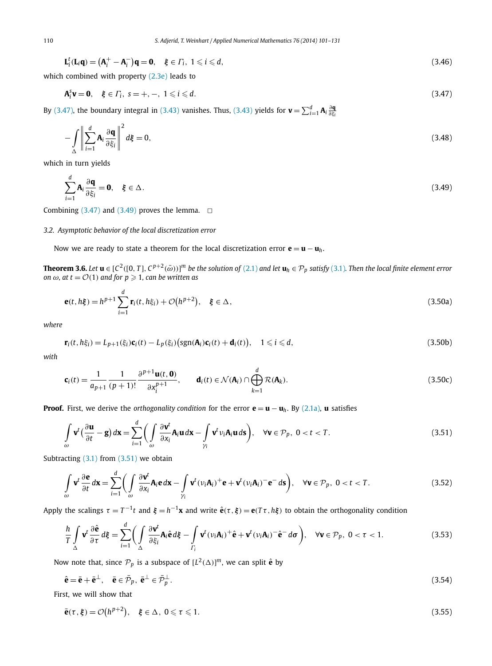$$
\mathbf{L}_i^t(\mathbf{L}_i\mathbf{q}) = (\mathbf{A}_i^+ - \mathbf{A}_i^-)\mathbf{q} = \mathbf{0}, \quad \xi \in \Gamma_i, \ 1 \leqslant i \leqslant d,
$$
\n(3.46)

which combined with property  $(2.3e)$  leads to

$$
\mathbf{A}_i^s \mathbf{v} = \mathbf{0}, \quad \xi \in \Gamma_i, \ s = +, -, \ 1 \leq i \leq d. \tag{3.47}
$$

By (3.47), the boundary integral in [\(3.43\)](#page-8-0) vanishes. Thus, (3.43) yields for  $\mathbf{v} = \sum_{i=1}^{d} \mathbf{A}_i \frac{\partial \mathbf{q}}{\partial \xi_i}$ 

$$
-\int_{\Delta} \left\| \sum_{i=1}^{d} \mathbf{A}_i \frac{\partial \mathbf{q}}{\partial \xi_i} \right\|^2 d\xi = 0, \tag{3.48}
$$

which in turn yields *d*

$$
\sum_{i=1}^{a} \mathbf{A}_i \frac{\partial \mathbf{q}}{\partial \xi_i} = \mathbf{0}, \quad \xi \in \Delta. \tag{3.49}
$$

Combining  $(3.47)$  and  $(3.49)$  proves the lemma.  $\Box$ 

#### *3.2. Asymptotic behavior of the local discretization error*

*d*

Now we are ready to state a theorem for the local discretization error  $\mathbf{e} = \mathbf{u} - \mathbf{u}_h$ .

**Theorem 3.6.** Let  $\mathbf{u} \in [C^2([0, T], C^{p+2}(\bar{\omega}))]^m$  be the solution of  $(2.1)$  and let  $\mathbf{u}_h \in \mathcal{P}_p$  satisfy  $(3.1)$ . Then the local finite element error *on*  $\omega$ *, at*  $t = \mathcal{O}(1)$  *and for*  $p \ge 1$ *, can be written as* 

$$
\mathbf{e}(t, h\xi) = h^{p+1} \sum_{i=1}^{a} \mathbf{r}_i(t, h\xi_i) + \mathcal{O}(h^{p+2}), \quad \xi \in \Delta,
$$
\n(3.50a)

*where*

$$
\mathbf{r}_i(t, h\xi_i) = L_{p+1}(\xi_i)\mathbf{c}_i(t) - L_p(\xi_i)\big(\text{sgn}(\mathbf{A}_i)\mathbf{c}_i(t) + \mathbf{d}_i(t)\big), \quad 1 \leq i \leq d,
$$
\n(3.50b)

*with*

$$
\mathbf{c}_i(t) = \frac{1}{a_{p+1}} \frac{1}{(p+1)!} \frac{\partial^{p+1} \mathbf{u}(t, \mathbf{0})}{\partial x_i^{p+1}}, \qquad \mathbf{d}_i(t) \in \mathcal{N}(\mathbf{A}_i) \cap \bigoplus_{k=1}^d \mathcal{R}(\mathbf{A}_k).
$$
 (3.50c)

**Proof.** First, we derive the *orthogonality condition* for the error  $\mathbf{e} = \mathbf{u} - \mathbf{u}_h$ . By [\(2.1a\),](#page-1-0) **u** satisfies

$$
\int_{\omega} \mathbf{v}^{t} \left( \frac{\partial \mathbf{u}}{\partial t} - \mathbf{g} \right) d\mathbf{x} = \sum_{i=1}^{d} \left( \int_{\omega} \frac{\partial \mathbf{v}^{t}}{\partial x_{i}} \mathbf{A}_{i} \mathbf{u} d\mathbf{x} - \int_{\gamma_{i}} \mathbf{v}^{t} v_{i} \mathbf{A}_{i} \mathbf{u} d\mathbf{s} \right), \quad \forall \mathbf{v} \in \mathcal{P}_{p}, \ 0 < t < T.
$$
\n(3.51)

Subtracting [\(3.1\)](#page-4-0) from (3.51) we obtain

$$
\int_{\omega} \mathbf{v}^{t} \frac{\partial \mathbf{e}}{\partial t} d\mathbf{x} = \sum_{i=1}^{d} \left( \int_{\omega} \frac{\partial \mathbf{v}^{t}}{\partial x_{i}} \mathbf{A}_{i} \mathbf{e} d\mathbf{x} - \int_{\gamma_{i}} \mathbf{v}^{t} (\nu_{i} \mathbf{A}_{i})^{+} \mathbf{e} + \mathbf{v}^{t} (\nu_{i} \mathbf{A}_{i})^{-} \mathbf{e}^{-} d\mathbf{x} \right), \quad \forall \mathbf{v} \in \mathcal{P}_{p}, \ 0 < t < T.
$$
\n(3.52)

Apply the scalings  $\tau = T^{-1}t$  and  $\xi = h^{-1}x$  and write  $\hat{\mathbf{e}}(\tau, \xi) = \mathbf{e}(T\tau, h\xi)$  to obtain the orthogonality condition

$$
\frac{h}{T} \int_{\Delta} \mathbf{v}^{t} \frac{\partial \hat{\mathbf{e}}}{\partial \tau} d\xi = \sum_{i=1}^{d} \bigg( \int_{\Delta} \frac{\partial \mathbf{v}^{t}}{\partial \xi_{i}} \mathbf{A}_{i} \hat{\mathbf{e}} d\xi - \int_{\Gamma_{i}} \mathbf{v}^{t} (\nu_{i} \mathbf{A}_{i})^{+} \hat{\mathbf{e}} + \mathbf{v}^{t} (\nu_{i} \mathbf{A}_{i})^{-} \hat{\mathbf{e}}^{-} d\sigma \bigg), \quad \forall \mathbf{v} \in \mathcal{P}_{p}, \ 0 < \tau < 1. \tag{3.53}
$$

Now note that, since  $\mathcal{P}_p$  is a subspace of  $[L^2(\Delta)]^m$ , we can split  $\hat{\mathbf{e}}$  by

$$
\hat{\mathbf{e}} = \bar{\mathbf{e}} + \bar{\mathbf{e}}^{\perp}, \quad \bar{\mathbf{e}} \in \bar{\mathcal{P}}_p, \ \bar{\mathbf{e}}^{\perp} \in \bar{\mathcal{P}}_p^{\perp}.
$$
\n(3.54)

First, we will show that

$$
\bar{\mathbf{e}}(\tau,\xi) = \mathcal{O}\big(h^{p+2}\big), \quad \xi \in \Delta, \ 0 \leq \tau \leq 1. \tag{3.55}
$$

<span id="page-9-0"></span>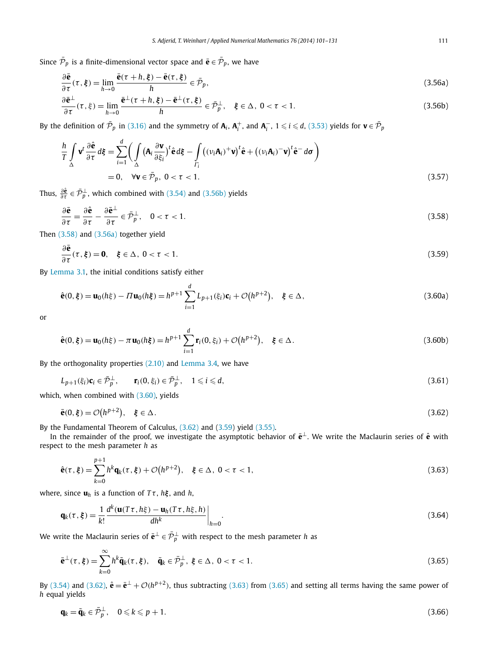<span id="page-10-0"></span>Since  $\bar{\mathcal{P}}_p$  is a finite-dimensional vector space and  $\bar{\mathbf{e}} \in \bar{\mathcal{P}}_p$ , we have

$$
\frac{\partial \bar{\mathbf{e}}}{\partial \tau}(\tau, \xi) = \lim_{h \to 0} \frac{\bar{\mathbf{e}}(\tau + h, \xi) - \bar{\mathbf{e}}(\tau, \xi)}{h} \in \bar{\mathcal{P}}_p,\tag{3.56a}
$$

$$
\frac{\partial \bar{\mathbf{e}}^{\perp}}{\partial \tau}(\tau,\xi) = \lim_{h \to 0} \frac{\bar{\mathbf{e}}^{\perp}(\tau+h,\xi) - \bar{\mathbf{e}}^{\perp}(\tau,\xi)}{h} \in \bar{\mathcal{P}}_{p}^{\perp}, \quad \xi \in \Delta, \ 0 < \tau < 1. \tag{3.56b}
$$

By the definition of  $\bar{\mathcal{P}}_p$  in [\(3.16\)](#page-5-0) and the symmetry of  $\mathbf{A}_i$ ,  $\mathbf{A}_i^+$ , and  $\mathbf{A}_i^-$ ,  $1 \leqslant i \leqslant d$ , [\(3.53\)](#page-9-0) yields for  $\mathbf{v} \in \bar{\mathcal{P}}_p$ 

$$
\frac{h}{T} \int_{\Delta} \mathbf{v}^{t} \frac{\partial \hat{\mathbf{e}}}{\partial \tau} d\xi = \sum_{i=1}^{d} \left( \int_{\Delta} (\mathbf{A}_{i} \frac{\partial \mathbf{v}}{\partial \xi_{i}})^{t} \hat{\mathbf{e}} d\xi - \int_{\Gamma_{i}} \left( (\nu_{i} \mathbf{A}_{i})^{+} \mathbf{v} \right)^{t} \hat{\mathbf{e}} + \left( (\nu_{i} \mathbf{A}_{i})^{-} \mathbf{v} \right)^{t} \hat{\mathbf{e}}^{-} d\sigma \right)
$$
\n
$$
= 0, \quad \forall \mathbf{v} \in \bar{\mathcal{P}}_{p}, \ 0 < \tau < 1. \tag{3.57}
$$

Thus,  $\frac{\partial \hat{\bf e}}{\partial \tau} \in \bar{\cal P}_p^{\perp}$ , which combined with [\(3.54\)](#page-9-0) and (3.56b) yields

$$
\frac{\partial \bar{\mathbf{e}}}{\partial \tau} = \frac{\partial \hat{\mathbf{e}}}{\partial \tau} - \frac{\partial \bar{\mathbf{e}}^{\perp}}{\partial \tau} \in \bar{\mathcal{P}}_p^{\perp}, \quad 0 < \tau < 1. \tag{3.58}
$$

Then (3.58) and (3.56a) together yield

$$
\frac{\partial \bar{\mathbf{e}}}{\partial \tau}(\tau, \xi) = \mathbf{0}, \quad \xi \in \Delta, \ 0 < \tau < 1. \tag{3.59}
$$

By [Lemma 3.1,](#page-4-0) the initial conditions satisfy either

$$
\hat{\mathbf{e}}(0,\xi) = \mathbf{u}_0(h\xi) - \Pi \mathbf{u}_0(h\xi) = h^{p+1} \sum_{i=1}^d L_{p+1}(\xi_i) \mathbf{c}_i + \mathcal{O}(h^{p+2}), \quad \xi \in \Delta,
$$
\n(3.60a)

or

$$
\hat{\mathbf{e}}(0,\xi) = \mathbf{u}_0(h\xi) - \pi \mathbf{u}_0(h\xi) = h^{p+1} \sum_{i=1}^d \mathbf{r}_i(0,\xi_i) + \mathcal{O}(h^{p+2}), \quad \xi \in \Delta.
$$
 (3.60b)

By the orthogonality properties  $(2.10)$  and [Lemma 3.4,](#page-8-0) we have

$$
L_{p+1}(\xi_i)\mathbf{c}_i \in \bar{\mathcal{P}}_p^{\perp}, \qquad \mathbf{r}_i(0,\xi_i) \in \bar{\mathcal{P}}_p^{\perp}, \quad 1 \leqslant i \leqslant d,
$$
\n(3.61)

which, when combined with (3.60), yields

$$
\bar{\mathbf{e}}(0,\xi) = \mathcal{O}\big(h^{p+2}\big), \quad \xi \in \Delta. \tag{3.62}
$$

By the Fundamental Theorem of Calculus, (3.62) and (3.59) yield [\(3.55\).](#page-9-0)

In the remainder of the proof, we investigate the asymptotic behavior of  $\bar{e}^{\perp}$ . We write the Maclaurin series of  $\hat{e}$  with respect to the mesh parameter *h* as

$$
\hat{\mathbf{e}}(\tau,\xi) = \sum_{k=0}^{p+1} h^k \mathbf{q}_k(\tau,\xi) + \mathcal{O}(h^{p+2}), \quad \xi \in \Delta, \ 0 < \tau < 1,\tag{3.63}
$$

where, since  $\mathbf{u}_h$  is a function of  $T\tau$ ,  $h\xi$ , and  $h$ ,

$$
\mathbf{q}_k(\tau,\xi) = \frac{1}{k!} \frac{d^k(\mathbf{u}(T\tau,h\xi) - \mathbf{u}_h(T\tau,h\xi,h))}{dh^k} \bigg|_{h=0}.
$$
\n(3.64)

We write the Maclaurin series of  $\bar{\mathbf{e}}^\perp \in \bar{\mathcal{P}}^\perp_p$  with respect to the mesh parameter *h* as

$$
\bar{\mathbf{e}}^{\perp}(\tau,\xi)=\sum_{k=0}^{\infty}h^{k}\tilde{\mathbf{q}}_{k}(\tau,\xi),\quad\tilde{\mathbf{q}}_{k}\in\bar{\mathcal{P}}_{p}^{\perp},\ \xi\in\Delta,\ 0<\tau<1.
$$
\n(3.65)

By [\(3.54\)](#page-9-0) and (3.62),  $\hat{\mathbf{e}} = \bar{\mathbf{e}}^{\perp} + \mathcal{O}(h^{p+2})$ , thus subtracting (3.63) from (3.65) and setting all terms having the same power of *h* equal yields

$$
\mathbf{q}_k = \tilde{\mathbf{q}}_k \in \bar{\mathcal{P}}_p^{\perp}, \quad 0 \leqslant k \leqslant p+1. \tag{3.66}
$$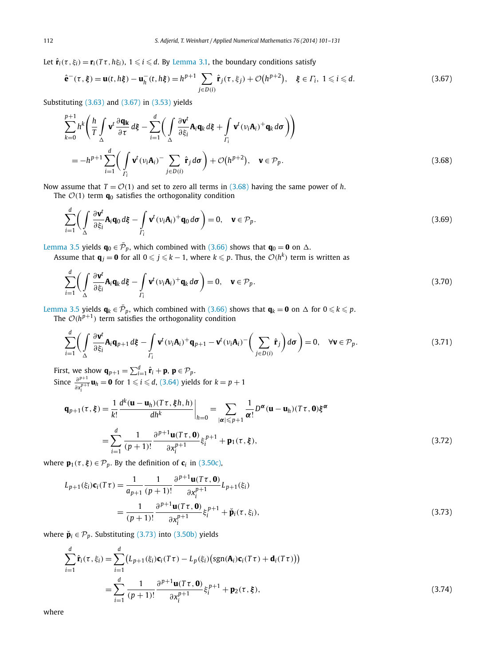<span id="page-11-0"></span>Let  $\hat{\mathbf{r}}_i(\tau,\xi_i) = \mathbf{r}_i(T\tau,h\xi_i)$ ,  $1 \leqslant i \leqslant d$ . By [Lemma 3.1,](#page-4-0) the boundary conditions satisfy

$$
\hat{\mathbf{e}}^{-}(\tau,\xi) = \mathbf{u}(t,h\xi) - \mathbf{u}_h^{-}(t,h\xi) = h^{p+1} \sum_{j \in D(i)} \hat{\mathbf{r}}_j(\tau,\xi_j) + \mathcal{O}(h^{p+2}), \quad \xi \in \Gamma_i, \ 1 \leq i \leq d. \tag{3.67}
$$

Substituting [\(3.63\)](#page-10-0) and (3.67) in [\(3.53\)](#page-9-0) yields

$$
\sum_{k=0}^{p+1} h^k \left( \frac{h}{T} \int_{\Delta} \mathbf{v}^t \frac{\partial \mathbf{q}_k}{\partial \tau} d\xi - \sum_{i=1}^d \left( \int_{\Delta} \frac{\partial \mathbf{v}^t}{\partial \xi_i} \mathbf{A}_i \mathbf{q}_k d\xi + \int_{\Gamma_i} \mathbf{v}^t (\nu_i \mathbf{A}_i)^+ \mathbf{q}_k d\sigma \right) \right)
$$
  
=  $-h^{p+1} \sum_{i=1}^d \left( \int_{\Gamma_i} \mathbf{v}^t (\nu_i \mathbf{A}_i)^- \sum_{j \in D(i)} \hat{\mathbf{r}}_j d\sigma \right) + \mathcal{O}(h^{p+2}), \quad \mathbf{v} \in \mathcal{P}_p.$  (3.68)

Now assume that  $T = \mathcal{O}(1)$  and set to zero all terms in  $(3.68)$  having the same power of *h*.

The  $O(1)$  term  $q_0$  satisfies the orthogonality condition

$$
\sum_{i=1}^{d} \left( \int_{\Delta} \frac{\partial \mathbf{v}^t}{\partial \xi_i} \mathbf{A}_i \mathbf{q}_0 d\xi - \int_{\Gamma_i} \mathbf{v}^t (\nu_i \mathbf{A}_i)^+ \mathbf{q}_0 d\sigma \right) = 0, \quad \mathbf{v} \in \mathcal{P}_p.
$$
\n(3.69)

[Lemma 3.5](#page-8-0) yields  $\mathbf{q}_0 \in \bar{\mathcal{P}}_p$ , which combined with [\(3.66\)](#page-10-0) shows that  $\mathbf{q}_0 = \mathbf{0}$  on  $\Delta$ .

Assume that  $\mathbf{q}_j = \mathbf{0}$  for all  $0 \leqslant j \leqslant k - 1$ , where  $k \leqslant p$ . Thus, the  $\mathcal{O}(h^k)$  term is written as

$$
\sum_{i=1}^{a} \left( \int\limits_{\Delta} \frac{\partial \mathbf{v}^t}{\partial \xi_i} \mathbf{A}_i \mathbf{q}_k d\xi - \int\limits_{\Gamma_i} \mathbf{v}^t (\nu_i \mathbf{A}_i)^+ \mathbf{q}_k d\sigma \right) = 0, \quad \mathbf{v} \in \mathcal{P}_p.
$$
\n(3.70)

[Lemma 3.5](#page-8-0) yields  $\mathbf{q}_k \in \overline{\mathcal{P}}_p$ , which combined with [\(3.66\)](#page-10-0) shows that  $\mathbf{q}_k = \mathbf{0}$  on  $\Delta$  for  $0 \le k \le p$ .<br>The  $\mathcal{O}(h^{p+1})$  term satisfies the orthogonality condition

$$
\sum_{i=1}^{d} \left( \int_{\Delta} \frac{\partial \mathbf{v}^t}{\partial \xi_i} \mathbf{A}_i \mathbf{q}_{p+1} d\xi - \int_{\Gamma_i} \mathbf{v}^t (\nu_i \mathbf{A}_i)^+ \mathbf{q}_{p+1} - \mathbf{v}^t (\nu_i \mathbf{A}_i)^- \left( \sum_{j \in D(i)} \hat{\mathbf{r}}_j \right) d\sigma \right) = 0, \quad \forall \mathbf{v} \in \mathcal{P}_p.
$$
\n(3.71)

First, we show  $\mathbf{q}_{p+1} = \sum_{i=1}^{d} \hat{\mathbf{r}}_i + \mathbf{p}, \mathbf{p} \in \mathcal{P}_p$ . Since  $\frac{\partial^{p+1}}{\partial x_i^{p+1}} \mathbf{u}_h = \mathbf{0}$  for  $1 \leq i \leq d$ , [\(3.64\)](#page-10-0) yields for  $k = p + 1$ 

$$
\mathbf{q}_{p+1}(\tau,\xi) = \frac{1}{k!} \frac{d^k(\mathbf{u}-\mathbf{u}_h)(T\tau,\xi h,h)}{dh^k} \bigg|_{h=0} = \sum_{|\alpha| \leq p+1} \frac{1}{\alpha!} D^{\alpha}(\mathbf{u}-\mathbf{u}_h)(T\tau,\mathbf{0}) \xi^{\alpha}
$$

$$
= \sum_{i=1}^d \frac{1}{(p+1)!} \frac{\partial^{p+1}\mathbf{u}(T\tau,\mathbf{0})}{\partial x_i^{p+1}} \xi_i^{p+1} + \mathbf{p}_1(\tau,\xi), \tag{3.72}
$$

where  $\mathbf{p}_1(\tau, \xi) \in \mathcal{P}_p$ . By the definition of  $\mathbf{c}_i$  in [\(3.50c\),](#page-9-0)

$$
L_{p+1}(\xi_i)\mathbf{c}_i(T\tau) = \frac{1}{a_{p+1}} \frac{1}{(p+1)!} \frac{\partial^{p+1}\mathbf{u}(T\tau,\mathbf{0})}{\partial x_i^{p+1}} L_{p+1}(\xi_i)
$$
  
= 
$$
\frac{1}{(p+1)!} \frac{\partial^{p+1}\mathbf{u}(T\tau,\mathbf{0})}{\partial x_i^{p+1}} \xi_i^{p+1} + \mathbf{p}_i(\tau,\xi_i),
$$
(3.73)

where  $\mathbf{\check{p}}_i \in \mathcal{P}_p$ . Substituting (3.73) into [\(3.50b\)](#page-9-0) yields

$$
\sum_{i=1}^{d} \hat{\mathbf{r}}_i(\tau, \xi_i) = \sum_{i=1}^{d} \left( L_{p+1}(\xi_i) \mathbf{c}_i(T\tau) - L_p(\xi_i) \left( \text{sgn}(\mathbf{A}_i) \mathbf{c}_i(T\tau) + \mathbf{d}_i(T\tau) \right) \right)
$$
\n
$$
= \sum_{i=1}^{d} \frac{1}{(p+1)!} \frac{\partial^{p+1} \mathbf{u}(T\tau, \mathbf{0})}{\partial x_i^{p+1}} \xi_i^{p+1} + \mathbf{p}_2(\tau, \xi), \tag{3.74}
$$

where

*d*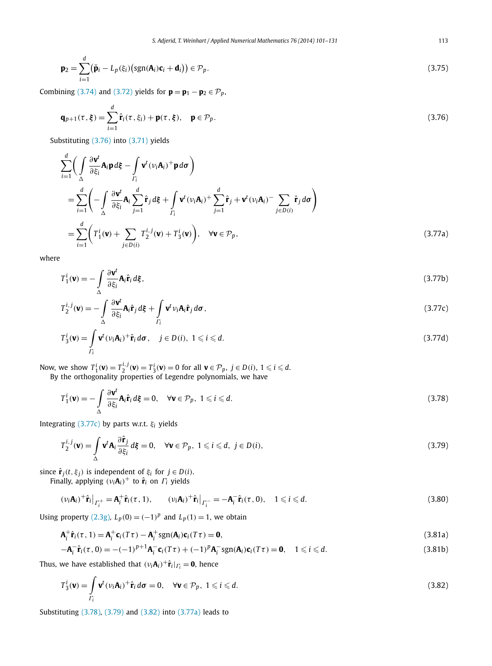<span id="page-12-0"></span>
$$
\mathbf{p}_2 = \sum_{i=1}^d (\check{\mathbf{p}}_i - L_p(\xi_i)(\text{sgn}(\mathbf{A}_i)\mathbf{c}_i + \mathbf{d}_i)) \in \mathcal{P}_p.
$$
\n(3.75)

Combining [\(3.74\)](#page-11-0) and [\(3.72\)](#page-11-0) yields for  $\mathbf{p} = \mathbf{p}_1 - \mathbf{p}_2 \in \mathcal{P}_p$ ,

$$
\mathbf{q}_{p+1}(\tau,\xi) = \sum_{i=1}^d \hat{\mathbf{r}}_i(\tau,\xi_i) + \mathbf{p}(\tau,\xi), \quad \mathbf{p} \in \mathcal{P}_p.
$$
 (3.76)

Substituting (3.76) into [\(3.71\)](#page-11-0) yields

$$
\sum_{i=1}^{d} \left( \int_{\Delta} \frac{\partial \mathbf{v}^{t}}{\partial \xi_{i}} \mathbf{A}_{i} \mathbf{p} d \xi - \int_{\Gamma_{i}} \mathbf{v}^{t} (\nu_{i} \mathbf{A}_{i})^{+} \mathbf{p} d \sigma \right)
$$
\n
$$
= \sum_{i=1}^{d} \left( - \int_{\Delta} \frac{\partial \mathbf{v}^{t}}{\partial \xi_{i}} \mathbf{A}_{i} \sum_{j=1}^{d} \hat{\mathbf{r}}_{j} d \xi + \int_{\Gamma_{i}} \mathbf{v}^{t} (\nu_{i} \mathbf{A}_{i})^{+} \sum_{j=1}^{d} \hat{\mathbf{r}}_{j} + \mathbf{v}^{t} (\nu_{i} \mathbf{A}_{i})^{-} \sum_{j \in D(i)} \hat{\mathbf{r}}_{j} d \sigma \right)
$$
\n
$$
= \sum_{i=1}^{d} \left( T_{1}^{i}(\mathbf{v}) + \sum_{j \in D(i)} T_{2}^{i,j}(\mathbf{v}) + T_{3}^{i}(\mathbf{v}) \right), \quad \forall \mathbf{v} \in \mathcal{P}_{p}, \tag{3.77a}
$$

where

*d*

$$
T_1^i(\mathbf{v}) = -\int\limits_{\Delta} \frac{\partial \mathbf{v}^t}{\partial \xi_i} \mathbf{A}_i \hat{\mathbf{r}}_i d\xi, \tag{3.77b}
$$

$$
T_2^{i,j}(\mathbf{v}) = -\int\limits_{\Delta} \frac{\partial \mathbf{v}^t}{\partial \xi_i} \mathbf{A}_i \hat{\mathbf{r}}_j d\xi + \int\limits_{\Gamma_i} \mathbf{v}^t \nu_i \mathbf{A}_i \hat{\mathbf{r}}_j d\sigma, \qquad (3.77c)
$$

$$
T_3^i(\mathbf{v}) = \int\limits_{\Gamma_i} \mathbf{v}^t(\nu_i \mathbf{A}_i)^+ \hat{\mathbf{r}}_i d\sigma, \quad j \in D(i), \ 1 \leqslant i \leqslant d. \tag{3.77d}
$$

Now, we show  $T_1^i(\mathbf{v}) = T_2^{i,j}(\mathbf{v}) = T_3^i(\mathbf{v}) = 0$  for all  $\mathbf{v} \in \mathcal{P}_p$ ,  $j \in D(i)$ ,  $1 \leq i \leq d$ . By the orthogonality properties of Legendre polynomials, we have

$$
T_1^i(\mathbf{v}) = -\int\limits_{\Delta} \frac{\partial \mathbf{v}^t}{\partial \xi_i} \mathbf{A}_i \hat{\mathbf{r}}_i d\xi = 0, \quad \forall \mathbf{v} \in \mathcal{P}_p, \ 1 \leqslant i \leqslant d. \tag{3.78}
$$

Integrating (3.77c) by parts w.r.t. *ξ<sup>i</sup>* yields

$$
T_2^{i,j}(\mathbf{v}) = \int\limits_{\Delta} \mathbf{v}^t \mathbf{A}_i \frac{\partial \hat{\mathbf{r}}_j}{\partial \xi_i} d\xi = 0, \quad \forall \mathbf{v} \in \mathcal{P}_p, \ 1 \leq i \leq d, \ j \in D(i), \tag{3.79}
$$

since  $\hat{\mathbf{r}}_j(t, \xi_j)$  is independent of  $\xi_i$  for  $j \in D(i)$ .

Finally, applying  $(\nu_i \mathbf{A}_i)^+$  to  $\hat{\mathbf{r}}_i$  on  $\varGamma_i$  yields

$$
(\nu_i \mathbf{A}_i)^+ \hat{\mathbf{r}}_i \big|_{\Gamma_i^+} = \mathbf{A}_i^+ \hat{\mathbf{r}}_i(\tau, 1), \qquad (\nu_i \mathbf{A}_i)^+ \hat{\mathbf{r}}_i \big|_{\Gamma_i^-} = -\mathbf{A}_i^- \hat{\mathbf{r}}_i(\tau, 0), \quad 1 \leqslant i \leqslant d. \tag{3.80}
$$

Using property [\(2.3g\),](#page-2-0)  $L_p(0) = (-1)^p$  and  $L_p(1) = 1$ , we obtain

$$
\mathbf{A}_i^+\hat{\mathbf{r}}_i(\tau,1) = \mathbf{A}_i^+\mathbf{c}_i(T\tau) - \mathbf{A}_i^+\text{sgn}(\mathbf{A}_i)\mathbf{c}_i(T\tau) = \mathbf{0},\tag{3.81a}
$$

$$
-\mathbf{A}_i^-\hat{\mathbf{r}}_i(\tau,0) = -(-1)^{p+1}\mathbf{A}_i^-\mathbf{c}_i(T\tau) + (-1)^p\mathbf{A}_i^-\text{sgn}(\mathbf{A}_i)\mathbf{c}_i(T\tau) = \mathbf{0}, \quad 1 \leq i \leq d. \tag{3.81b}
$$

Thus, we have established that  $(v_i \mathbf{A}_i)^+ \hat{\mathbf{r}}_i |_{\Gamma_i} = \mathbf{0}$ , hence

$$
T_3^i(\mathbf{v}) = \int\limits_{\Gamma_i} \mathbf{v}^t(\nu_i \mathbf{A}_i)^+ \hat{\mathbf{r}}_i d\sigma = 0, \quad \forall \mathbf{v} \in \mathcal{P}_p, \ 1 \leqslant i \leqslant d. \tag{3.82}
$$

Substituting (3.78), (3.79) and (3.82) into (3.77a) leads to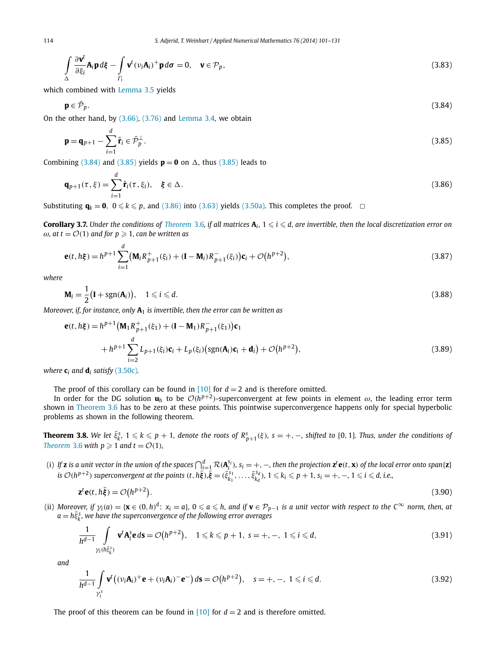$$
\int_{\Delta} \frac{\partial \mathbf{v}^t}{\partial \xi_i} \mathbf{A}_i \mathbf{p} d\xi - \int_{\Gamma_i} \mathbf{v}^t (\nu_i \mathbf{A}_i)^+ \mathbf{p} d\sigma = 0, \quad \mathbf{v} \in \mathcal{P}_p,
$$
\n(3.83)

which combined with [Lemma 3.5](#page-8-0) yields

$$
\mathbf{p} \in \bar{\mathcal{P}}_p. \tag{3.84}
$$

On the other hand, by  $(3.66)$ ,  $(3.76)$  and [Lemma 3.4,](#page-8-0) we obtain

$$
\mathbf{p} = \mathbf{q}_{p+1} - \sum_{i=1}^{d} \hat{\mathbf{r}}_i \in \bar{\mathcal{P}}_p^{\perp}.
$$
\n(3.85)

Combining (3.84) and (3.85) yields  $\mathbf{p} = \mathbf{0}$  on  $\Delta$ , thus (3.85) leads to

$$
\mathbf{q}_{p+1}(\tau,\xi) = \sum_{i=1}^{d} \hat{\mathbf{r}}_i(\tau,\xi_i), \quad \xi \in \Delta.
$$
 (3.86)

Substituting  $\mathbf{q}_k = \mathbf{0}$ ,  $0 \le k \le p$ , and (3.86) into [\(3.63\)](#page-10-0) yields [\(3.50a\).](#page-9-0) This completes the proof.  $\Box$ 

 ${\sf Corollary 3.7}.$  Under the conditions of [Theorem](#page-9-0) 3.6, if all matrices  ${\sf A}_i,$   $1\leqslant i\leqslant d,$  are invertible, then the local discretization error on  $$ 

$$
\mathbf{e}(t,h\xi) = h^{p+1} \sum_{i=1}^{d} (\mathbf{M}_i R_{p+1}^+(\xi_i) + (\mathbf{I} - \mathbf{M}_i) R_{p+1}^-(\xi_i)) \mathbf{c}_i + \mathcal{O}(h^{p+2}),
$$
\n(3.87)

*where*

$$
\mathbf{M}_i = \frac{1}{2} \big( \mathbf{I} + \text{sgn}(\mathbf{A}_i) \big), \quad 1 \leqslant i \leqslant d. \tag{3.88}
$$

*Moreover, if, for instance, only* **A**<sup>1</sup> *is invertible, then the error can be written as*

$$
\mathbf{e}(t, h\xi) = h^{p+1} (\mathbf{M}_1 R_{p+1}^+(\xi_1) + (\mathbf{I} - \mathbf{M}_1) R_{p+1}^-(\xi_1)) \mathbf{c}_1 + h^{p+1} \sum_{i=2}^d L_{p+1}(\xi_i) \mathbf{c}_i + L_p(\xi_i) (\text{sgn}(\mathbf{A}_i) \mathbf{c}_i + \mathbf{d}_i) + \mathcal{O}(h^{p+2}),
$$
(3.89)

*where*  $\mathbf{c}_i$  *and*  $\mathbf{d}_i$  *satisfy* [\(3.50c\)](#page-9-0)*.* 

The proof of this corollary can be found in  $[10]$  for  $d = 2$  and is therefore omitted.

In order for the DG solution  $\mathbf{u}_h$  to be  $O(h^{p+2})$ -superconvergent at few points in element  $\omega$ , the leading error term shown in [Theorem 3.6](#page-9-0) has to be zero at these points. This pointwise superconvergence happens only for special hyperbolic problems as shown in the following theorem.

**Theorem 3.8.** We let  $\bar{\xi}_k^s$ ,  $1\leqslant k\leqslant p+1$ , denote the roots of  $R_{p+1}^s(\xi)$ ,  $s=+,-$ , shifted to [0, 1]. Thus, under the conditions oj *[Theorem](#page-9-0)* 3.6 *with*  $p \ge 1$  *and*  $t = \mathcal{O}(1)$ *,* 

(i) If **z** is a unit vector in the union of the spaces  $\bigcap_{i=1}^d \mathcal{R}(A_i^{s_i})$ ,  $s_i = +, -$ , then the projection  $z^t e(t, x)$  of the local error onto span{**z**} is  $\mathcal{O}(h^{p+2})$  superconvergent at the points  $(t, h\bar{\xi}), \bar{\xi} = (\bar{\xi}_{k_1}^{s_1}, \dots, \bar{\xi}_{k_d}^{s_d}), 1 \leq k_i \leq p+1, s_i = +, -, 1 \leq i \leq d$ , i.e.,

$$
\mathbf{z}^t \mathbf{e}(t, h\bar{\xi}) = \mathcal{O}\big(h^{p+2}\big). \tag{3.90}
$$

(ii) Moreover, if  $\gamma_i(a) = {\mathbf{x} \in (0, h)^d$ :  $x_i = a}$ ,  $0 \leq a \leq h$ , and if  $\mathbf{v} \in \mathcal{P}_{p-1}$  is a unit vector with respect to the  $C^{\infty}$  norm, then, at *a* = *h* $\bar{\xi}_k^s$ , we have the superconvergence of the following error averages

$$
\frac{1}{h^{d-1}} \int\limits_{\gamma_i(h\xi_k^s)} \mathbf{v}^t \mathbf{A}_i^s \mathbf{e} \, d\mathbf{s} = \mathcal{O}\big(h^{p+2}\big), \quad 1 \leqslant k \leqslant p+1, \ s = +, -, \ 1 \leqslant i \leqslant d,
$$
\n(3.91)

*and*

$$
\frac{1}{h^{d-1}} \int\limits_{\gamma_i^s} \mathbf{v}^t \big( (\nu_i \mathbf{A}_i)^+ \mathbf{e} + (\nu_i \mathbf{A}_i)^- \mathbf{e}^- \big) d\mathbf{s} = \mathcal{O}\big( h^{p+2} \big), \quad s = +, -, \ 1 \leqslant i \leqslant d. \tag{3.92}
$$

The proof of this theorem can be found in [\[10\]](#page-29-0) for  $d = 2$  and is therefore omitted.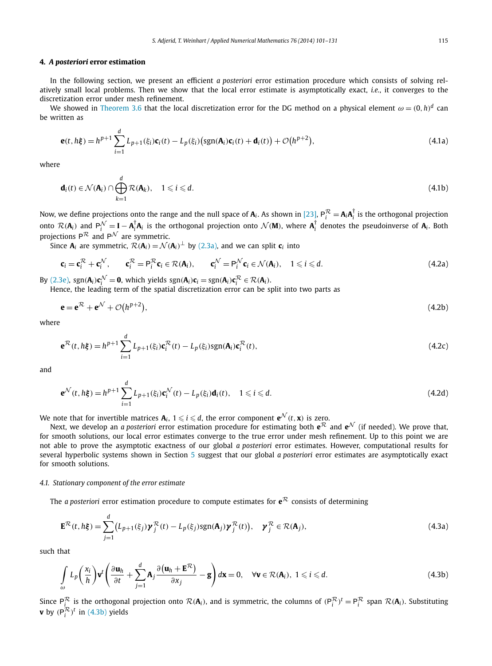#### <span id="page-14-0"></span>**4.** *A posteriori* **error estimation**

In the following section, we present an efficient *a posteriori* error estimation procedure which consists of solving relatively small local problems. Then we show that the local error estimate is asymptotically exact, *i.e.*, it converges to the discretization error under mesh refinement.

We showed in [Theorem 3.6](#page-9-0) that the local discretization error for the DG method on a physical element  $\omega = (0,h)^d$  can be written as

$$
\mathbf{e}(t,h\xi) = h^{p+1} \sum_{i=1}^{d} L_{p+1}(\xi_i)\mathbf{c}_i(t) - L_p(\xi_i) \big(\text{sgn}(\mathbf{A}_i)\mathbf{c}_i(t) + \mathbf{d}_i(t)\big) + \mathcal{O}(h^{p+2}),\tag{4.1a}
$$

where

$$
\mathbf{d}_i(t) \in \mathcal{N}(\mathbf{A}_i) \cap \bigoplus_{k=1}^d \mathcal{R}(\mathbf{A}_k), \quad 1 \leqslant i \leqslant d. \tag{4.1b}
$$

Now, we define projections onto the range and the null space of  $A_i$ . As shown in [\[23\],](#page-30-0)  $P_i^R = A_i A_i^\dagger$  is the orthogonal projection onto  $\mathcal{R}(\mathbf{A}_i)$  and  $P_i^{\mathcal{N}} = \mathbf{I} - \mathbf{A}_i^{\dagger} \mathbf{A}_i$  is the orthogonal projection onto  $\mathcal{N}(\mathbf{M})$ , where  $\mathbf{A}_i^{\dagger}$  denotes the pseudoinverse of  $\mathbf{A}_i$ . Both projections  $P^{\prime\kappa}$  and  $P^{\prime\nu}$  are symmetric.

Since  $\mathbf{A}_i$  are symmetric,  $\mathcal{R}(\mathbf{A}_i) = \mathcal{N}(\mathbf{A}_i)$ <sup> $\perp$ </sup> by [\(2.3a\),](#page-2-0) and we can split  $\mathbf{c}_i$  into

$$
\mathbf{c}_i = \mathbf{c}_i^{\mathcal{R}} + \mathbf{c}_i^{\mathcal{N}}, \qquad \mathbf{c}_i^{\mathcal{R}} = \mathbf{P}_i^{\mathcal{R}} \mathbf{c}_i \in \mathcal{R}(\mathbf{A}_i), \qquad \mathbf{c}_i^{\mathcal{N}} = \mathbf{P}_i^{\mathcal{N}} \mathbf{c}_i \in \mathcal{N}(\mathbf{A}_i), \quad 1 \leq i \leq d. \tag{4.2a}
$$

By [\(2.3e\),](#page-2-0) sgn( $A_i$ ) $\mathbf{c}_i^N = \mathbf{0}$ , which yields sgn( $A_i$ ) $\mathbf{c}_i = \text{sgn}(A_i)\mathbf{c}_i^T \in \mathcal{R}(A_i)$ .

Hence, the leading term of the spatial discretization error can be split into two parts as

$$
\mathbf{e} = \mathbf{e}^{\mathcal{R}} + \mathbf{e}^{\mathcal{N}} + \mathcal{O}(h^{p+2}),\tag{4.2b}
$$

where

$$
\mathbf{e}^{\mathcal{R}}(t,h\xi) = h^{p+1} \sum_{i=1}^{d} L_{p+1}(\xi_i) \mathbf{c}_i^{\mathcal{R}}(t) - L_p(\xi_i) \text{sgn}(\mathbf{A}_i) \mathbf{c}_i^{\mathcal{R}}(t),
$$
\n(4.2c)

and

$$
\mathbf{e}^{\mathcal{N}}(t,h\xi) = h^{p+1} \sum_{i=1}^{d} L_{p+1}(\xi_i) \mathbf{c}_i^{\mathcal{N}}(t) - L_p(\xi_i) \mathbf{d}_i(t), \quad 1 \leq i \leq d. \tag{4.2d}
$$

We note that for invertible matrices  $A_i$ ,  $1 \leqslant i \leqslant d$ , the error component  $e^{\mathcal{N}}\left(t,\mathbf{x}\right)$  is zero.

Next, we develop an *a* posteriori error estimation procedure for estimating both  $e^R$  and  $e^N$  (if needed). We prove that, for smooth solutions, our local error estimates converge to the true error under mesh refinement. Up to this point we are not able to prove the asymptotic exactness of our global *a posteriori* error estimates. However, computational results for several hyperbolic systems shown in Section [5](#page-21-0) suggest that our global *a posteriori* error estimates are asymptotically exact for smooth solutions.

#### *4.1. Stationary component of the error estimate*

The *a posteriori* error estimation procedure to compute estimates for  $e^{R}$  consists of determining

$$
\mathbf{E}^{\mathcal{R}}(t,h\xi) = \sum_{j=1}^{d} (L_{p+1}(\xi_j)\boldsymbol{\gamma}_j^{\mathcal{R}}(t) - L_p(\xi_j)\text{sgn}(\mathbf{A}_j)\boldsymbol{\gamma}_j^{\mathcal{R}}(t)), \quad \boldsymbol{\gamma}_j^{\mathcal{R}} \in \mathcal{R}(\mathbf{A}_j),
$$
\n(4.3a)

such that

$$
\int_{\omega} L_p\left(\frac{x_i}{h}\right) \mathbf{v}^t \left(\frac{\partial \mathbf{u}_h}{\partial t} + \sum_{j=1}^d \mathbf{A}_j \frac{\partial (\mathbf{u}_h + \mathbf{E}^{\mathcal{R}})}{\partial x_j} - \mathbf{g}\right) d\mathbf{x} = 0, \quad \forall \mathbf{v} \in \mathcal{R}(\mathbf{A}_i), \ 1 \leqslant i \leqslant d. \tag{4.3b}
$$

Since  $P_i^{\mathcal{R}}$  is the orthogonal projection onto  $\mathcal{R}(\mathbf{A}_i)$ , and is symmetric, the columns of  $(P_i^{\mathcal{R}})^t = P_i^{\mathcal{R}}$  span  $\mathcal{R}(\mathbf{A}_i)$ . Substituting **v** by  $(P_i^{\mathcal{R}})^t$  in (4.3b) yields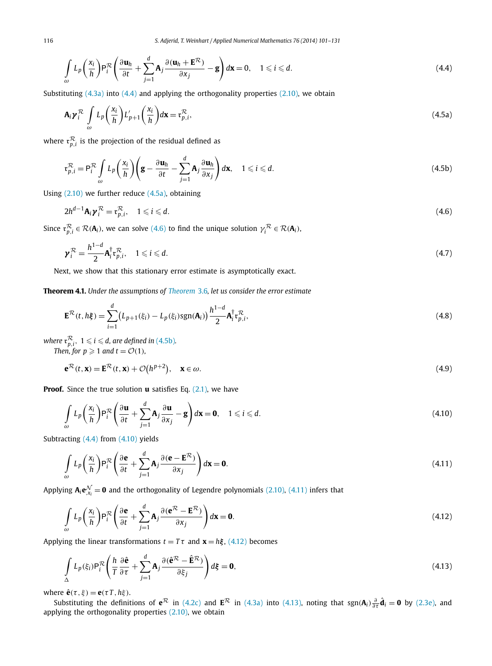$$
\int_{\omega} L_p\left(\frac{x_i}{h}\right) \mathsf{P}_i^{\mathcal{R}}\left(\frac{\partial \mathbf{u}_h}{\partial t} + \sum_{j=1}^d \mathbf{A}_j \frac{\partial (\mathbf{u}_h + \mathbf{E}^{\mathcal{R}})}{\partial x_j} - \mathbf{g}\right) d\mathbf{x} = 0, \quad 1 \leqslant i \leqslant d. \tag{4.4}
$$

Substituting  $(4.3a)$  into  $(4.4)$  and applying the orthogonality properties  $(2.10)$ , we obtain

$$
\mathbf{A}_i \boldsymbol{\gamma}_i^{\mathcal{R}} \int\limits_{\omega} L_p \left( \frac{x_i}{h} \right) L'_{p+1} \left( \frac{x_i}{h} \right) d\mathbf{x} = \mathbf{r}_{p,i}^{\mathcal{R}}, \tag{4.5a}
$$

where  $\mathfrak{r}_{p,i}^{\prime\prime}$  is the projection of the residual defined as

$$
\mathfrak{r}_{p,i}^{\mathcal{R}} = \mathsf{P}_i^{\mathcal{R}} \int\limits_{\omega} L_p \left( \frac{x_i}{h} \right) \left( \mathbf{g} - \frac{\partial \mathbf{u}_h}{\partial t} - \sum_{j=1}^d \mathbf{A}_j \frac{\partial \mathbf{u}_h}{\partial x_j} \right) d\mathbf{x}, \quad 1 \leqslant i \leqslant d. \tag{4.5b}
$$

Using [\(2.10\)](#page-3-0) we further reduce (4.5a), obtaining

$$
2h^{d-1}\mathbf{A}_i\boldsymbol{\gamma}_i^{\mathcal{R}} = \mathbf{r}_{p,i}^{\mathcal{R}}, \quad 1 \leqslant i \leqslant d. \tag{4.6}
$$

Since  $\mathbf{r}_{p,i}^{\mathcal{R}} \in \mathcal{R}(\mathbf{A}_i)$ , we can solve (4.6) to find the unique solution  $\gamma_i^{\mathcal{R}} \in \mathcal{R}(\mathbf{A}_i)$ ,

$$
\boldsymbol{\gamma}_i^{\mathcal{R}} = \frac{h^{1-d}}{2} \mathbf{A}_i^{\dagger} \mathbf{t}_{p,i}^{\mathcal{R}}, \quad 1 \leqslant i \leqslant d. \tag{4.7}
$$

Next, we show that this stationary error estimate is asymptotically exact.

**Theorem 4.1.** *Under the assumptions of [Theorem](#page-9-0)* 3.6*, let us consider the error estimate*

$$
\mathbf{E}^{\mathcal{R}}(t, h\xi) = \sum_{i=1}^{d} (L_{p+1}(\xi_i) - L_p(\xi_i) \text{sgn}(\mathbf{A}_i)) \frac{h^{1-d}}{2} \mathbf{A}_i^{\dagger} \mathbf{r}_{p,i}^{\mathcal{R}},
$$
\n(4.8)

where  $\mathfrak{r}_{p,i}^\mathcal{R},\ 1\leqslant i\leqslant d$ , are defined in (4.5b).

*Then, for*  $p \ge 1$  *and*  $t = \mathcal{O}(1)$ *,* 

$$
\mathbf{e}^{\mathcal{R}}(t,\mathbf{x}) = \mathbf{E}^{\mathcal{R}}(t,\mathbf{x}) + \mathcal{O}\big(h^{p+2}\big), \quad \mathbf{x} \in \omega.
$$
 (4.9)

**Proof.** Since the true solution **u** satisfies Eq. [\(2.1\),](#page-1-0) we have

$$
\int_{\omega} L_p \left( \frac{x_i}{h} \right) \mathsf{P}_i^{\mathcal{R}} \left( \frac{\partial \mathbf{u}}{\partial t} + \sum_{j=1}^d \mathbf{A}_j \frac{\partial \mathbf{u}}{\partial x_j} - \mathbf{g} \right) d\mathbf{x} = \mathbf{0}, \quad 1 \leqslant i \leqslant d. \tag{4.10}
$$

Subtracting (4.4) from (4.10) yields

$$
\int_{\omega} L_p \left( \frac{x_i}{h} \right) P_i^{\mathcal{R}} \left( \frac{\partial \mathbf{e}}{\partial t} + \sum_{j=1}^d \mathbf{A}_j \frac{\partial (\mathbf{e} - \mathbf{E}^{\mathcal{R}})}{\partial x_j} \right) d\mathbf{x} = \mathbf{0}.
$$
\n(4.11)

Applying  $\mathbf{A}_i \mathbf{e}_{,x_i}^{\mathcal{N}} = \mathbf{0}$  and the orthogonality of Legendre polynomials [\(2.10\),](#page-3-0) (4.11) infers that

$$
\int_{\omega} L_p \left( \frac{x_i}{h} \right) P_i^{\mathcal{R}} \left( \frac{\partial \mathbf{e}}{\partial t} + \sum_{j=1}^d \mathbf{A}_j \frac{\partial (\mathbf{e}^{\mathcal{R}} - \mathbf{E}^{\mathcal{R}})}{\partial x_j} \right) d\mathbf{x} = \mathbf{0}.
$$
\n(4.12)

Applying the linear transformations  $t = T\tau$  and  $\mathbf{x} = h\mathbf{\xi}$ , (4.12) becomes

$$
\int_{\Delta} L_p(\xi_i) \mathsf{P}_i^{\mathcal{R}} \left( \frac{h}{T} \frac{\partial \hat{\mathbf{e}}}{\partial \tau} + \sum_{j=1}^d \mathbf{A}_j \frac{\partial (\hat{\mathbf{e}}^{\mathcal{R}} - \hat{\mathbf{E}}^{\mathcal{R}})}{\partial \xi_j} \right) d\xi = \mathbf{0},\tag{4.13}
$$

where  $\hat{\mathbf{e}}(\tau, \xi) = \mathbf{e}(\tau T, h\xi)$ .

Substituting the definitions of  $e^{\mathcal{R}}$  in [\(4.2c\)](#page-14-0) and  $E^{\mathcal{R}}$  in [\(4.3a\)](#page-14-0) into (4.13), noting that sgn $(\mathbf{A}_i) \frac{\partial}{\partial \tau} \hat{\mathbf{d}}_i = \mathbf{0}$  by [\(2.3e\),](#page-2-0) and applying the orthogonality properties [\(2.10\),](#page-3-0) we obtain

<span id="page-15-0"></span>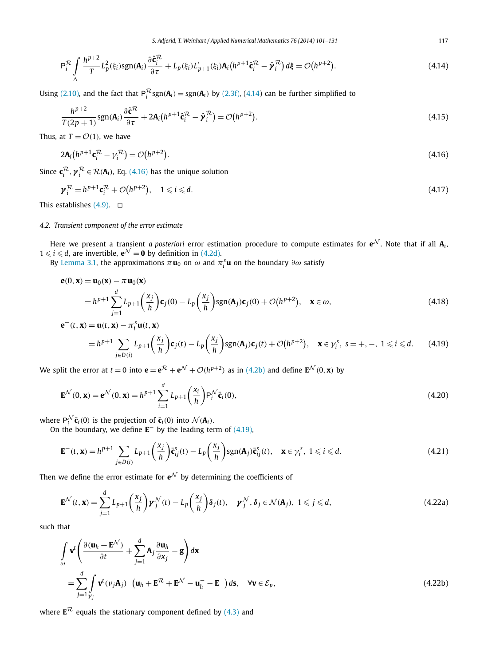<span id="page-16-0"></span>
$$
P_i^{\mathcal{R}} \int\limits_{\Delta} \frac{h^{p+2}}{T} L_p^2(\xi_i) \text{sgn}(\mathbf{A}_i) \frac{\partial \hat{\mathbf{c}}_i^{\mathcal{R}}}{\partial \tau} + L_p(\xi_i) L'_{p+1}(\xi_i) \mathbf{A}_i \big(h^{p+1} \hat{\mathbf{c}}_i^{\mathcal{R}} - \hat{\mathbf{y}}_i^{\mathcal{R}}\big) d\xi = \mathcal{O}\big(h^{p+2}\big).
$$
 (4.14)

Using [\(2.10\),](#page-3-0) and the fact that  $P_i^{\prime\prime}$  sgn( $A_i$ ) = sgn( $A_i$ ) by [\(2.3f\),](#page-2-0) (4.14) can be further simplified to

$$
\frac{h^{p+2}}{\Gamma(2p+1)}\text{sgn}(\mathbf{A}_i)\frac{\partial \hat{\mathbf{c}}^{\mathcal{R}}}{\partial \tau} + 2\mathbf{A}_i \big(h^{p+1}\hat{\mathbf{c}}_i^{\mathcal{R}} - \hat{\boldsymbol{\gamma}}_i^{\mathcal{R}}\big) = \mathcal{O}\big(h^{p+2}\big). \tag{4.15}
$$

Thus, at  $T = \mathcal{O}(1)$ , we have

$$
2\mathbf{A}_i(h^{p+1}\mathbf{c}_i^{\mathcal{R}} - \gamma_i^{\mathcal{R}}) = \mathcal{O}(h^{p+2}).
$$
\n(4.16)

Since  $\mathbf{c}_i^{\mathcal{R}}, \mathbf{y}_i^{\mathcal{R}} \in \mathcal{R}(\mathbf{A}_i)$ , Eq. (4.16) has the unique solution

$$
\boldsymbol{\gamma}_i^{\mathcal{R}} = h^{p+1} \mathbf{c}_i^{\mathcal{R}} + \mathcal{O}(h^{p+2}), \quad 1 \leq i \leq d. \tag{4.17}
$$

This establishes  $(4.9)$ .  $\Box$ 

# *4.2. Transient component of the error estimate*

Here we present a transient *a posteriori* error estimation procedure to compute estimates for  $e^{\mathcal{N}}$ . Note that if all  $A_i$ ,  $1 \leq i \leq d$ , are invertible,  $e^{\mathcal{N}} = 0$  by definition in [\(4.2d\).](#page-14-0)

By [Lemma](#page-4-0) 3.1, the approximations  $\pi\mathbf{u}_0$  on  $\omega$  and  $\pi_i^s\mathbf{u}$  on the boundary  $\partial\omega$  satisfy

$$
\mathbf{e}(0, \mathbf{x}) = \mathbf{u}_0(\mathbf{x}) - \pi \mathbf{u}_0(\mathbf{x})
$$
  
=  $h^{p+1} \sum_{j=1}^d L_{p+1} \left(\frac{x_j}{h}\right) \mathbf{c}_j(0) - L_p \left(\frac{x_j}{h}\right) \operatorname{sgn}(\mathbf{A}_j) \mathbf{c}_j(0) + \mathcal{O}(h^{p+2}), \quad \mathbf{x} \in \omega,$  (4.18)  

$$
\mathbf{e}^-(t, \mathbf{x}) = \mathbf{u}(t, \mathbf{x}) - \pi_i^s \mathbf{u}(t, \mathbf{x})
$$

$$
\begin{aligned} \n\text{(t, x)} &= \mathbf{u}(t, \mathbf{x}) - \pi_i^s \mathbf{u}(t, \mathbf{x}) \\ \n&= h^{p+1} \sum_{j \in D(i)} L_{p+1} \left( \frac{x_j}{h} \right) \mathbf{c}_j(t) - L_p \left( \frac{x_j}{h} \right) \text{sgn}(\mathbf{A}_j) \mathbf{c}_j(t) + \mathcal{O}\big(h^{p+2}\big), \quad \mathbf{x} \in \gamma_i^s, \ s = +, -, \ 1 \leqslant i \leqslant d \n\end{aligned}
$$

We split the error at  $t = 0$  into  $\mathbf{e} = \mathbf{e}^{\mathcal{R}} + \mathbf{e}^{\mathcal{N}} + \mathcal{O}(h^{p+2})$  as in [\(4.2b\)](#page-14-0) and define  $\mathbf{E}^{\mathcal{N}}(0, \mathbf{x})$  by

$$
\mathbf{E}^{\mathcal{N}}(0,\mathbf{x}) = \mathbf{e}^{\mathcal{N}}(0,\mathbf{x}) = h^{p+1} \sum_{i=1}^{d} L_{p+1}\left(\frac{x_i}{h}\right) \mathbf{P}_i^{\mathcal{N}} \bar{\mathbf{c}}_i(0),\tag{4.20}
$$

where  $P_i^N$  **c**<sub>*i*</sub>(0) is the projection of **c**<sub>*i*</sub>(0) into  $N$ (**A**<sub>*i*</sub>). On the boundary, we define **E**− by the leading term of (4.19),

$$
\mathbf{E}^{-}(t,\mathbf{x}) = h^{p+1} \sum_{j \in D(i)} L_{p+1}\left(\frac{x_j}{h}\right) \bar{\mathbf{c}}_{ij}^{s}(t) - L_p\left(\frac{x_j}{h}\right) \text{sgn}(\mathbf{A}_j) \bar{\mathbf{c}}_{ij}^{s}(t), \quad \mathbf{x} \in \gamma_i^s, \ 1 \leqslant i \leqslant d. \tag{4.21}
$$

Then we define the error estimate for  $e^N$  by determining the coefficients of

$$
\mathbf{E}^{\mathcal{N}}(t,\mathbf{x}) = \sum_{j=1}^{d} L_{p+1}\left(\frac{x_j}{h}\right) \mathbf{y}_j^{\mathcal{N}}(t) - L_p\left(\frac{x_j}{h}\right) \delta_j(t), \quad \mathbf{y}_j^{\mathcal{N}}, \delta_j \in \mathcal{N}(\mathbf{A}_j), \ 1 \leqslant j \leqslant d,
$$
\n(4.22a)

such that

$$
\int_{\omega} \mathbf{v}^{t} \left( \frac{\partial (\mathbf{u}_{h} + \mathbf{E}^{\mathcal{N}})}{\partial t} + \sum_{j=1}^{d} \mathbf{A}_{j} \frac{\partial \mathbf{u}_{h}}{\partial x_{j}} - \mathbf{g} \right) d\mathbf{x} \n= \sum_{j=1}^{d} \int_{\gamma_{j}} \mathbf{v}^{t} (\nu_{j} \mathbf{A}_{j})^{-} (\mathbf{u}_{h} + \mathbf{E}^{\mathcal{R}} + \mathbf{E}^{\mathcal{N}} - \mathbf{u}_{h}^{-} - \mathbf{E}^{-}) d\mathbf{s}, \quad \forall \mathbf{v} \in \mathcal{E}_{p},
$$
\n(4.22b)

where  $\mathbf{E}^{\mathcal{R}}$  equals the stationary component defined by [\(4.3\)](#page-14-0) and

*d.* (4.19)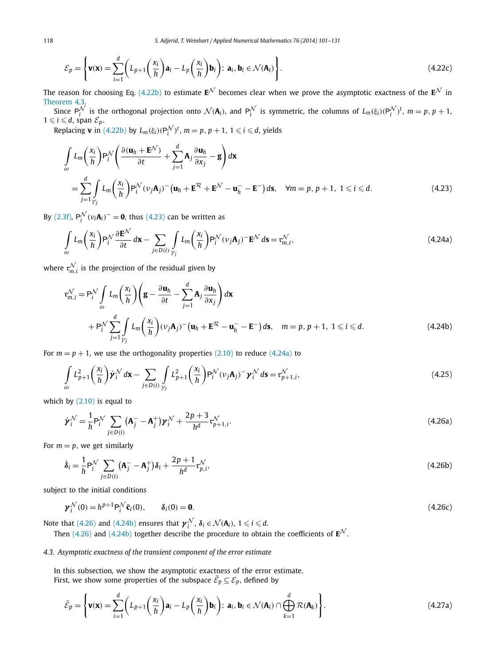$$
\mathcal{E}_p = \left\{ \mathbf{v}(\mathbf{x}) = \sum_{i=1}^d \left( L_{p+1} \left( \frac{x_i}{h} \right) \mathbf{a}_i - L_p \left( \frac{x_i}{h} \right) \mathbf{b}_i \right) : \mathbf{a}_i, \mathbf{b}_i \in \mathcal{N}(\mathbf{A}_i) \right\}.
$$
\n(4.22c)

The reason for choosing Eq. [\(4.22b\)](#page-16-0) to estimate  $\mathbf{E}^{\mathcal{N}}$  becomes clear when we prove the asymptotic exactness of the  $\mathbf{E}^{\mathcal{N}}$  in [Theorem 4.3.](#page-19-0)

Since  $P_i^{\mathcal{N}}$  is the orthogonal projection onto  $\mathcal{N}(\mathbf{A}_i)$ , and  $P_i^{\mathcal{N}}$  is symmetric, the columns of  $L_m(\xi_i)(P_i^{\mathcal{N}})^t$ ,  $m = p, p + 1$ ,  $1 \leqslant i \leqslant d$ , span  $\mathcal{E}_p$ .

Replacing **v** in [\(4.22b\)](#page-16-0) by  $L_m(\xi_i)(P_i^{\mathcal{N}})^t$ ,  $m = p, p + 1, 1 \leq i \leq d$ , yields

$$
\int_{\omega} L_m \left(\frac{x_i}{h}\right) P_i^{\mathcal{N}} \left(\frac{\partial (\mathbf{u}_h + \mathbf{E}^{\mathcal{N}})}{\partial t} + \sum_{j=1}^d \mathbf{A}_j \frac{\partial \mathbf{u}_h}{\partial x_j} - \mathbf{g}\right) d\mathbf{x} \n= \sum_{j=1}^d \int_{\gamma_j} L_m \left(\frac{x_i}{h}\right) P_i^{\mathcal{N}} (\nu_j \mathbf{A}_j)^{-} (\mathbf{u}_h + \mathbf{E}^{\mathcal{R}} + \mathbf{E}^{\mathcal{N}} - \mathbf{u}_h^- - \mathbf{E}^{-}) ds, \quad \forall m = p, p+1, 1 \le i \le d.
$$
\n(4.23)

By [\(2.3f\),](#page-2-0)  $P_i^{\mathcal{N}}(\nu_i \mathbf{A}_i)^{-} = \mathbf{0}$ , thus (4.23) can be written as

$$
\int_{\omega} L_m \left(\frac{x_i}{h}\right) P_i^{\mathcal{N}} \frac{\partial \mathbf{E}^{\mathcal{N}}}{\partial t} d\mathbf{x} - \sum_{j \in D(i)} \int_{\gamma_j} L_m \left(\frac{x_i}{h}\right) P_i^{\mathcal{N}} (\nu_j \mathbf{A}_j)^{-} \mathbf{E}^{\mathcal{N}} d\mathbf{s} = \mathfrak{r}_{m,i}^{\mathcal{N}},\tag{4.24a}
$$

where  $\mathfrak{r}_{m,i}^{\prime\prime}$  is the projection of the residual given by

$$
\mathbf{r}_{m,i}^{\mathcal{N}} = \mathbf{P}_i^{\mathcal{N}} \int_{\omega} L_m \left(\frac{x_i}{h}\right) \left(\mathbf{g} - \frac{\partial \mathbf{u}_h}{\partial t} - \sum_{j=1}^d \mathbf{A}_j \frac{\partial \mathbf{u}_h}{\partial x_j}\right) d\mathbf{x} + \mathbf{P}_i^{\mathcal{N}} \sum_{j=1}^d \int_{\gamma_j} L_m \left(\frac{x_i}{h}\right) (\nu_j \mathbf{A}_j)^{-} \left(\mathbf{u}_h + \mathbf{E}^{\mathcal{R}} - \mathbf{u}_h^- - \mathbf{E}^{-}\right) d\mathbf{s}, \quad m = p, p+1, 1 \le i \le d.
$$
 (4.24b)

For  $m = p + 1$ , we use the orthogonality properties  $(2.10)$  to reduce  $(4.24a)$  to

$$
\int_{\omega} L_{p+1}^2 \left(\frac{x_i}{h}\right) \dot{\boldsymbol{\gamma}}_i^{\mathcal{N}} d\mathbf{x} - \sum_{j \in D(i)} \int_{\gamma_j} L_{p+1}^2 \left(\frac{x_i}{h}\right) P_i^{\mathcal{N}}(\nu_j \mathbf{A}_j)^{-} \boldsymbol{\gamma}_i^{\mathcal{N}} d\mathbf{s} = \mathfrak{r}_{p+1,i}^{\mathcal{N}},
$$
\n(4.25)

which by  $(2.10)$  is equal to

$$
\dot{\boldsymbol{\gamma}}_i^{\mathcal{N}} = \frac{1}{h} P_i^{\mathcal{N}} \sum_{j \in D(i)} (\mathbf{A}_j - \mathbf{A}_j^+) \boldsymbol{\gamma}_i^{\mathcal{N}} + \frac{2p+3}{h^d} \mathfrak{r}_{p+1,i}^{\mathcal{N}}.
$$
 (4.26a)

For  $m = p$ , we get similarly

$$
\dot{\boldsymbol{\delta}}_i = \frac{1}{h} \mathsf{P}_i^{\mathcal{N}} \sum_{j \in D(i)} (\mathbf{A}_j - \mathbf{A}_j^+) \boldsymbol{\delta}_i + \frac{2p+1}{h^d} \mathsf{r}_{p,i}^{\mathcal{N}}, \tag{4.26b}
$$

subject to the initial conditions

$$
\boldsymbol{\gamma}_i^{\mathcal{N}}(0) = h^{p+1} P_i^{\mathcal{N}} \bar{\mathbf{c}}_i(0), \qquad \delta_i(0) = \mathbf{0}.
$$
\n(4.26c)

Note that  $(4.26)$  and  $(4.24b)$  ensures that  $\boldsymbol{\gamma}_i^{\mathcal{N}}$ ,  $\boldsymbol{\delta}_i \in \mathcal{N}(\mathbf{A}_i)$ ,  $1 \leq i \leq d$ .

Then  $(4.26)$  and  $(4.24b)$  together describe the procedure to obtain the coefficients of  $\mathbf{E}^{\mathcal{N}}$ .

## *4.3. Asymptotic exactness of the transient component of the error estimate*

In this subsection, we show the asymptotic exactness of the error estimate. First, we show some properties of the subspace  $\bar{\mathcal{E}}_p \subseteq \mathcal{E}_p$ , defined by

$$
\bar{\mathcal{E}}_p = \left\{ \mathbf{v}(\mathbf{x}) = \sum_{i=1}^d \left( L_{p+1} \left( \frac{x_i}{h} \right) \mathbf{a}_i - L_p \left( \frac{x_i}{h} \right) \mathbf{b}_i \right): \, \mathbf{a}_i, \, \mathbf{b}_i \in \mathcal{N}(\mathbf{A}_i) \cap \bigoplus_{k=1}^d \mathcal{R}(\mathbf{A}_k) \right\}.
$$
\n(4.27a)

<span id="page-17-0"></span>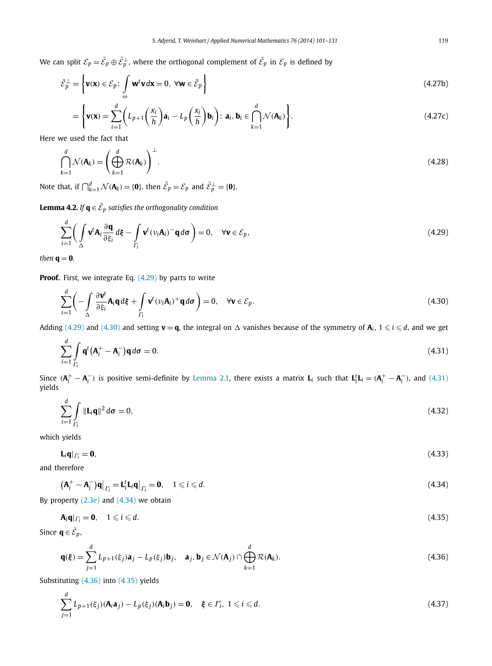<span id="page-18-0"></span>We can split  $\mathcal{E}_p = \bar{\mathcal{E}}_p \oplus \bar{\mathcal{E}}_p^{\perp}$ , where the orthogonal complement of  $\bar{\mathcal{E}}_p$  in  $\mathcal{E}_p$  is defined by

$$
\bar{\mathcal{E}}_p^{\perp} = \left\{ \mathbf{v}(\mathbf{x}) \in \mathcal{E}_p : \int\limits_{\omega} \mathbf{w}^t \mathbf{v} \, d\mathbf{x} = 0, \ \forall \mathbf{w} \in \bar{\mathcal{E}}_p \right\}
$$
\n(4.27b)

$$
= \left\{ \mathbf{v}(\mathbf{x}) = \sum_{i=1}^d \left( L_{p+1} \left( \frac{\mathbf{x}_i}{h} \right) \mathbf{a}_i - L_p \left( \frac{\mathbf{x}_i}{h} \right) \mathbf{b}_i \right): \ \mathbf{a}_i, \ \mathbf{b}_i \in \bigcap_{k=1}^d \mathcal{N}(\mathbf{A}_k) \right\}.
$$
\n(4.27c)

Here we used the fact that

$$
\bigcap_{k=1}^{d} \mathcal{N}(\mathbf{A}_{k}) = \left(\bigoplus_{k=1}^{d} \mathcal{R}(\mathbf{A}_{k})\right)^{\perp}.
$$
\n(4.28)

Note that, if  $\bigcap_{k=1}^d \mathcal{N}(A_k) = \{0\}$ , then  $\bar{\mathcal{E}}_p = \mathcal{E}_p$  and  $\bar{\mathcal{E}}_p^{\perp} = \{0\}$ .

**Lemma 4.2.** If  $\mathbf{q} \in \bar{\mathcal{E}}_p$  satisfies the orthogonality condition

$$
\sum_{i=1}^{d} \left( \int_{\Delta} \mathbf{v}^{t} \mathbf{A}_{i} \frac{\partial \mathbf{q}}{\partial \xi_{i}} d\xi - \int_{\Gamma_{i}} \mathbf{v}^{t} (\nu_{i} \mathbf{A}_{i})^{-} \mathbf{q} d\sigma \right) = 0, \quad \forall \mathbf{v} \in \mathcal{E}_{p},
$$
\n(4.29)

*then*  $q = 0$ *.* 

**Proof.** First, we integrate Eq. (4.29) by parts to write

$$
\sum_{i=1}^{d} \left( -\int_{\Delta} \frac{\partial \mathbf{v}^t}{\partial \xi_i} \mathbf{A}_i \mathbf{q} d\xi + \int_{\Gamma_i} \mathbf{v}^t (\nu_i \mathbf{A}_i)^+ \mathbf{q} d\sigma \right) = 0, \quad \forall \mathbf{v} \in \mathcal{E}_p.
$$
\n(4.30)

Adding (4.29) and (4.30) and setting  $v = q$ , the integral on  $\Delta$  vanishes because of the symmetry of  $A_i$ ,  $1 \leq i \leq d$ , and we get

$$
\sum_{i=1}^{d} \int_{\Gamma_i} \mathbf{q}^t \big( \mathbf{A}_i^+ - \mathbf{A}_i^- \big) \mathbf{q} \, d\sigma = 0. \tag{4.31}
$$

Since  $(A_i^+ - A_i^-)$  is positive semi-definite by [Lemma 2.1,](#page-2-0) there exists a matrix  $L_i$  such that  $L_i^t L_i = (A_i^+ - A_i^-)$ , and  $(4.31)$ yields

$$
\sum_{i=1}^{d} \int\limits_{\Gamma_i} \|\mathbf{L}_i \mathbf{q}\|^2 d\sigma = 0, \tag{4.32}
$$

which yields

$$
\mathbf{L}_{\mathbf{i}}\mathbf{q}|_{\Gamma_{\mathbf{i}}}=\mathbf{0},\tag{4.33}
$$

and therefore

$$
\left(\mathbf{A}_i^+ - \mathbf{A}_i^-\right) \mathbf{q} \big|_{\Gamma_i} = \mathbf{L}_i^t \mathbf{L}_i \mathbf{q} \big|_{\Gamma_i} = \mathbf{0}, \quad 1 \leq i \leq d. \tag{4.34}
$$

By property  $(2.3e)$  and  $(4.34)$  we obtain

$$
\mathbf{A}_i \mathbf{q} |_{\Gamma_i} = \mathbf{0}, \quad 1 \leq i \leq d. \tag{4.35}
$$

Since  $\mathbf{q} \in \bar{\mathcal{E}}_p$ ,

$$
\mathbf{q}(\boldsymbol{\xi}) = \sum_{j=1}^{d} L_{p+1}(\xi_j) \mathbf{a}_j - L_p(\xi_j) \mathbf{b}_j, \quad \mathbf{a}_j, \mathbf{b}_j \in \mathcal{N}(\mathbf{A}_j) \cap \bigoplus_{k=1}^{d} \mathcal{R}(\mathbf{A}_k).
$$
 (4.36)

Substituting (4.36) into (4.35) yields

$$
\sum_{j=1}^{d} L_{p+1}(\xi_j) (\mathbf{A}_i \mathbf{a}_j) - L_p(\xi_j) (\mathbf{A}_i \mathbf{b}_j) = \mathbf{0}, \quad \xi \in \Gamma_i, \ 1 \leq i \leq d. \tag{4.37}
$$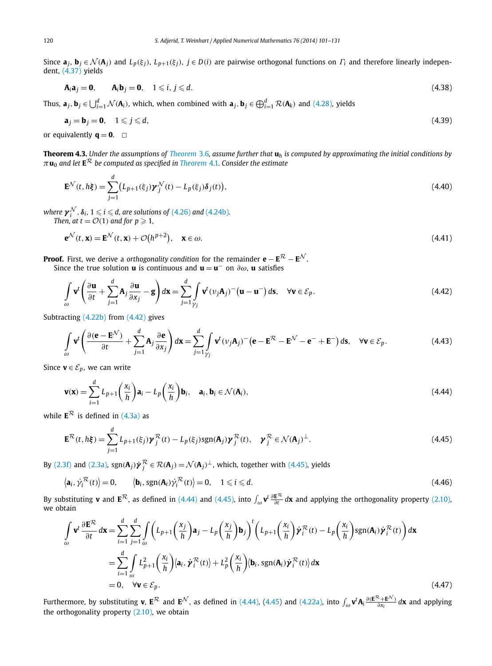<span id="page-19-0"></span>Since  $a_j$ ,  $b_j \in \mathcal{N}(A_j)$  and  $L_p(\xi_j)$ ,  $L_{p+1}(\xi_j)$ ,  $j \in D(i)$  are pairwise orthogonal functions on  $\Gamma_i$  and therefore linearly independent, [\(4.37\)](#page-18-0) yields

$$
\mathbf{A}_i \mathbf{a}_j = \mathbf{0}, \qquad \mathbf{A}_i \mathbf{b}_j = \mathbf{0}, \quad 1 \leqslant i, j \leqslant d. \tag{4.38}
$$

Thus,  $\mathbf{a}_j, \mathbf{b}_j \in \bigcup_{i=1}^d \mathcal{N}(\mathbf{A}_i)$ , which, when combined with  $\mathbf{a}_j, \mathbf{b}_j \in \bigoplus_{i=1}^d \mathcal{R}(\mathbf{A}_k)$  and  $(4.28)$ , yields

$$
\mathbf{a}_j = \mathbf{b}_j = \mathbf{0}, \quad 1 \leqslant j \leqslant d,\tag{4.39}
$$

or equivalently  $q = 0$ .  $\Box$ 

**Theorem 4.3.** *Under the assumptions of [Theorem](#page-9-0)* 3.6*, assume further that* **u***<sup>h</sup> is computed by approximating the initial conditions by π***u**<sup>0</sup> *and let* **E**<sup>R</sup> *be computed as specified in [Theorem](#page-15-0)* 4.1*. Consider the estimate*

$$
\mathbf{E}^{\mathcal{N}}(t, h\xi) = \sum_{j=1}^{d} (L_{p+1}(\xi_j) \boldsymbol{\gamma}_j^{\mathcal{N}}(t) - L_p(\xi_j) \delta_j(t)),
$$
\n(4.40)

*where*  $\boldsymbol{\gamma}_i^N$ ,  $\boldsymbol{\delta}_i$ ,  $1 \leq i \leq d$ , are solutions of [\(4.26\)](#page-17-0) and [\(4.24b\)](#page-17-0).

*Then, at t* =  $\mathcal{O}(1)$  *and for*  $p \geq 1$ *,* 

$$
\mathbf{e}^{\mathcal{N}}(t,\mathbf{x}) = \mathbf{E}^{\mathcal{N}}(t,\mathbf{x}) + \mathcal{O}(h^{p+2}), \quad \mathbf{x} \in \omega.
$$
 (4.41)

**Proof.** First, we derive a *orthogonality condition* for the remainder **e** −  $\mathbf{E}^R$  −  $\mathbf{E}^N$ .

Since the true solution **u** is continuous and  $\mathbf{u} = \mathbf{u}^-$  on  $\partial \omega$ , **u** satisfies

$$
\int_{\omega} \mathbf{v}^{t} \left( \frac{\partial \mathbf{u}}{\partial t} + \sum_{j=1}^{d} \mathbf{A}_{j} \frac{\partial \mathbf{u}}{\partial x_{j}} - \mathbf{g} \right) d\mathbf{x} = \sum_{j=1}^{d} \int_{\gamma_{j}} \mathbf{v}^{t} (\nu_{j} \mathbf{A}_{j})^{-} (\mathbf{u} - \mathbf{u}^{-}) d\mathbf{s}, \quad \forall \mathbf{v} \in \mathcal{E}_{p}.
$$
\n(4.42)

Subtracting [\(4.22b\)](#page-16-0) from (4.42) gives

$$
\int_{\omega} \mathbf{v}^{t} \left( \frac{\partial (\mathbf{e} - \mathbf{E}^{\mathcal{N}})}{\partial t} + \sum_{j=1}^{d} \mathbf{A}_{j} \frac{\partial \mathbf{e}}{\partial x_{j}} \right) d\mathbf{x} = \sum_{j=1}^{d} \int_{\gamma_{j}} \mathbf{v}^{t} (\nu_{j} \mathbf{A}_{j})^{-} (\mathbf{e} - \mathbf{E}^{\mathcal{R}} - \mathbf{E}^{\mathcal{N}} - \mathbf{e}^{-} + \mathbf{E}^{-}) d\mathbf{s}, \quad \forall \mathbf{v} \in \mathcal{E}_{p}.
$$
\n(4.43)

Since **v**  $\in \mathcal{E}_p$ , we can write

$$
\mathbf{v}(\mathbf{x}) = \sum_{i=1}^{d} L_{p+1} \left( \frac{x_i}{h} \right) \mathbf{a}_i - L_p \left( \frac{x_i}{h} \right) \mathbf{b}_i, \quad \mathbf{a}_i, \mathbf{b}_i \in \mathcal{N}(\mathbf{A}_i),
$$
\n(4.44)

while  $\mathbf{E}^{\mathcal{R}}$  is defined in [\(4.3a\)](#page-14-0) as

$$
\mathbf{E}^{\mathcal{R}}(t,h\xi) = \sum_{j=1}^{d} L_{p+1}(\xi_j)\boldsymbol{\gamma}_{j}^{\mathcal{R}}(t) - L_{p}(\xi_j)\text{sgn}(\mathbf{A}_j)\boldsymbol{\gamma}_{j}^{\mathcal{R}}(t), \quad \boldsymbol{\gamma}_{j}^{\mathcal{R}} \in \mathcal{N}(\mathbf{A}_j)^{\perp}.
$$
\n(4.45)

By [\(2.3f\)](#page-2-0) and [\(2.3a\),](#page-2-0) sgn $(A_j)\dot{\boldsymbol{\gamma}}_j^{\mathcal{R}} \in \mathcal{R}(A_j) = \mathcal{N}(A_j)^{\perp}$ , which, together with (4.45), yields

$$
\langle \mathbf{a}_i, \dot{\gamma}_i^{\mathcal{R}}(t) \rangle = 0, \qquad \langle \mathbf{b}_i, \text{sgn}(\mathbf{A}_i) \dot{\gamma}_i^{\mathcal{R}}(t) \rangle = 0, \quad 1 \leq i \leq d. \tag{4.46}
$$

By substituting **v** and  $\mathbf{E}^{\mathcal{R}}$ , as defined in (4.44) and (4.45), into  $\int_{\omega} \mathbf{v}^t \frac{\partial \mathbf{E}^{\mathcal{R}}}{\partial t} d\mathbf{x}$  and applying the orthogonality property [\(2.10\),](#page-3-0) we obtain

$$
\int_{\omega} \mathbf{v}^{t} \frac{\partial \mathbf{E}^{\mathcal{R}}}{\partial t} d\mathbf{x} = \sum_{i=1}^{d} \sum_{j=1}^{d} \int_{\omega} \left( L_{p+1} \left( \frac{x_{j}}{h} \right) \mathbf{a}_{j} - L_{p} \left( \frac{x_{j}}{h} \right) \mathbf{b}_{j} \right)^{t} \left( L_{p+1} \left( \frac{x_{i}}{h} \right) \dot{\mathbf{y}}_{i}^{\mathcal{R}}(t) - L_{p} \left( \frac{x_{i}}{h} \right) \operatorname{sgn}(\mathbf{A}_{i}) \dot{\mathbf{y}}_{i}^{\mathcal{R}}(t) \right) d\mathbf{x}
$$
\n
$$
= \sum_{i=1}^{d} \int_{\omega} L_{p+1}^{2} \left( \frac{x_{i}}{h} \right) \langle \mathbf{a}_{i}, \dot{\mathbf{y}}_{i}^{\mathcal{R}}(t) \rangle + L_{p}^{2} \left( \frac{x_{i}}{h} \right) \langle \mathbf{b}_{i}, \operatorname{sgn}(\mathbf{A}_{i}) \dot{\mathbf{y}}_{i}^{\mathcal{R}}(t) \rangle d\mathbf{x}
$$
\n
$$
= 0, \quad \forall \mathbf{v} \in \mathcal{E}_{p}.
$$
\n(4.47)

Furthermore, by substituting **v**,  $\mathbf{E}^{\mathcal{R}}$  and  $\mathbf{E}^{\mathcal{N}}$ , as defined in (4.44), (4.45) and [\(4.22a\),](#page-16-0) into  $\int_{\omega} \mathbf{v}^t \mathbf{A}_i \frac{\partial(\mathbf{E}^{\mathcal{R}} + \mathbf{E}^{\mathcal{N}})}{\partial x_i} d\mathbf{x}$  and applying the orthogonality property  $(2.10)$ , we obtain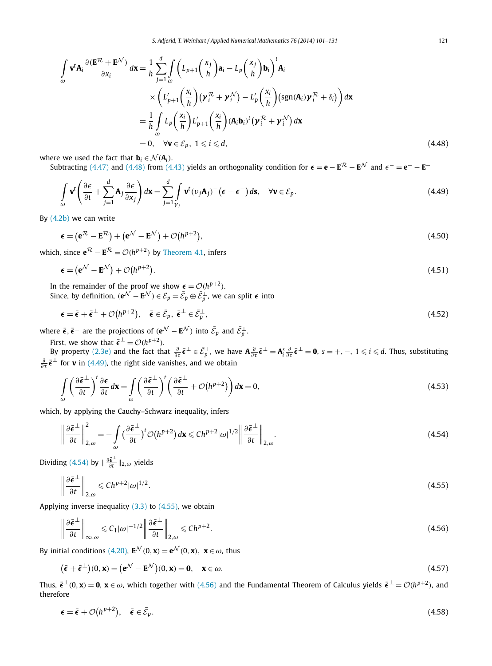<span id="page-20-0"></span>
$$
\int_{\omega} \mathbf{v}^{t} \mathbf{A}_{i} \frac{\partial (\mathbf{E}^{\mathcal{R}} + \mathbf{E}^{\mathcal{N}})}{\partial x_{i}} d\mathbf{x} = \frac{1}{h} \sum_{j=1}^{d} \int_{\omega} \left( L_{p+1} \left( \frac{x_{j}}{h} \right) \mathbf{a}_{i} - L_{p} \left( \frac{x_{j}}{h} \right) \mathbf{b}_{i} \right)^{t} \mathbf{A}_{i}
$$
\n
$$
\times \left( L'_{p+1} \left( \frac{x_{i}}{h} \right) (\mathbf{y}_{i}^{\mathcal{R}} + \mathbf{y}_{i}^{\mathcal{N}}) - L'_{p} \left( \frac{x_{i}}{h} \right) (\text{sgn}(\mathbf{A}_{i}) \mathbf{y}_{i}^{\mathcal{R}} + \delta_{i}) \right) d\mathbf{x}
$$
\n
$$
= \frac{1}{h} \int_{\omega}^{h} L_{p} \left( \frac{x_{i}}{h} \right) L'_{p+1} \left( \frac{x_{i}}{h} \right) (\mathbf{A}_{i} \mathbf{b}_{i})^{t} (\mathbf{y}_{i}^{\mathcal{R}} + \mathbf{y}_{i}^{\mathcal{N}}) d\mathbf{x}
$$
\n
$$
= 0, \quad \forall \mathbf{v} \in \mathcal{E}_{p}, \ 1 \leq i \leq d,
$$
\n(4.48)

where we used the fact that  $\mathbf{b}_i \in \mathcal{N}(\mathbf{A}_i)$ .

Subtracting [\(4.47\)](#page-19-0) and (4.48) from [\(4.43\)](#page-19-0) yields an orthogonality condition for  $\epsilon = e - E^R - E^N$  and  $\epsilon^- = e^- - E^-$ 

$$
\int_{\omega} \mathbf{v}^{t} \left( \frac{\partial \epsilon}{\partial t} + \sum_{j=1}^{d} \mathbf{A}_{j} \frac{\partial \epsilon}{\partial x_{j}} \right) d\mathbf{x} = \sum_{j=1}^{d} \int_{y_{j}} \mathbf{v}^{t} (\nu_{j} \mathbf{A}_{j})^{-} (\epsilon - \epsilon^{-}) d\mathbf{x}, \quad \forall \mathbf{v} \in \mathcal{E}_{p}.
$$
\n(4.49)

By [\(4.2b\)](#page-14-0) we can write

$$
\epsilon = (e^{\mathcal{R}} - E^{\mathcal{R}}) + (e^{\mathcal{N}} - E^{\mathcal{N}}) + \mathcal{O}(h^{p+2}),
$$
\n(4.50)

which, since  $\mathbf{e}^{\mathcal{R}} - \mathbf{E}^{\mathcal{R}} = \mathcal{O}(h^{p+2})$  by [Theorem 4.1,](#page-15-0) infers

$$
\epsilon = (e^{\mathcal{N}} - E^{\mathcal{N}}) + \mathcal{O}(h^{p+2}).
$$
\n(4.51)

In the remainder of the proof we show  $\epsilon = \mathcal{O}(h^{p+2})$ .

Since, by definition,  $(e^{\mathcal{N}} - \mathbf{E}^{\mathcal{N}}) \in \mathcal{E}_p = \bar{\mathcal{E}}_p \oplus \bar{\mathcal{E}}_p^{\perp}$ , we can split  $\epsilon$  into

$$
\boldsymbol{\epsilon} = \bar{\boldsymbol{\epsilon}} + \bar{\boldsymbol{\epsilon}}^{\perp} + \mathcal{O}(h^{p+2}), \quad \bar{\boldsymbol{\epsilon}} \in \bar{\mathcal{E}}_p, \ \bar{\boldsymbol{\epsilon}}^{\perp} \in \bar{\mathcal{E}}_p^{\perp}, \tag{4.52}
$$

where  $\bar{\epsilon}$ ,  $\bar{\epsilon}^{\perp}$  are the projections of  $(\mathbf{e}^{\mathcal{N}} - \mathbf{E}^{\mathcal{N}})$  into  $\bar{\mathcal{E}}_p$  and  $\bar{\mathcal{E}}_p^{\perp}$ .

First, we show that  $\bar{\epsilon}^{\perp} = \mathcal{O}(h^{p+2})$ .

By property [\(2.3e\)](#page-2-0) and the fact that  $\frac{\partial}{\partial \tau} \bar{\epsilon}^{\perp} \in \bar{\mathcal{E}}_p^{\perp}$ , we have  $\mathbf{A} \frac{\partial}{\partial \tau} \bar{\epsilon}^{\perp} = \mathbf{A}^s_i \frac{\partial}{\partial \tau} \bar{\epsilon}^{\perp} = \mathbf{0}$ ,  $s = +, -, 1 \leqslant i \leqslant d$ . Thus, substituting  $\frac{\partial}{\partial \tau}$  $\bar{\epsilon}$   $\perp$  for **v** in (4.49), the right side vanishes, and we obtain

$$
\int_{\omega} \left( \frac{\partial \bar{\epsilon}^{\perp}}{\partial t} \right)^{t} \frac{\partial \epsilon}{\partial t} d\mathbf{x} = \int_{\omega} \left( \frac{\partial \bar{\epsilon}^{\perp}}{\partial t} \right)^{t} \left( \frac{\partial \bar{\epsilon}^{\perp}}{\partial t} + \mathcal{O}(h^{p+2}) \right) d\mathbf{x} = 0,
$$
\n(4.53)

which, by applying the Cauchy–Schwarz inequality, infers

$$
\left\|\frac{\partial \bar{\epsilon}^{\perp}}{\partial t}\right\|_{2,\omega}^{2} = -\int_{\omega} \left(\frac{\partial \bar{\epsilon}^{\perp}}{\partial t}\right)^{t} \mathcal{O}\left(h^{p+2}\right) d\mathbf{x} \leqslant Ch^{p+2} |\omega|^{1/2} \left\|\frac{\partial \bar{\epsilon}^{\perp}}{\partial t}\right\|_{2,\omega}.
$$
\n(4.54)

*Dividing* (4.54) by  $\|\frac{\partial \bar{\epsilon}^{\perp}}{\partial t}\|_{2,\omega}$  yields

$$
\left\|\frac{\partial \bar{\epsilon}^{\perp}}{\partial t}\right\|_{2,\omega} \leqslant Ch^{p+2}|\omega|^{1/2}.\tag{4.55}
$$

Applying inverse inequality  $(3.3)$  to  $(4.55)$ , we obtain

$$
\left\| \frac{\partial \bar{\epsilon}^{\perp}}{\partial t} \right\|_{\infty,\omega} \leq C_1 |\omega|^{-1/2} \left\| \frac{\partial \bar{\epsilon}^{\perp}}{\partial t} \right\|_{2,\omega} \leq C h^{p+2}.
$$
\n(4.56)

By initial conditions [\(4.20\),](#page-16-0)  $\mathbf{E}^{\mathcal{N}}(0, \mathbf{x}) = \mathbf{e}^{\mathcal{N}}(0, \mathbf{x})$ ,  $\mathbf{x} \in \omega$ , thus

$$
(\bar{\boldsymbol{\epsilon}} + \bar{\boldsymbol{\epsilon}}^{\perp})(0, \mathbf{x}) = (\mathbf{e}^{\mathcal{N}} - \mathbf{E}^{\mathcal{N}})(0, \mathbf{x}) = \mathbf{0}, \quad \mathbf{x} \in \omega.
$$
 (4.57)

Thus,  $\bar{\epsilon}^{\perp}(0, x) = 0$ ,  $x \in \omega$ , which together with (4.56) and the Fundamental Theorem of Calculus yields  $\bar{\epsilon}^{\perp} = \mathcal{O}(h^{p+2})$ , and therefore

$$
\boldsymbol{\epsilon} = \bar{\boldsymbol{\epsilon}} + \mathcal{O}\big(h^{p+2}\big), \quad \bar{\boldsymbol{\epsilon}} \in \bar{\mathcal{E}}_p. \tag{4.58}
$$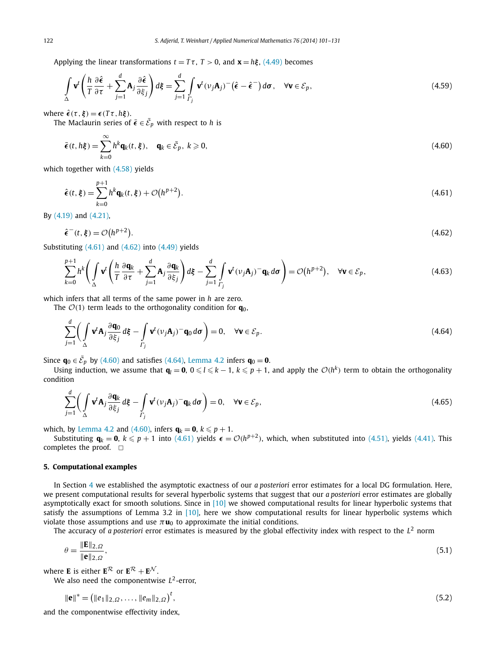<span id="page-21-0"></span>Applying the linear transformations  $t = T\tau$ ,  $T > 0$ , and  $\mathbf{x} = h\mathbf{\xi}$ , [\(4.49\)](#page-20-0) becomes

$$
\int_{\Delta} \mathbf{v}^{t} \left( \frac{h}{T} \frac{\partial \hat{\epsilon}}{\partial \tau} + \sum_{j=1}^{d} \mathbf{A}_{j} \frac{\partial \hat{\epsilon}}{\partial \xi_{j}} \right) d\xi = \sum_{j=1}^{d} \int_{\Gamma_{j}} \mathbf{v}^{t} (\nu_{j} \mathbf{A}_{j})^{-} (\hat{\epsilon} - \hat{\epsilon}^{-}) d\sigma, \quad \forall \mathbf{v} \in \mathcal{E}_{p},
$$
\n(4.59)

where  $\hat{\boldsymbol{\epsilon}}(\tau, \boldsymbol{\xi}) = \boldsymbol{\epsilon}(T\tau, h\boldsymbol{\xi}).$ 

The Maclaurin series of  $\bar{\epsilon} \in \bar{\mathcal{E}}_p$  with respect to *h* is

$$
\bar{\boldsymbol{\epsilon}}(t,h\xi) = \sum_{k=0}^{\infty} h^k \mathbf{q}_k(t,\xi), \quad \mathbf{q}_k \in \bar{\mathcal{E}}_p, \ k \geqslant 0,
$$
\n(4.60)

which together with [\(4.58\)](#page-20-0) yields

$$
\hat{\epsilon}(t,\xi) = \sum_{k=0}^{p+1} h^k \mathbf{q}_k(t,\xi) + \mathcal{O}(h^{p+2}).
$$
\n(4.61)

By [\(4.19\)](#page-16-0) and [\(4.21\),](#page-16-0)

$$
\hat{\epsilon}^-(t,\xi) = \mathcal{O}\big(h^{p+2}\big). \tag{4.62}
$$

Substituting  $(4.61)$  and  $(4.62)$  into  $(4.49)$  yields

$$
\sum_{k=0}^{p+1} h^k \left( \int_{\Delta} \mathbf{v}^t \left( \frac{h}{T} \frac{\partial \mathbf{q}_k}{\partial \tau} + \sum_{j=1}^d \mathbf{A}_j \frac{\partial \mathbf{q}_k}{\partial \xi_j} \right) d\xi - \sum_{j=1}^d \int_{\Gamma_j} \mathbf{v}^t (\nu_j \mathbf{A}_j)^{-} \mathbf{q}_k d\sigma \right) = \mathcal{O}(h^{p+2}), \quad \forall \mathbf{v} \in \mathcal{E}_p,
$$
\n(4.63)

which infers that all terms of the same power in *h* are zero.

The  $O(1)$  term leads to the orthogonality condition for  $q_0$ ,

$$
\sum_{j=1}^{d} \left( \int_{\Delta} \mathbf{v}^{t} \mathbf{A}_{j} \frac{\partial \mathbf{q}_{0}}{\partial \xi_{j}} d\xi - \int_{\Gamma_{j}} \mathbf{v}^{t} (\nu_{j} \mathbf{A}_{j})^{-} \mathbf{q}_{0} d\sigma \right) = 0, \quad \forall \mathbf{v} \in \mathcal{E}_{p}.
$$
\n(4.64)

Since  $\mathbf{q}_0 \in \bar{\mathcal{E}}_p$  by (4.60) and satisfies (4.64), [Lemma 4.2](#page-18-0) infers  $\mathbf{q}_0 = \mathbf{0}$ .

Using induction, we assume that  $\mathbf{q}_l = \mathbf{0}$ ,  $0 \leq l \leq k-1$ ,  $k \leq p+1$ , and apply the  $\mathcal{O}(h^k)$  term to obtain the orthogonality condition

$$
\sum_{j=1}^{d} \left( \int_{\Delta} \mathbf{v}^{t} \mathbf{A}_{j} \frac{\partial \mathbf{q}_{k}}{\partial \xi_{j}} d\xi - \int_{\Gamma_{j}} \mathbf{v}^{t} (\nu_{j} \mathbf{A}_{j})^{-} \mathbf{q}_{k} d\sigma \right) = 0, \quad \forall \mathbf{v} \in \mathcal{E}_{p},
$$
\n(4.65)

which, by [Lemma 4.2](#page-18-0) and (4.60), infers  $\mathbf{q}_k = \mathbf{0}$ ,  $k \leq p + 1$ .

Substituting  $\mathbf{q}_k = \mathbf{0}$ ,  $k \leq p + 1$  into (4.61) yields  $\boldsymbol{\epsilon} = \mathcal{O}(h^{p+2})$ , which, when substituted into [\(4.51\),](#page-20-0) yields [\(4.41\).](#page-19-0) This completes the proof.  $\square$ 

### **5. Computational examples**

In Section [4](#page-14-0) we established the asymptotic exactness of our *a posteriori* error estimates for a local DG formulation. Here, we present computational results for several hyperbolic systems that suggest that our *a posteriori* error estimates are globally asymptotically exact for smooth solutions. Since in  $[10]$  we showed computational results for linear hyperbolic systems that satisfy the assumptions of Lemma 3.2 in [\[10\],](#page-29-0) here we show computational results for linear hyperbolic systems which violate those assumptions and use  $\pi u_0$  to approximate the initial conditions.

The accuracy of *a posteriori* error estimates is measured by the global effectivity index with respect to the *L*<sup>2</sup> norm

$$
\theta = \frac{\|\mathbf{E}\|_{2,\Omega}}{\|\mathbf{e}\|_{2,\Omega}},\tag{5.1}
$$

where **E** is either  $\mathbf{E}^{\mathcal{R}}$  or  $\mathbf{E}^{\mathcal{R}} + \mathbf{E}^{\mathcal{N}}$ .

We also need the componentwise  $L^2$ -error,

$$
\|\mathbf{e}\|^* = (||e_1||_{2,\Omega}, \dots, ||e_m||_{2,\Omega})^t, \tag{5.2}
$$

and the componentwise effectivity index,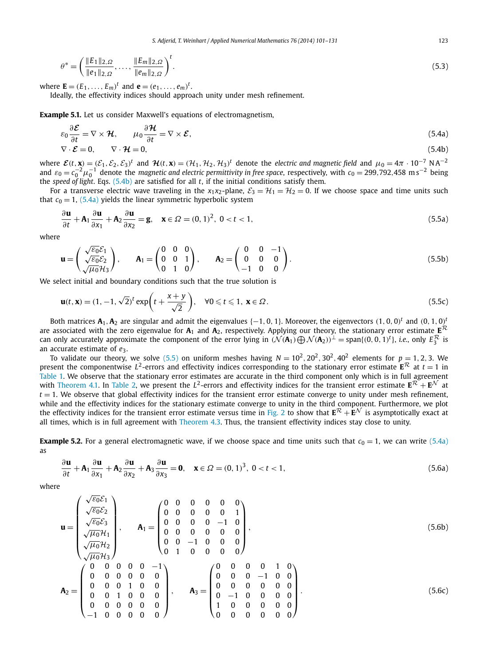<span id="page-22-0"></span>
$$
\theta^* = \left(\frac{\|E_1\|_{2,\Omega}}{\|e_1\|_{2,\Omega}}, \dots, \frac{\|E_m\|_{2,\Omega}}{\|e_m\|_{2,\Omega}}\right)^t.
$$
\n(5.3)

where  $\mathbf{E} = (E_1, \ldots, E_m)^t$  and  $\mathbf{e} = (e_1, \ldots, e_m)^t$ .

Ideally, the effectivity indices should approach unity under mesh refinement.

**Example 5.1.** Let us consider Maxwell's equations of electromagnetism,

$$
\varepsilon_0 \frac{\partial \mathcal{E}}{\partial t} = \nabla \times \mathcal{H}, \qquad \mu_0 \frac{\partial \mathcal{H}}{\partial t} = \nabla \times \mathcal{E}, \tag{5.4a}
$$

$$
\nabla \cdot \mathcal{E} = 0, \qquad \nabla \cdot \mathcal{H} = 0,\tag{5.4b}
$$

where  $\mathcal{E}(t, \mathbf{x}) = (\mathcal{E}_1, \mathcal{E}_2, \mathcal{E}_3)^t$  and  $\mathcal{H}(t, \mathbf{x}) = (\mathcal{H}_1, \mathcal{H}_2, \mathcal{H}_3)^t$  denote the electric and magnetic field and  $\mu_0 = 4\pi \cdot 10^{-7}$  NA<sup>-2</sup> and  $\varepsilon_0 = c_0^{-2} \mu_0^{-1}$  denote the *magnetic and electric permittivity in free space*, respectively, with  $c_0 = 299,792,458 \text{ m s}^{-2}$  being the *speed of light*. Eqs. (5.4b) are satisfied for all *t*, if the initial conditions satisfy them.

For a transverse electric wave traveling in the  $x_1x_2$ -plane,  $\mathcal{E}_3 = \mathcal{H}_1 = \mathcal{H}_2 = 0$ . If we choose space and time units such that  $c_0 = 1$ , (5.4a) yields the linear symmetric hyperbolic system

$$
\frac{\partial \mathbf{u}}{\partial t} + \mathbf{A}_1 \frac{\partial \mathbf{u}}{\partial x_1} + \mathbf{A}_2 \frac{\partial \mathbf{u}}{\partial x_2} = \mathbf{g}, \quad \mathbf{x} \in \Omega = (0, 1)^2, \ 0 < t < 1,\tag{5.5a}
$$

where

$$
\mathbf{u} = \begin{pmatrix} \sqrt{\varepsilon_0} \mathcal{E}_1 \\ \sqrt{\varepsilon_0} \mathcal{E}_2 \\ \sqrt{\mu_0} \mathcal{H}_3 \end{pmatrix}, \qquad \mathbf{A}_1 = \begin{pmatrix} 0 & 0 & 0 \\ 0 & 0 & 1 \\ 0 & 1 & 0 \end{pmatrix}, \qquad \mathbf{A}_2 = \begin{pmatrix} 0 & 0 & -1 \\ 0 & 0 & 0 \\ -1 & 0 & 0 \end{pmatrix}.
$$
 (5.5b)

We select initial and boundary conditions such that the true solution is

$$
\mathbf{u}(t,\mathbf{x}) = (1,-1,\sqrt{2})^t \exp\left(t + \frac{\mathbf{x} + \mathbf{y}}{\sqrt{2}}\right), \quad \forall 0 \leqslant t \leqslant 1, \ \mathbf{x} \in \Omega. \tag{5.5c}
$$

Both matrices  $A_1, A_2$  are singular and admit the eigenvalues { $-1, 0, 1$ }. Moreover, the eigenvectors  $(1,0,0)^t$  and  $(0,1,0)^t$ are associated with the zero eigenvalue for  $A_1$  and  $A_2$ , respectively. Applying our theory, the stationary error estimate  $E^R$ can only accurately approximate the component of the error lying in  $(\mathcal{N}(\mathbf{A}_1) \bigoplus \mathcal{N}(\mathbf{A}_2))^\perp = \text{span}\{(0,0,1)^t\}$ , *i.e.*, only  $E_3^\mathcal{R}$  is an accurate estimate of *e*3.

To validate our theory, we solve (5.5) on uniform meshes having  $N = 10^2, 20^2, 30^2, 40^2$  elements for  $p = 1, 2, 3$ . We present the componentwise  $L^2$ -errors and effectivity indices corresponding to the stationary error estimate  $\mathbf{E}^R$  at  $t = 1$  in [Table 1.](#page-23-0) We observe that the stationary error estimates are accurate in the third component only which is in full agreement with [Theorem 4.1.](#page-15-0) In [Table 2,](#page-23-0) we present the  $L^2$ -errors and effectivity indices for the transient error estimate  $\mathbf{E}^R + \mathbf{E}^N$  at  $t = 1$ . We observe that global effectivity indices for the transient error estimate converge to unity under mesh refinement, while and the effectivity indices for the stationary estimate converge to unity in the third component. Furthermore, we plot the effectivity indices for the transient error estimate versus time in [Fig. 2](#page-24-0) to show that  $E^R + E^N$  is asymptotically exact at all times, which is in full agreement with [Theorem 4.3.](#page-19-0) Thus, the transient effectivity indices stay close to unity.

**Example 5.2.** For a general electromagnetic wave, if we choose space and time units such that  $c_0 = 1$ , we can write (5.4a) as

$$
\frac{\partial \mathbf{u}}{\partial t} + \mathbf{A}_1 \frac{\partial \mathbf{u}}{\partial x_1} + \mathbf{A}_2 \frac{\partial \mathbf{u}}{\partial x_2} + \mathbf{A}_3 \frac{\partial \mathbf{u}}{\partial x_3} = \mathbf{0}, \quad \mathbf{x} \in \Omega = (0, 1)^3, \ 0 < t < 1,\tag{5.6a}
$$

where

$$
\mathbf{u} = \begin{pmatrix} \sqrt{\varepsilon_0} \varepsilon_1 \\ \sqrt{\varepsilon_0} \varepsilon_2 \\ \sqrt{\mu_0} \varepsilon_3 \\ \sqrt{\mu_0} \varepsilon_2 \\ \sqrt{\mu_0} \varepsilon_3 \\ \sqrt{\mu_0} \varepsilon_3 \end{pmatrix}, \qquad \mathbf{A}_1 = \begin{pmatrix} 0 & 0 & 0 & 0 & 0 & 0 \\ 0 & 0 & 0 & 0 & 0 & 1 \\ 0 & 0 & 0 & 0 & 0 & 1 \\ 0 & 0 & 0 & 0 & 0 & 0 \\ 0 & 0 & -1 & 0 & 0 & 0 \\ 0 & 1 & 0 & 0 & 0 & 0 \end{pmatrix},
$$
\n
$$
\mathbf{A}_2 = \begin{pmatrix} 0 & 0 & 0 & 0 & 0 & 1 & 0 \\ 0 & 0 & 0 & 0 & 0 & 0 & 0 \\ 0 & 0 & 0 & 1 & 0 & 0 & 0 \\ 0 & 0 & 0 & 1 & 0 & 0 & 0 \\ 0 & 0 & 0 & 0 & 0 & 0 & 0 \\ 0 & 0 & 0 & 0 & 0 & 0 & 0 \end{pmatrix}, \qquad \mathbf{A}_3 = \begin{pmatrix} 0 & 0 & 0 & 0 & 1 & 0 \\ 0 & 0 & 0 & -1 & 0 & 0 \\ 0 & 0 & 0 & 0 & 0 & 0 \\ 0 & -1 & 0 & 0 & 0 & 0 \\ 1 & 0 & 0 & 0 & 0 & 0 \end{pmatrix}.
$$
\n(5.6c)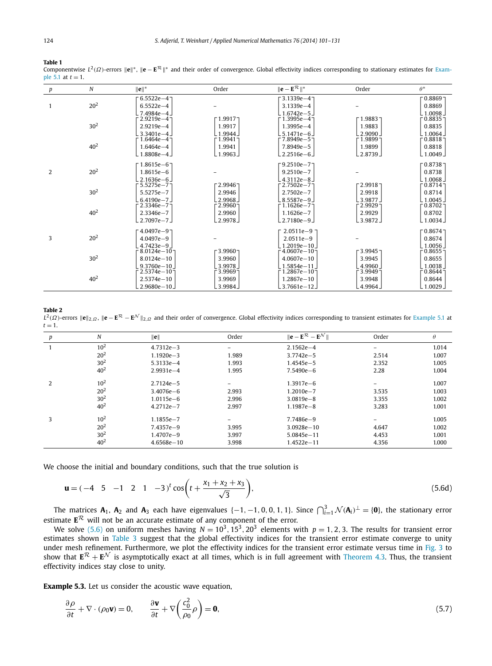#### <span id="page-23-0"></span>**Table 1**

Componentwise  $L^2(\Omega)$ -errors  $\|\mathbf{e}\|^*$ ,  $\|\mathbf{e} - \mathbf{E}^{\mathcal{R}}\|^*$  and their order of convergence. Global effectivity indices corresponding to stationary estimates for [Exam](#page-22-0)[ple 5.1](#page-22-0) at  $t = 1$ .

| $\boldsymbol{p}$ | $\boldsymbol{N}$ | $\ e\ ^*$                                                           | Order                                    | $\ e-E^\mathcal{R}\ ^*$                                                        | Order                                     | $\theta^*$                                    |
|------------------|------------------|---------------------------------------------------------------------|------------------------------------------|--------------------------------------------------------------------------------|-------------------------------------------|-----------------------------------------------|
|                  | $20^{2}$         | $-6.5522e - 47$<br>$6.5522e - 4$<br>$7.4984e - 4$                   |                                          | - 3.1339e–4<br>$3.1339e - 4$<br>$1.6742e - 5$                                  |                                           | - 0.8869 -<br>0.8869<br>.1.0098               |
|                  | $30^{2}$         | ר 2.9219e−4<br>$2.9219e - 4$<br>$3.3401e - 4$                       | 1.9917<br>1.9917<br>1.9944               | $1.3995e - 47$<br>$1.3995e - 4$<br>$5.1471e - 6$                               | $-1.9883$ $-$<br>1.9883<br>2.9090         | $-0.8835$<br>0.8835<br>$-1.0064$              |
|                  | $40^{2}$         | $1.6464e - 47$<br>$1.6464e - 4$<br>L 1.8808e-4 L                    | - 1.9941 -<br>1.9941<br>L 1.9963 J       | ד 5–949e<br>$7.8949e - 5$                                                      | 1.9899-<br>1.9899<br>L 2.8739 J           | -0.8818-<br>0.8818<br>$\_1.0049$              |
| 2                | $20^{2}$         | ר 1.8615e–6<br>$1.8615e - 6$                                        |                                          | ר9.2510e-7<br>$9.2510e - 7$                                                    |                                           | r 0.8738 <sup>-</sup><br>0.8738               |
|                  | $30^{2}$         | $2.1636e - 6$<br>$-5.5275e - 77$<br>$5.5275e - 7$<br>$-6.4190e - 7$ | $-2.9946-$<br>2.9946<br>2.9968           | $-4.3112e - 8$<br>$2.7502e - 77$<br>$2.7502e - 7$<br>$.8.5587e - 9.$           | $-2.9918-$<br>2.9918<br>$-3.9877$         | 1.0068<br>$-0.8714-$<br>0.8714<br>$-1.0045$   |
|                  | $40^{2}$         | - 2.3346e – 7<br>$2.3346e - 7$<br>L 2.7097e-7 L                     | -2.9960-<br>2.9960<br>2.9978             | - 1.1626e–7<br>$1.1626e - 7$<br>_2.7180e−9 <b>_</b>                            | - 2.9929 -<br>2.9929<br>2.9872            | ⊤0.8702 <sup>–</sup><br>0.8702<br>L 1.0034 J  |
| 3                | 20 <sup>2</sup>  | 1.0497e−9<br>$4.0497e - 9$                                          |                                          | $2.0511e - 9$ $-$<br>$2.0511e - 9$                                             |                                           | $-0.8674 -$<br>0.8674                         |
|                  | 30 <sup>2</sup>  | $4.7423e - 9$<br>$-8.0124e - 10^{-7}$<br>$8.0124e - 10$             | $-3.9960 -$<br>3.9960                    | $1.2019e - 10$<br>1.0607e-10<br>$4.0607e - 10$                                 | $-3.9945$<br>3.9945                       | $-1.0056$<br>⊺0.8655 ⊺<br>0.8655              |
|                  | $40^{2}$         | $9.3760e - 10$<br>2.5374e-10<br>$2.5374e - 10$<br>$2.9680e - 10$    | 3.9978<br>- 3.9969 -<br>3.9969<br>3.9984 | $1.5854e - 11$<br>1.2867e-10 <sup>-</sup><br>$1.2867e - 10$<br>$.3.7661e - 12$ | 4.9960<br>-3.9949-<br>3.9948<br>$-4.9964$ | $-1.0038$<br>-0.8644 -<br>0.8644<br>$-1.0029$ |

# **Table 2**

 $L^2(\Omega)$ -errors  $\|\mathbf{e}\|_{2,\Omega}$ ,  $\|\mathbf{e}-\mathbf{E}^{\mathcal{R}}-\mathbf{E}^{\mathcal{N}}\|_{2,\Omega}$  and their order of convergence. Global effectivity indices corresponding to transient estimates for [Example 5.1](#page-22-0) at  $t = 1$ .

| p | N               | $\ e\ $        | Order    | $\ e - E^{\mathcal{R}} - E^{\mathcal{N}}\ $ | Order | $\theta$ |
|---|-----------------|----------------|----------|---------------------------------------------|-------|----------|
|   | 10 <sup>2</sup> | $4.7312e - 3$  |          | $2.1562e - 4$                               |       | 1.014    |
|   | 20 <sup>2</sup> | $1.1920e - 3$  | 1.989    | $3.7742e - 5$                               | 2.514 | 1.007    |
|   | 30 <sup>2</sup> | $5.3133e - 4$  | 1.993    | $1.4545e - 5$                               | 2.352 | 1.005    |
|   | $40^{2}$        | $2.9931e - 4$  | 1.995    | $7.5490e - 6$                               | 2.28  | 1.004    |
| 2 | $10^{2}$        | $2.7124e - 5$  | $\equiv$ | $1.3917e - 6$                               |       | 1.007    |
|   | 20 <sup>2</sup> | $3.4076e - 6$  | 2.993    | $1.2010e - 7$                               | 3.535 | 1.003    |
|   | $30^{2}$        | $1.0115e - 6$  | 2.996    | $3.0819e - 8$                               | 3.355 | 1.002    |
|   | $40^{2}$        | $4.2712e - 7$  | 2.997    | $1.1987e - 8$                               | 3.283 | 1.001    |
| 3 | 10 <sup>2</sup> | $1.1855e - 7$  |          | $7.7486e - 9$                               |       | 1.005    |
|   | 20 <sup>2</sup> | $7.4357e - 9$  | 3.995    | $3.0928e - 10$                              | 4.647 | 1.002    |
|   | 30 <sup>2</sup> | $1.4707e - 9$  | 3.997    | $5.0845e - 11$                              | 4.453 | 1.001    |
|   | $40^{2}$        | $4.6568e - 10$ | 3.998    | $1.4522e - 11$                              | 4.356 | 1.000    |

We choose the initial and boundary conditions, such that the true solution is

$$
\mathbf{u} = (-4 \quad 5 \quad -1 \quad 2 \quad 1 \quad -3)^t \cos\left(t + \frac{x_1 + x_2 + x_3}{\sqrt{3}}\right),\tag{5.6d}
$$

The matrices  $A_1$ ,  $A_2$  and  $A_3$  each have eigenvalues  $\{-1, -1, 0, 0, 1, 1\}$ . Since  $\bigcap_{i=1}^3 \mathcal{N}(A_i)^\perp = \{\mathbf{0}\}$ , the stationary error estimate  $E^R$  will not be an accurate estimate of any component of the error.

We solve [\(5.6\)](#page-22-0) on uniform meshes having  $N = 10^3$ ,  $15^3$ ,  $20^3$  elements with  $p = 1, 2, 3$ . The results for transient error estimates shown in [Table 3](#page-24-0) suggest that the global effectivity indices for the transient error estimate converge to unity under mesh refinement. Furthermore, we plot the effectivity indices for the transient error estimate versus time in [Fig. 3](#page-25-0) to show that  $\mathbf{E}^R + \mathbf{E}^N$  is asymptotically exact at all times, which is in full agreement with [Theorem 4.3.](#page-19-0) Thus, the transient effectivity indices stay close to unity.

**Example 5.3.** Let us consider the acoustic wave equation,

$$
\frac{\partial \rho}{\partial t} + \nabla \cdot (\rho_0 \mathbf{v}) = 0, \qquad \frac{\partial \mathbf{v}}{\partial t} + \nabla \left( \frac{c_0^2}{\rho_0} \rho \right) = \mathbf{0}, \tag{5.7}
$$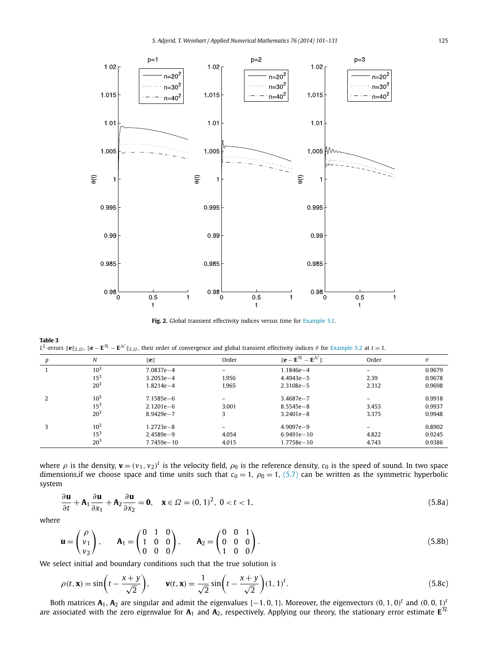<span id="page-24-0"></span>

Fig. 2. Global transient effectivity indices versus time for [Example 5.1.](#page-22-0)

*L*<sup>2</sup>-errors  $\|\mathbf{e}\|_{2,\Omega}$ ,  $\|\mathbf{e} - \mathbf{E}^R - \mathbf{E}^N\|_{2,\Omega}$ , their order of convergence and global transient effectivity indices  $\theta$  for [Example 5.2](#page-22-0) at *t* = 1.

|   | N        | $\ e\ $        | Order                    | $\ e - E^{\mathcal{R}} - E^{\mathcal{N}}\ $ | Order | θ      |
|---|----------|----------------|--------------------------|---------------------------------------------|-------|--------|
|   | $10^{3}$ | $7.0837e - 4$  |                          | $1.1846e - 4$                               |       | 0.9679 |
|   | $15^{3}$ | $3.2053e - 4$  | 1.956                    | $4.4943e - 5$                               | 2.39  | 0.9678 |
|   | $20^{3}$ | $1.8214e - 4$  | 1.965                    | $2.3108e - 5$                               | 2.312 | 0.9698 |
|   | $10^{3}$ | $7.1585e - 6$  |                          | $3.4687e - 7$                               |       | 0.9918 |
|   | $15^{3}$ | $2.1201e - 6$  | 3.001                    | $8.5545e - 8$                               | 3.453 | 0.9937 |
|   | $20^{3}$ | $8.9429e - 7$  | 3                        | $3.2401e - 8$                               | 3.375 | 0.9948 |
| 3 | $10^{3}$ | $1.2723e - 8$  | $\overline{\phantom{0}}$ | $4.9097e - 9$                               |       | 0.8902 |
|   | $15^{3}$ | $2.4589e - 9$  | 4.054                    | $6.9491e - 10$                              | 4.822 | 0.9245 |
|   | $20^{3}$ | $7.7459e - 10$ | 4.015                    | 1.7758e-10                                  | 4.743 | 0.9386 |

where  $\rho$  is the density,  $\mathbf{v} = (v_1, v_2)^t$  is the velocity field,  $\rho_0$  is the reference density,  $c_0$  is the speed of sound. In two space dimensions, if we choose space and time units such that  $c_0 = 1$ ,  $\rho_0 = 1$ , [\(5.7\)](#page-23-0) can be written as the symmetric hyperbolic system

$$
\frac{\partial \mathbf{u}}{\partial t} + \mathbf{A}_1 \frac{\partial \mathbf{u}}{\partial x_1} + \mathbf{A}_2 \frac{\partial \mathbf{u}}{\partial x_2} = \mathbf{0}, \quad \mathbf{x} \in \Omega = (0, 1)^2, \ 0 < t < 1,\tag{5.8a}
$$

where

**Table 3**

$$
\mathbf{u} = \begin{pmatrix} \rho \\ v_1 \\ v_2 \end{pmatrix}, \qquad \mathbf{A}_1 = \begin{pmatrix} 0 & 1 & 0 \\ 1 & 0 & 0 \\ 0 & 0 & 0 \end{pmatrix}, \qquad \mathbf{A}_2 = \begin{pmatrix} 0 & 0 & 1 \\ 0 & 0 & 0 \\ 1 & 0 & 0 \end{pmatrix}.
$$
 (5.8b)

We select initial and boundary conditions such that the true solution is

$$
\rho(t, \mathbf{x}) = \sin\left(t - \frac{\mathbf{x} + \mathbf{y}}{\sqrt{2}}\right), \qquad \mathbf{v}(t, \mathbf{x}) = \frac{1}{\sqrt{2}}\sin\left(t - \frac{\mathbf{x} + \mathbf{y}}{\sqrt{2}}\right)(1, 1)^t.
$$
\n(5.8c)

Both matrices  $A_1$ ,  $A_2$  are singular and admit the eigenvalues { $-1, 0, 1$ }. Moreover, the eigenvectors  $(0, 1, 0)^t$  and  $(0, 0, 1)^t$ are associated with the zero eigenvalue for  $A_1$  and  $A_2$ , respectively. Applying our theory, the stationary error estimate  $E^R$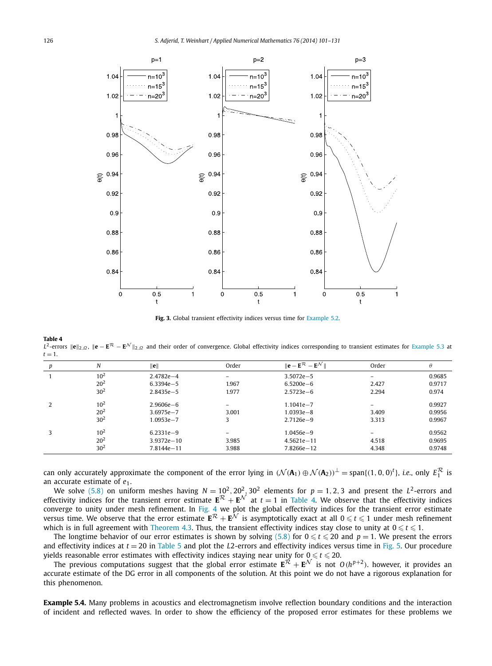<span id="page-25-0"></span>

Fig. 3. Global transient effectivity indices versus time for **Example 5.2**.

**Table 4**

*L*<sup>2</sup>-errors  $\|\mathbf{e}\|_{2,\Omega}$ ,  $\|\mathbf{e}-\mathbf{E}^{\mathcal{R}}-\mathbf{E}^{\mathcal{N}}\|_{2,\Omega}$  and their order of convergence. Global effectivity indices corresponding to transient estimates for [Example 5.3](#page-23-0) at  $t = 1$ .

| N               | $\ e\ $        | Order | $\ \mathbf{e} - \mathbf{E}^{\mathcal{R}} - \mathbf{E}^{\mathcal{N}}\ $ | Order                    |        |
|-----------------|----------------|-------|------------------------------------------------------------------------|--------------------------|--------|
| $10^{2}$        | $2.4782e - 4$  |       | $3.5072e - 5$                                                          |                          | 0.9685 |
| 20 <sup>2</sup> | $6.3394e - 5$  | 1.967 | $6.5200e - 6$                                                          | 2.427                    | 0.9717 |
| 30 <sup>2</sup> | $2.8435e - 5$  | 1.977 | $2.5723e - 6$                                                          | 2.294                    | 0.974  |
| 10 <sup>2</sup> | $2.9606e - 6$  |       | $1.1041e - 7$                                                          | -                        | 0.9927 |
| 20 <sup>2</sup> | $3.6975e - 7$  | 3.001 | $1.0393e - 8$                                                          | 3.409                    | 0.9956 |
| 30 <sup>2</sup> | $1.0953e - 7$  | 3     | $2.7126e - 9$                                                          | 3.313                    | 0.9967 |
| 10 <sup>2</sup> | $6.2331e - 9$  | -     | $1.0456e - 9$                                                          | $\overline{\phantom{0}}$ | 0.9562 |
| 20 <sup>2</sup> | $3.9372e - 10$ | 3.985 | $4.5621e - 11$                                                         | 4.518                    | 0.9695 |
| 30 <sup>2</sup> | 7.8144e-11     | 3.988 | 7.8266e-12                                                             | 4.348                    | 0.9748 |

can only accurately approximate the component of the error lying in  $(\mathcal{N}(\mathbf{A}_1) \oplus \mathcal{N}(\mathbf{A}_2))^{\perp} = \text{span}\{(1,0,0)^t\}$ , *i.e.*, only  $E_1^{\mathcal{R}}$  is an accurate estimate of *e*1.

We solve [\(5.8\)](#page-24-0) on uniform meshes having  $N = 10^2, 20^2, 30^2$  elements for  $p = 1, 2, 3$  and present the  $L^2$ -errors and effectivity indices for the transient error estimate  $E^{R} + E^{N}$  at  $t = 1$  in Table 4. We observe that the effectivity indices converge to unity under mesh refinement. In [Fig. 4](#page-26-0) we plot the global effectivity indices for the transient error estimate versus time. We observe that the error estimate  $E'^c + E'^\vee$  is asymptotically exact at all  $0 \leqslant t \leqslant 1$  under mesh refinement which is in full agreement with [Theorem 4.3.](#page-19-0) Thus, the transient effectivity indices stay close to unity at  $0\!\leqslant\!t\!\leqslant\!1.$ 

The longtime behavior of our error estimates is shown by solving  $(5.8)$  for  $0\leqslant t\leqslant20$  and  $p=1.$  We present the errors and effectivity indices at  $t = 20$  in [Table 5](#page-26-0) and plot the *L2*-errors and effectivity indices versus time in [Fig. 5.](#page-26-0) Our procedure yields reasonable error estimates with effectivity indices staying near unity for  $0\leqslant t\leqslant 20.$ 

The previous computations suggest that the global error estimate  $E^{\tilde{\mathcal{R}}} + E^{\mathcal{N}}$  is not  $O(h^{p+2})$ . however, it provides an accurate estimate of the DG error in all components of the solution. At this point we do not have a rigorous explanation for this phenomenon.

**Example 5.4.** Many problems in acoustics and electromagnetism involve reflection boundary conditions and the interaction of incident and reflected waves. In order to show the efficiency of the proposed error estimates for these problems we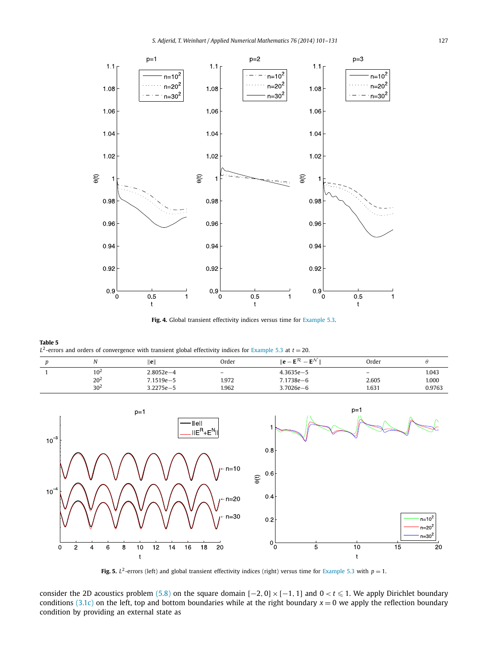<span id="page-26-0"></span>

Fig. 4. Global transient effectivity indices versus time for [Example 5.3.](#page-23-0)



|          | lle l         | Order                    | $\varepsilon - \mathbf{E}^{\mathcal{R}} - \mathbf{E}^{\mathcal{N}}$<br>۱e٠ | Order                    |        |
|----------|---------------|--------------------------|----------------------------------------------------------------------------|--------------------------|--------|
| $10^{2}$ | $2.8052e - 4$ | $\overline{\phantom{0}}$ | $4.3635e - 5$                                                              | $\overline{\phantom{0}}$ | 1.043  |
| $20^{2}$ | $7.1519e - 5$ | 1.972                    | $7.1738e - 6$                                                              | 2.605                    | 1.000  |
| $30^{2}$ | $3.2275e - 5$ | 1.962                    | $3.7026e - 6$                                                              | 1.631                    | 0.9763 |



**Fig. 5.**  $L^2$ -errors (left) and global transient effectivity indices (right) versus time for [Example 5.3](#page-23-0) with  $p = 1$ .

consider the 2D acoustics problem [\(5.8\)](#page-24-0) on the square domain [−2*,* 0] × [−1*,* 1] and 0 *< t* - 1. We apply Dirichlet boundary conditions [\(3.1c\)](#page-4-0) on the left, top and bottom boundaries while at the right boundary  $x = 0$  we apply the reflection boundary condition by providing an external state as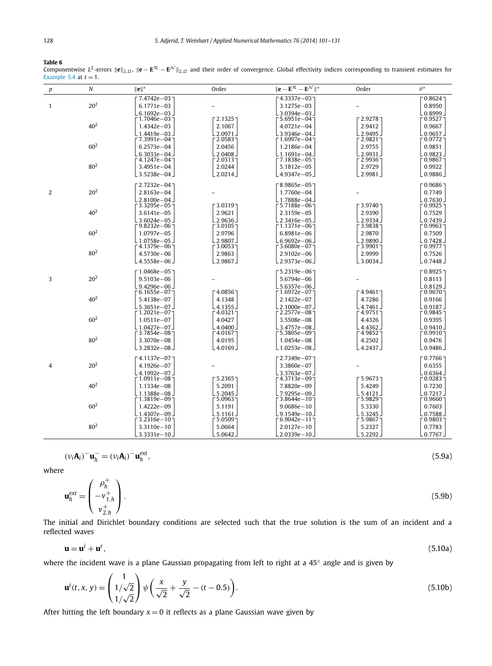#### <span id="page-27-0"></span>**Table 6**

Componentwise  $L^2$ -errors  $\|\mathbf{e}\|_{2,\Omega}$ ,  $\|\mathbf{e} - \mathbf{E}^{\mathcal{R}} - \mathbf{E}^{\mathcal{N}}\|_{2,\Omega}$  and their order of convergence. Global effectivity indices corresponding to transient estimates for [Example 5.4](#page-25-0) at  $t = 1$ .

| p              | N               | $\ e\ ^*$                                                          | Order                                                                   | $\ {\mathbf{e}} - {\mathbf{E}}^{\mathcal{R}} - {\mathbf{E}}^{\mathcal{N}}\ ^*$ | Order                                             | $\theta^*$                                                       |
|----------------|-----------------|--------------------------------------------------------------------|-------------------------------------------------------------------------|--------------------------------------------------------------------------------|---------------------------------------------------|------------------------------------------------------------------|
| $\mathbf{1}$   | 20 <sup>2</sup> | - 7.4742e-03<br>6.1771e-03                                         |                                                                         | r 4.3337e-03-<br>3.1275e-03                                                    |                                                   | 0.8624<br>0.8950                                                 |
|                | $40^{2}$        | $-6.1692e - 03$<br>1.7046e—03<br>$1.4342e - 03$<br>$-1.4419e - 03$ | $-2.1325-$<br>2.1067<br>.2.0971                                         | $.3.0394e - 03$<br>$5.6951e - 04$<br>4.0721e-04<br>3.9346e-04_                 | $-2.9278$<br>2.9412<br>2.9495                     | .0.8999<br>⊓0.9527<br>0.9667<br>.0.9657                          |
|                | $60^{2}$        | - 7.3991e–04 <sup>-</sup><br>6.2573e-04<br>$-6.3033e - 04$         | $-2.0583$ $-$<br>2.0456<br>2.0408                                       | 1.6997e—04 <sup>–</sup><br>1.2186e-04<br>$-1.1691e - 04$                       | -2.9821-<br>2.9755<br>2.9931                      | ־ 0.9772 ⊓<br>0.9851<br>$-0.9823-$                               |
|                | 80 <sup>2</sup> | $-4.1247e - 04$<br>$3.4951e - 04$<br>L 3.5238e–04 <sub>–</sub>     | - 2.0313 -<br>2.0244<br>$\mathsf{L}2.0214\mathrel{\relax{\text{--}}}\,$ | 17.1838e-05 <sup>-</sup><br>5.1812e-05<br>L 4.9347e—05 <sub>–</sub>            | $-2.9936-$<br>2.9729<br>L 2.9981 <sub>–</sub>     | 0.9867<br>0.9922<br>L 0.9886 <sub>-</sub>                        |
| 2              | 20 <sup>2</sup> | - 2.7232e—04<br>2.8163e-04<br>$2.8100e - 04$                       |                                                                         | -8.9865e-05-<br>1.7760e-04<br>$-1.7888e - 04$                                  |                                                   | 0.9686<br>0.7749                                                 |
|                | $40^{2}$        | - 3.3295e—05<br>$3.6141e - 05$<br>$-3.6024e - 05$                  | $3.0319 -$<br>2.9621<br>$.2.9636\_$                                     | $5.7188e - 06$<br>2.3159e-05<br>$2.3416e - 05$                                 | 3.9740<br>2.9390<br>2.9334                        | ⊺0.9925<br>0.7529<br>0.7439                                      |
|                | $60^{2}$        | 9.8232e-06 <sup>-</sup><br>1.0797e-05<br>L 1.0758e—05 <sub>–</sub> | $-3.0105$ $-$<br>2.9796<br>L2.9807                                      | 1.1371e-06 <sup>.</sup><br>6.8981e-06<br>$-6.9692e - 06$                       | 3.9838<br>2.9870<br>.2.9890                       | -0.9963<br>0.7509<br>$-0.7428$                                   |
|                | $80^{2}$        | $-4.1379e - 06$<br>4.5730e-06<br>L 4.5558e-06 J                    | 13.0053<br>2.9863<br>L 2.9867 J                                         | $-3.6080e - 07$<br>2.9102e-06<br>L 2.9373e-06_                                 | $-3.9901$<br>2.9999<br>$\lfloor 3.0034 \rfloor$   | ⊺0.9977<br>0.7526<br>L 0.7448 <sub>–</sub>                       |
| 3              | $20^{2}$        | $-1.0468e - 05 -$<br>9.5103e-06<br>$-9.4296e - 06$                 |                                                                         | $5.2319e - 06$<br>5.6794e-06<br>$-5.6357e - 06$                                |                                                   | 0.8925<br>0.8113<br>$-0.8129$ .                                  |
|                | 40 <sup>2</sup> | $-6.1655e - 07$<br>5.4138e-07<br>$-5.3651e - 07$                   | $4.0856 -$<br>4.1348<br>$\left\lfloor 4.1355 \, \right\rfloor$          | $1.6972e - 07$<br>$2.1422e - 07$<br>$2.1000e - 07$                             | $-4.9461$<br>4.7286<br>$-4.7461$ $-$              | $\mathsf{\Gamma}0.9670^\circ$<br>0.9166<br>L 0.9187 <sub>-</sub> |
|                | 60 <sup>2</sup> | 1.2021e-07-<br>$1.0511e - 07$<br>$\_1.0427e - 07\_$                | $-4.0321$ T<br>4.0427<br>$\_4.0400\_$                                   | 2.2577e-08<br>3.5508e-08<br>$-3.4757e - 08$                                    | $-4.9751 -$<br>4.4326<br>$.4.4362\_$              | ־0.9845 ⊤<br>0.9395<br>0.9410                                    |
|                | $80^{2}$        | - 3.7854e–08 <sup>-</sup><br>3.3070e-08<br>L 3.2832e-08 L          | -4.0167-<br>4.0195<br>$\lfloor 4.0169 \rfloor$                          | - 5.3805e–09 <sup>-</sup><br>$1.0454e - 08$<br>L 1.0253e-08_                   | $-4.9852 -$<br>4.2502<br>$\lfloor 4.2437 \rfloor$ | $\Gamma 0.9910$<br>0.9476<br>L 0.9486 <sub>–</sub>               |
| $\overline{4}$ | 20 <sup>2</sup> | -4.1137e-07-<br>4.1926e-07<br>$-4.1992e - 07$                      |                                                                         | - 2.7349e–07 <sup>-</sup><br>3.3860e-07<br>$-3.3763e - 07$                     |                                                   | ⊓0.7766<br>0.6355<br>0.6364                                      |
|                | 40 <sup>2</sup> | 1.0911e-08 <sup>-</sup><br>1.1334e-08<br>$-1.1388e - 08$           | $5.2365 -$<br>5.2091<br>$-5.2045$                                       | -4.3713e-09-<br>7.8820e-09<br>7.9295e-09                                       | $-5.9673-$<br>5.4249<br>.5.4121.                  | ־0.9283 ⊓<br>0.7230<br>0.7217                                    |
|                | $60^{2}$        | - 1.3819e–09<br>1.4222e-09<br>$-1.4307e - 09$                      | ד 5.0963 ⊤<br>5.1191<br>.5.1161.                                        | - 3.8644e–10-<br>$9.0686e - 10$<br>$.9.1549e - 10$                             | $-5.9829 -$<br>5.3330<br>5.3245                   | 0.9660 ⊤<br>0.7603<br>.0.7588                                    |
|                | $80^{2}$        | -3.2316e–10-<br>$3.3110e - 10$<br>$.3.3331e - 10.$                 | $-5.0509$<br>5.0664<br>.5.0642.                                         | $-6.9042e - 11$<br>$2.0127e - 10$<br>$2.0339e - 10$                            | 5.9867<br>5.2327<br>5.2292                        | $\mathsf{\Gamma} \,0.9803$ .<br>0.7783<br>0.7767                 |

$$
(\nu_i \mathbf{A}_i)^{-} \mathbf{u}_h^{-} = (\nu_i \mathbf{A}_i)^{-} \mathbf{u}_h^{\text{ext}}, \tag{5.9a}
$$

where

$$
\mathbf{u}_h^{ext} = \begin{pmatrix} \rho_h^+ \\ -\mathbf{v}_{1,h}^+ \\ \mathbf{v}_{2,h}^+ \end{pmatrix} . \tag{5.9b}
$$

The initial and Dirichlet boundary conditions are selected such that the true solution is the sum of an incident and a reflected waves

$$
\mathbf{u} = \mathbf{u}^i + \mathbf{u}^r,\tag{5.10a}
$$

where the incident wave is a plane Gaussian propagating from left to right at a 45° angle and is given by

$$
\mathbf{u}^{i}(t,x,y) = \begin{pmatrix} 1 \\ 1/\sqrt{2} \\ 1/\sqrt{2} \end{pmatrix} \psi \left( \frac{x}{\sqrt{2}} + \frac{y}{\sqrt{2}} - (t - 0.5) \right). \tag{5.10b}
$$

After hitting the left boundary  $x = 0$  it reflects as a plane Gaussian wave given by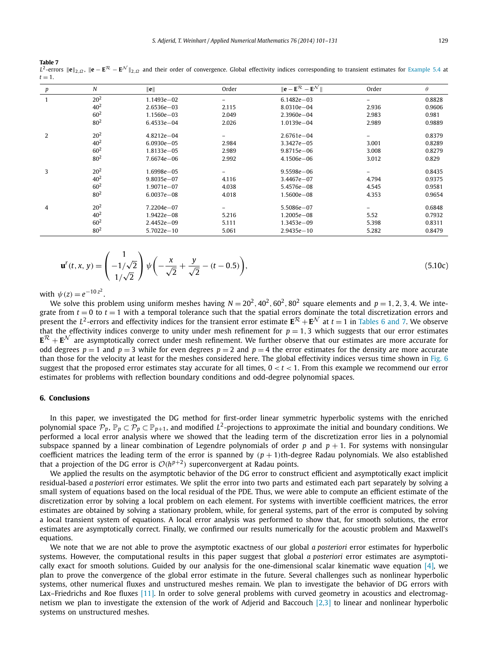<span id="page-28-0"></span>**Table 7**

*L*<sup>2</sup>-errors  $\|e\|_2$   $\phi$ ,  $\|e - E^R - E^N\|_2$   $\phi$  and their order of convergence. Global effectivity indices corresponding to transient estimates for [Example 5.4](#page-25-0) at  $t = 1$ .

| p              | N               | $\ e\ $        | Order    | $\ {\bf e}-{\bf E}^{\mathcal R}-{\bf E}^{\mathcal N}\ $ | Order | $\theta$ |
|----------------|-----------------|----------------|----------|---------------------------------------------------------|-------|----------|
|                | $20^{2}$        | 1.1493e-02     | $\equiv$ | $6.1482e - 03$                                          |       | 0.8828   |
|                | $40^{2}$        | 2.6536e-03     | 2.115    | 8.0310e-04                                              | 2.936 | 0.9606   |
|                | $60^{2}$        | 1.1560e-03     | 2.049    | 2.3960e-04                                              | 2.983 | 0.981    |
|                | 80 <sup>2</sup> | 6.4533e-04     | 2.026    | 1.0139e-04                                              | 2.989 | 0.9889   |
| $\overline{2}$ | 20 <sup>2</sup> | $4.8212e - 04$ |          | $2.6761e - 04$                                          |       | 0.8379   |
|                | $40^{2}$        | $6.0930e - 05$ | 2.984    | 3.3427e-05                                              | 3.001 | 0.8289   |
|                | 60 <sup>2</sup> | 1.8133e-05     | 2.989    | 9.8715e-06                                              | 3.008 | 0.8279   |
|                | 80 <sup>2</sup> | 7.6674e-06     | 2.992    | 4.1506e-06                                              | 3.012 | 0.829    |
| 3              | $20^{2}$        | 1.6998e-05     |          | $9.5598e - 06$                                          |       | 0.8435   |
|                | $40^{2}$        | $9.8035e - 07$ | 4.116    | $3.4467e - 07$                                          | 4.794 | 0.9375   |
|                | 60 <sup>2</sup> | $1.9071e - 07$ | 4.038    | $5.4576e - 08$                                          | 4.545 | 0.9581   |
|                | $80^{2}$        | $6.0037e - 08$ | 4.018    | 1.5600e-08                                              | 4.353 | 0.9654   |
| 4              | 20 <sup>2</sup> | 7.2204e-07     |          | 5.5086e-07                                              |       | 0.6848   |
|                | $40^{2}$        | $1.9422e - 08$ | 5.216    | 1.2005e-08                                              | 5.52  | 0.7932   |
|                | $60^{2}$        | $2.4452e - 09$ | 5.111    | 1.3453e-09                                              | 5.398 | 0.8311   |
|                | 80 <sup>2</sup> | $5.7022e - 10$ | 5.061    | $2.9435e - 10$                                          | 5.282 | 0.8479   |

$$
\mathbf{u}^{r}(t, x, y) = \begin{pmatrix} 1 \\ -1/\sqrt{2} \\ 1/\sqrt{2} \end{pmatrix} \psi \left( -\frac{x}{\sqrt{2}} + \frac{y}{\sqrt{2}} - (t - 0.5) \right), \tag{5.10c}
$$

with  $\psi(z) = e^{-10z^2}$ .

We solve this problem using uniform meshes having  $N = 20^2$ ,  $40^2$ ,  $60^2$ ,  $80^2$  square elements and  $p = 1, 2, 3, 4$ . We integrate from  $t = 0$  to  $t = 1$  with a temporal tolerance such that the spatial errors dominate the total discretization errors and present the *L*<sup>2</sup>-errors and effectivity indices for the transient error estimate  $\mathbf{E}^R + \mathbf{E}^N$  at  $t = 1$  in [Tables 6 and 7.](#page-27-0) We observe that the effectivity indices converge to unity under mesh refinement for  $p = 1,3$  which suggests that our error estimates  $E^R + E^N$  are asymptotically correct under mesh refinement. We further observe that our estimates are more accurate for odd degrees  $p = 1$  and  $p = 3$  while for even degrees  $p = 2$  and  $p = 4$  the error estimates for the density are more accurate than those for the velocity at least for the meshes considered here. The global effectivity indices versus time shown in [Fig. 6](#page-29-0) suggest that the proposed error estimates stay accurate for all times,  $0 < t < 1$ . From this example we recommend our error estimates for problems with reflection boundary conditions and odd-degree polynomial spaces.

# **6. Conclusions**

In this paper, we investigated the DG method for first-order linear symmetric hyperbolic systems with the enriched polynomial space  $\mathcal{P}_p$ ,  $\mathbb{P}_p \subset \mathcal{P}_p \subset \mathbb{P}_{p+1}$ , and modified *L*<sup>2</sup>-projections to approximate the initial and boundary conditions. We performed a local error analysis where we showed that the leading term of the discretization error lies in a polynomial subspace spanned by a linear combination of Legendre polynomials of order  $p$  and  $p + 1$ . For systems with nonsingular coefficient matrices the leading term of the error is spanned by  $(p + 1)$ th-degree Radau polynomials. We also established that a projection of the DG error is  $O(h^{p+2})$  superconvergent at Radau points.

We applied the results on the asymptotic behavior of the DG error to construct efficient and asymptotically exact implicit residual-based *a posteriori* error estimates. We split the error into two parts and estimated each part separately by solving a small system of equations based on the local residual of the PDE. Thus, we were able to compute an efficient estimate of the discretization error by solving a local problem on each element. For systems with invertible coefficient matrices, the error estimates are obtained by solving a stationary problem, while, for general systems, part of the error is computed by solving a local transient system of equations. A local error analysis was performed to show that, for smooth solutions, the error estimates are asymptotically correct. Finally, we confirmed our results numerically for the acoustic problem and Maxwell's equations.

We note that we are not able to prove the asymptotic exactness of our global *a posteriori* error estimates for hyperbolic systems. However, the computational results in this paper suggest that global *a posteriori* error estimates are asymptotically exact for smooth solutions. Guided by our analysis for the one-dimensional scalar kinematic wave equation  $[4]$ , we plan to prove the convergence of the global error estimate in the future. Several challenges such as nonlinear hyperbolic systems, other numerical fluxes and unstructured meshes remain. We plan to investigate the behavior of DG errors with Lax–Friedrichs and Roe fluxes [\[11\].](#page-29-0) In order to solve general problems with curved geometry in acoustics and electromagnetism we plan to investigate the extension of the work of Adjerid and Baccouch [\[2,3\]](#page-29-0) to linear and nonlinear hyperbolic systems on unstructured meshes.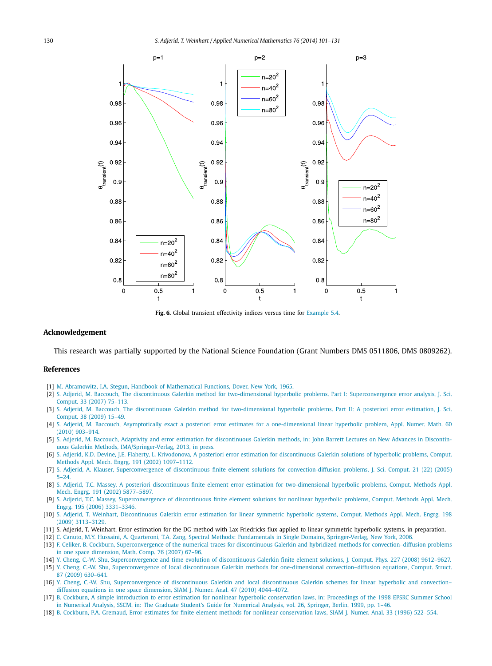<span id="page-29-0"></span>

Fig. 6. Global transient effectivity indices versus time for **Example 5.4**.

## **Acknowledgement**

This research was partially supported by the National Science Foundation (Grant Numbers DMS 0511806, DMS 0809262).

#### **References**

- [1] [M. Abramowitz, I.A. Stegun, Handbook of Mathematical Functions, Dover, New York, 1965.](http://refhub.elsevier.com/S0168-9274(13)00092-5/bib416272616D3635s1)
- [2] S. [Adjerid, M. Baccouch, The discontinuous Galerkin method for two-dimensional hyperbolic problems. Part I: Superconvergence error analysis, J. Sci.](http://refhub.elsevier.com/S0168-9274(13)00092-5/bib41646A426163303761s1) [Comput. 33 \(2007\) 75–113.](http://refhub.elsevier.com/S0168-9274(13)00092-5/bib41646A426163303761s1)
- [3] S. [Adjerid, M. Baccouch, The discontinuous Galerkin method for two-dimensional hyperbolic problems. Part II: A posteriori error estimation, J. Sci.](http://refhub.elsevier.com/S0168-9274(13)00092-5/bib41646A426163303762s1) [Comput. 38 \(2009\) 15–49.](http://refhub.elsevier.com/S0168-9274(13)00092-5/bib41646A426163303762s1)
- [4] S. [Adjerid, M. Baccouch, Asymptotically exact a posteriori error estimates for a one-dimensional linear hyperbolic problem, Appl. Numer. Math. 60](http://refhub.elsevier.com/S0168-9274(13)00092-5/bib41646A42616344473164s1) [\(2010\) 903–914.](http://refhub.elsevier.com/S0168-9274(13)00092-5/bib41646A42616344473164s1)
- [5] S. [Adjerid, M. Baccouch, Adaptivity and error estimation for discontinuous Galerkin methods, in: John Barrett Lectures on New Advances in Discontin](http://refhub.elsevier.com/S0168-9274(13)00092-5/bib41646A42616332303133s1)[uous Galerkin Methods, IMA/Springer-Verlag, 2013, in press.](http://refhub.elsevier.com/S0168-9274(13)00092-5/bib41646A42616332303133s1)
- [6] S. [Adjerid, K.D. Devine, J.E. Flaherty, L. Krivodonova, A posteriori error estimation for discontinuous Galerkin solutions of hyperbolic problems, Comput.](http://refhub.elsevier.com/S0168-9274(13)00092-5/bib4144464B3032s1) [Methods Appl. Mech. Engrg. 191 \(2002\) 1097–1112.](http://refhub.elsevier.com/S0168-9274(13)00092-5/bib4144464B3032s1)
- [7] S. [Adjerid, A. Klauser, Superconvergence of discontinuous finite element solutions for convection-diffusion problems, J. Sci. Comput. 21 \(22\) \(2005\)](http://refhub.elsevier.com/S0168-9274(13)00092-5/bib41646A4B6C61753035s1) [5–24.](http://refhub.elsevier.com/S0168-9274(13)00092-5/bib41646A4B6C61753035s1)
- [8] S. [Adjerid, T.C. Massey, A posteriori discontinuous finite element error estimation for two-dimensional hyperbolic problems, Comput. Methods Appl.](http://refhub.elsevier.com/S0168-9274(13)00092-5/bib41646A4D6173733032s1) [Mech. Engrg. 191 \(2002\) 5877–5897.](http://refhub.elsevier.com/S0168-9274(13)00092-5/bib41646A4D6173733032s1)
- [9] S. [Adjerid, T.C. Massey, Superconvergence of discontinuous finite element solutions for nonlinear hyperbolic problems, Comput. Methods Appl. Mech.](http://refhub.elsevier.com/S0168-9274(13)00092-5/bib41646A4D6173733035s1) [Engrg. 195 \(2006\) 3331–3346.](http://refhub.elsevier.com/S0168-9274(13)00092-5/bib41646A4D6173733035s1)
- [10] S. [Adjerid, T. Weinhart, Discontinuous Galerkin error estimation for linear symmetric hyperbolic systems, Comput. Methods Appl. Mech. Engrg. 198](http://refhub.elsevier.com/S0168-9274(13)00092-5/bib41646A576569s1) [\(2009\) 3113–3129.](http://refhub.elsevier.com/S0168-9274(13)00092-5/bib41646A576569s1)
- [11] S. Adjerid, T. Weinhart, Error estimation for the DG method with Lax Friedricks flux applied to linear symmetric hyperbolic systems, in preparation.

[12] C. [Canuto, M.Y. Hussaini, A. Quarteroni, T.A. Zang, Spectral Methods: Fundamentals in Single Domains, Springer-Verlag, New York, 2006.](http://refhub.elsevier.com/S0168-9274(13)00092-5/bib43616E75746F3036s1)

- [13] [F. Celiker, B. Cockburn, Superconvergence of the numerical traces for discontinuous Galerkin and hybridized methods for convection–diffusion problems](http://refhub.elsevier.com/S0168-9274(13)00092-5/bib43656C436F636B3036s1) [in one space dimension, Math. Comp. 76 \(2007\) 67–96.](http://refhub.elsevier.com/S0168-9274(13)00092-5/bib43656C436F636B3036s1)
- [14] [Y. Cheng, C.-W. Shu, Superconvergence and time evolution of discontinuous Galerkin finite element solutions, J. Comput. Phys. 227 \(2008\) 9612–9627.](http://refhub.elsevier.com/S0168-9274(13)00092-5/bib4368656E6753687530384447s1)
- [15] [Y. Cheng, C.-W. Shu, Superconvergence of local discontinuous Galerkin methods for one-dimensional convection–diffusion equations, Comput. Struct.](http://refhub.elsevier.com/S0168-9274(13)00092-5/bib4368656E6753687530394C4447s1) [87 \(2009\) 630–641.](http://refhub.elsevier.com/S0168-9274(13)00092-5/bib4368656E6753687530394C4447s1)
- [16] Y. Cheng, C.-W. Shu, Superconvergence of discontinuous Galerkin and local discontinuous Galerkin schemes for linear hyperbolic and convection[diffusion equations in one space dimension, SIAM J. Numer. Anal. 47 \(2010\) 4044–4072.](http://refhub.elsevier.com/S0168-9274(13)00092-5/bib4368656E67536875313044472D4C4447s1)
- [17] B. [Cockburn, A simple introduction to error estimation for nonlinear hyperbolic conservation laws, in: Proceedings of the 1998 EPSRC Summer School](http://refhub.elsevier.com/S0168-9274(13)00092-5/bib436F636B6275726E3939s1) [in Numerical Analysis, SSCM, in: The Graduate Student's Guide for Numerical Analysis, vol. 26, Springer, Berlin, 1999, pp. 1–46.](http://refhub.elsevier.com/S0168-9274(13)00092-5/bib436F636B6275726E3939s1)
- [18] B. [Cockburn, P.A. Gremaud, Error estimates for finite element methods for nonlinear conservation laws, SIAM J. Numer. Anal. 33 \(1996\) 522–554.](http://refhub.elsevier.com/S0168-9274(13)00092-5/bib436F636B4772656D3936s1)